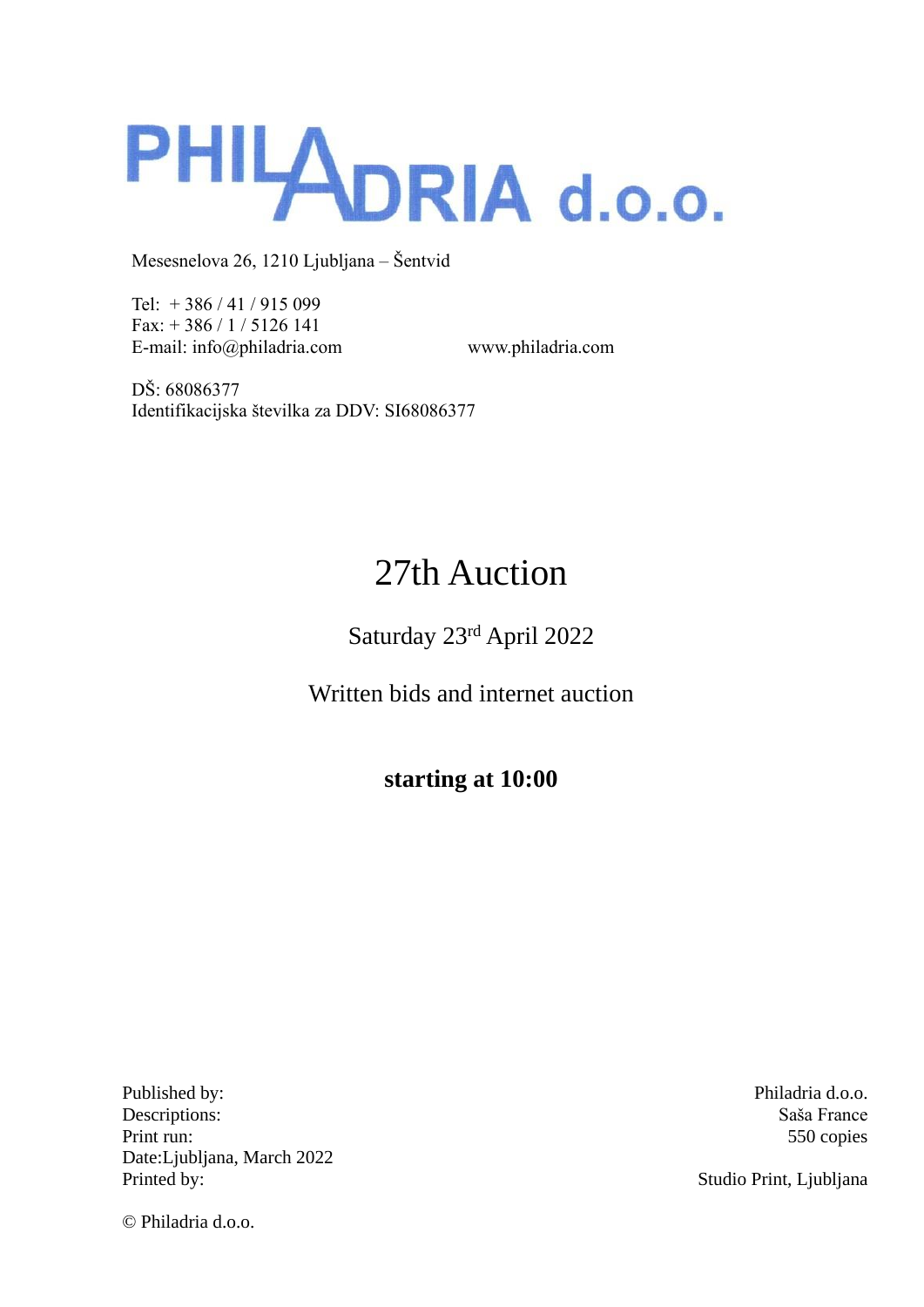

Tel: + 386 / 41 / 915 099 Fax: + 386 / 1 / 5126 141 E-mail: info@philadria.com www.philadria.com

DŠ: 68086377 Identifikacijska številka za DDV: SI68086377

# 27th Auction

Saturday 23rd April 2022

Written bids and internet auction

**starting at 10:00**

Published by: Philadria d.o.o. Descriptions: Saša France Print run: 550 copies Date:Ljubljana, March 2022 Printed by: Studio Print, Ljubljana

© Philadria d.o.o.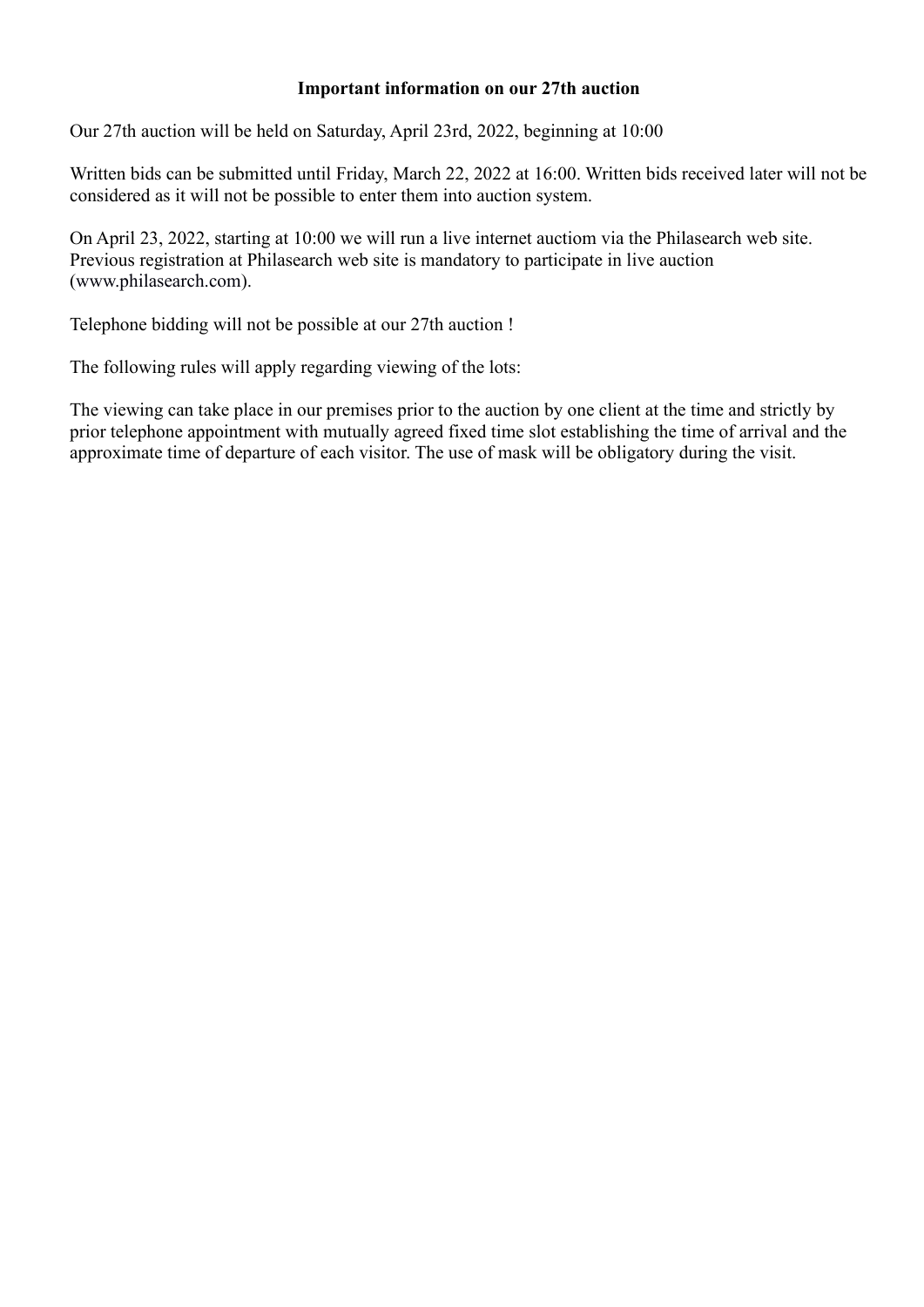# **Important information on our 27th auction**

Our 27th auction will be held on Saturday, April 23rd, 2022, beginning at 10:00

Written bids can be submitted until Friday, March 22, 2022 at 16:00. Written bids received later will not be considered as it will not be possible to enter them into auction system.

On April 23, 2022, starting at 10:00 we will run a live internet auctiom via the Philasearch web site. Previous registration at Philasearch web site is mandatory to participate in live auction [\(www.philasearch.com\)](http://www.philasearch.com/).

Telephone bidding will not be possible at our 27th auction !

The following rules will apply regarding viewing of the lots:

The viewing can take place in our premises prior to the auction by one client at the time and strictly by prior telephone appointment with mutually agreed fixed time slot establishing the time of arrival and the approximate time of departure of each visitor. The use of mask will be obligatory during the visit.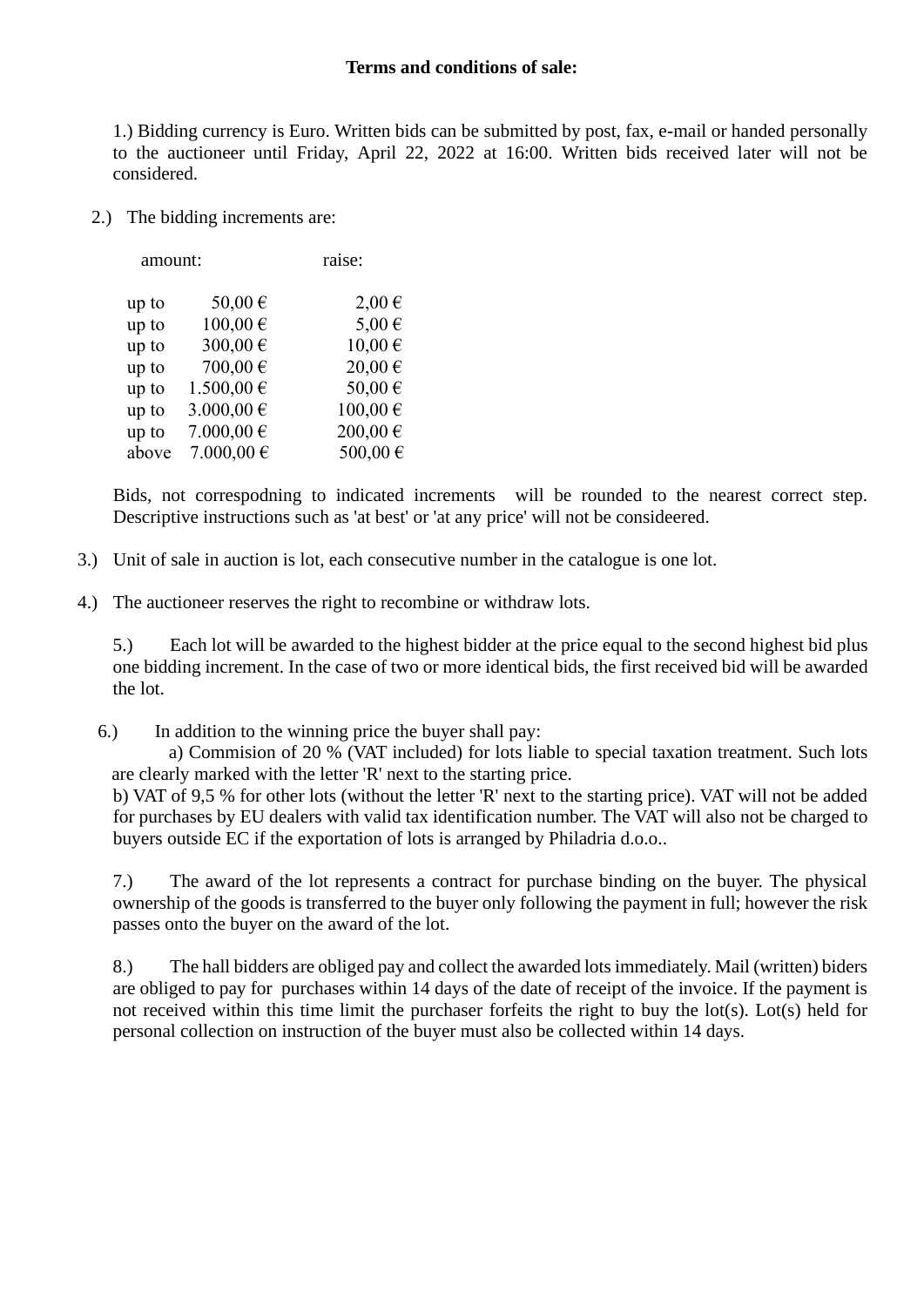1.) Bidding currency is Euro. Written bids can be submitted by post, fax, e-mail or handed personally to the auctioneer until Friday, April 22, 2022 at 16:00. Written bids received later will not be considered.

2.) The bidding increments are:

| amount: |                | raise:     |
|---------|----------------|------------|
| up to   | 50,00€         | $2,00 \in$ |
| up to   | 100,00€        | 5,00€      |
| up to   | 300,00€        | 10,00€     |
| up to   | 700,00€        | 20,00€     |
| up to   | $1.500,00 \in$ | 50,00€     |
| up to   | 3.000,00 €     | 100,00€    |
| up to   | 7.000,00 €     | 200,00€    |
| above   | 7.000,00 €     | 500,00€    |

Bids, not correspodning to indicated increments will be rounded to the nearest correct step. Descriptive instructions such as 'at best' or 'at any price' will not be consideered.

- 3.) Unit of sale in auction is lot, each consecutive number in the catalogue is one lot.
- 4.) The auctioneer reserves the right to recombine or withdraw lots.

5.) Each lot will be awarded to the highest bidder at the price equal to the second highest bid plus one bidding increment. In the case of two or more identical bids, the first received bid will be awarded the lot.

6.) In addition to the winning price the buyer shall pay:

a) Commision of 20 % (VAT included) for lots liable to special taxation treatment. Such lots are clearly marked with the letter 'R' next to the starting price.

b) VAT of 9,5 % for other lots (without the letter 'R' next to the starting price). VAT will not be added for purchases by EU dealers with valid tax identification number. The VAT will also not be charged to buyers outside EC if the exportation of lots is arranged by Philadria d.o.o..

7.) The award of the lot represents a contract for purchase binding on the buyer. The physical ownership of the goods is transferred to the buyer only following the payment in full; however the risk passes onto the buyer on the award of the lot.

8.) The hall bidders are obliged pay and collect the awarded lots immediately. Mail (written) biders are obliged to pay for purchases within 14 days of the date of receipt of the invoice. If the payment is not received within this time limit the purchaser forfeits the right to buy the lot(s). Lot(s) held for personal collection on instruction of the buyer must also be collected within 14 days.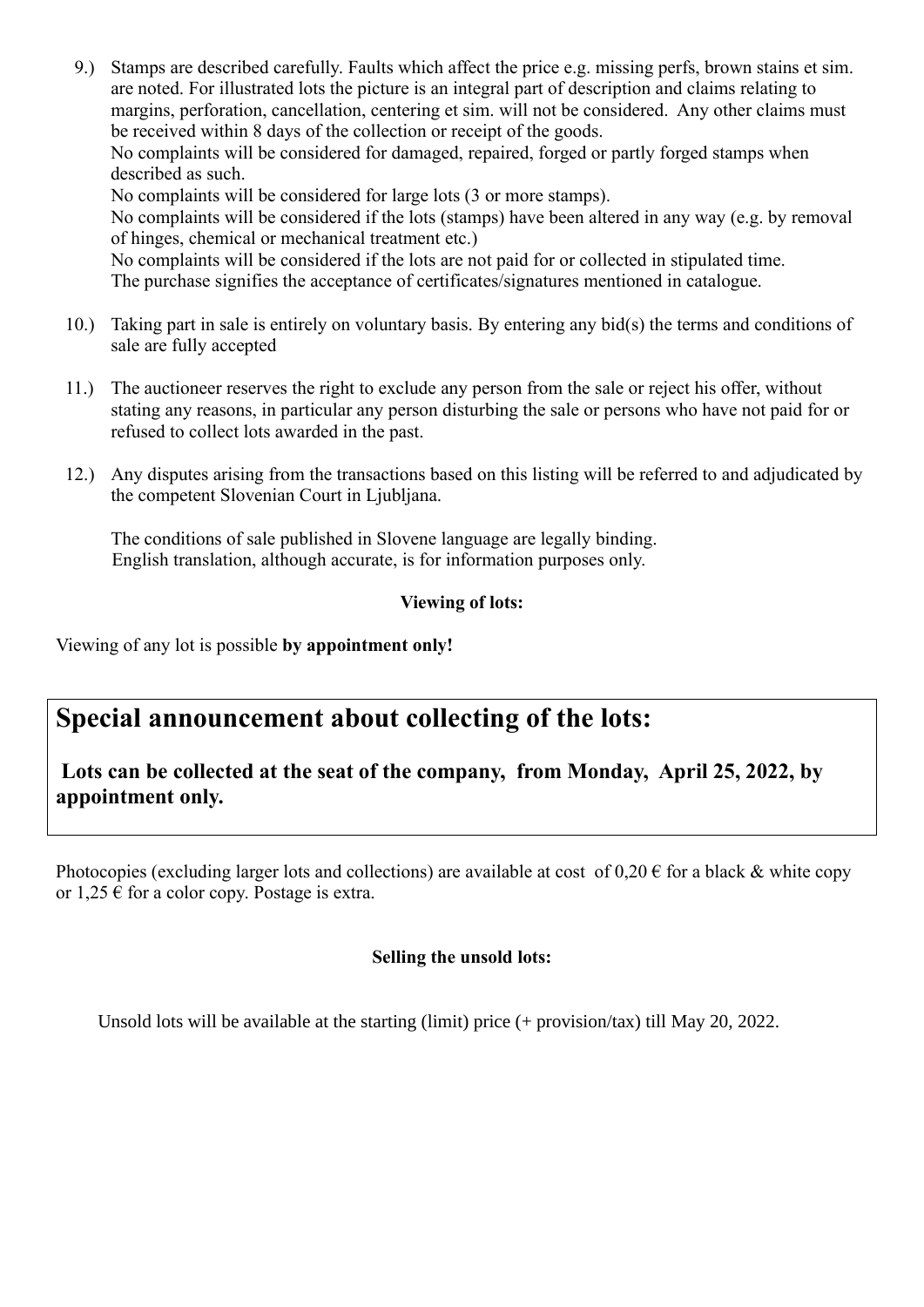9.) Stamps are described carefully. Faults which affect the price e.g. missing perfs, brown stains et sim. are noted. For illustrated lots the picture is an integral part of description and claims relating to margins, perforation, cancellation, centering et sim. will not be considered. Any other claims must be received within 8 days of the collection or receipt of the goods.

No complaints will be considered for damaged, repaired, forged or partly forged stamps when described as such.

No complaints will be considered for large lots (3 or more stamps).

No complaints will be considered if the lots (stamps) have been altered in any way (e.g. by removal of hinges, chemical or mechanical treatment etc.)

No complaints will be considered if the lots are not paid for or collected in stipulated time.

The purchase signifies the acceptance of certificates/signatures mentioned in catalogue.

- 10.) Taking part in sale is entirely on voluntary basis. By entering any bid(s) the terms and conditions of sale are fully accepted
- 11.) The auctioneer reserves the right to exclude any person from the sale or reject his offer, without stating any reasons, in particular any person disturbing the sale or persons who have not paid for or refused to collect lots awarded in the past.
- 12.) Any disputes arising from the transactions based on this listing will be referred to and adjudicated by the competent Slovenian Court in Ljubljana.

The conditions of sale published in Slovene language are legally binding. English translation, although accurate, is for information purposes only.

# **Viewing of lots:**

Viewing of any lot is possible **by appointment only!**

# **Special announcement about collecting of the lots:**

# **Lots can be collected at the seat of the company, from Monday, April 25, 2022, by appointment only.**

Photocopies (excluding larger lots and collections) are available at cost of  $0,20 \in$  for a black & white copy or  $1,25 \in$  for a color copy. Postage is extra.

# **Selling the unsold lots:**

Unsold lots will be available at the starting (limit) price (+ provision/tax) till May 20, 2022.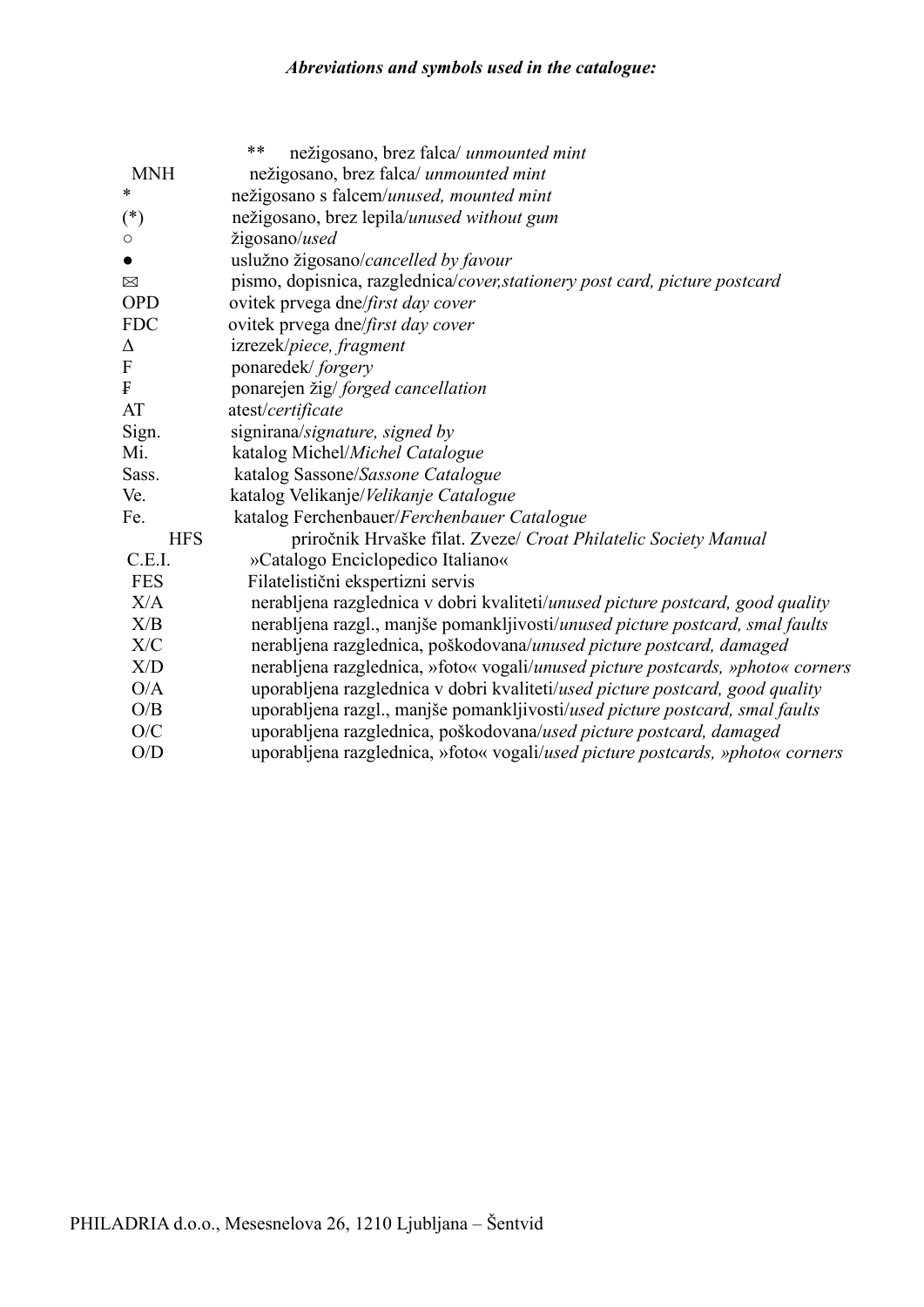# *Abreviations and symbols used in the catalogue:*

|                | **<br>nežigosano, brez falca/ unmounted mint                                    |
|----------------|---------------------------------------------------------------------------------|
| <b>MNH</b>     | nežigosano, brez falca/ unmounted mint                                          |
| *              | nežigosano s falcem/unused, mounted mint                                        |
| $(*)$          | nežigosano, brez lepila/unused without gum                                      |
| $\circ$        | žigosano/used                                                                   |
|                | uslužno žigosano/cancelled by favour                                            |
| $\boxtimes$    | pismo, dopisnica, razglednica/cover, stationery post card, picture postcard     |
| <b>OPD</b>     | ovitek prvega dne/first day cover                                               |
| <b>FDC</b>     | ovitek prvega dne/first day cover                                               |
| Δ              | izrezek/piece, fragment                                                         |
| $\overline{F}$ | ponaredek/forgery                                                               |
| F              | ponarejen žig/ forged cancellation                                              |
| AT             | atest/certificate                                                               |
| Sign.          | signirana/signature, signed by                                                  |
| Mi.            | katalog Michel/Michel Catalogue                                                 |
| Sass.          | katalog Sassone/Sassone Catalogue                                               |
| Ve.            | katalog Velikanje/Velikanje Catalogue                                           |
| Fe.            | katalog Ferchenbauer/Ferchenbauer Catalogue                                     |
| <b>HFS</b>     | priročnik Hrvaške filat. Zveze/ Croat Philatelic Society Manual                 |
| C.E.I.         | »Catalogo Enciclopedico Italiano«                                               |
| <b>FES</b>     | Filatelistični ekspertizni servis                                               |
| X/A            | nerabljena razglednica v dobri kvaliteti/unused picture postcard, good quality  |
| X/B            | nerabljena razgl., manjše pomankljivosti/unused picture postcard, smal faults   |
| X/C            | nerabljena razglednica, poškodovana/unused picture postcard, damaged            |
| X/D            | nerabljena razglednica, »foto« vogali/unused picture postcards, »photo« corners |
| O/A            | uporabljena razglednica v dobri kvaliteti/used picture postcard, good quality   |
| O/B            | uporabljena razgl., manjše pomankljivosti/used picture postcard, smal faults    |
| O/C            | uporabljena razglednica, poškodovana/used picture postcard, damaged             |
| O/D            | uporabljena razglednica, »foto« vogali/used picture postcards, »photo« corners  |
|                |                                                                                 |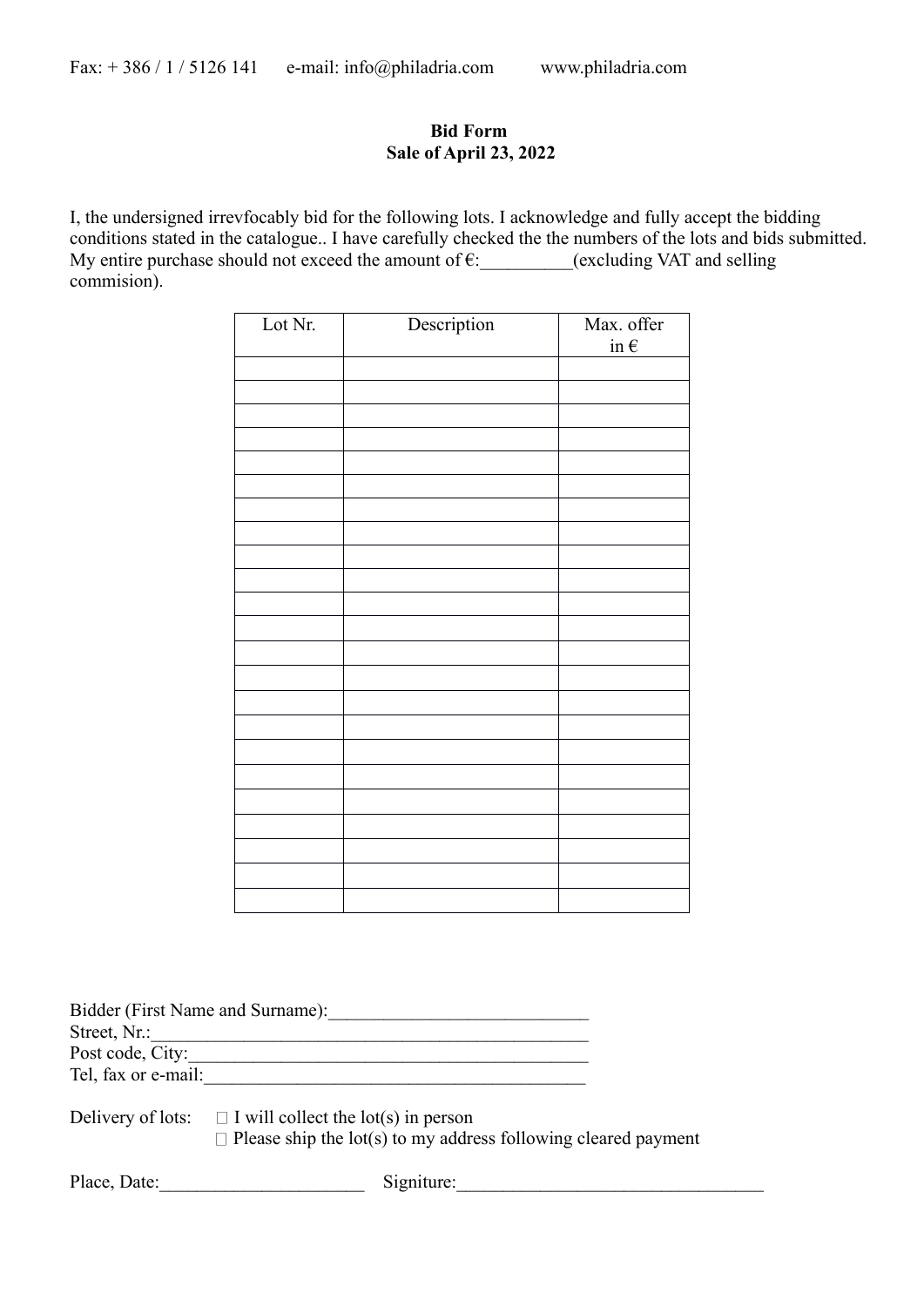# **Bid Form Sale of April 23, 2022**

I, the undersigned irrevfocably bid for the following lots. I acknowledge and fully accept the bidding conditions stated in the catalogue.. I have carefully checked the the numbers of the lots and bids submitted. My entire purchase should not exceed the amount of  $\varepsilon$ : \_\_\_\_\_\_\_(excluding VAT and selling commision).

| Lot Nr. | Description | Max. offer<br>$i \underline{n} \in$ |
|---------|-------------|-------------------------------------|
|         |             |                                     |
|         |             |                                     |
|         |             |                                     |
|         |             |                                     |
|         |             |                                     |
|         |             |                                     |
|         |             |                                     |
|         |             |                                     |
|         |             |                                     |
|         |             |                                     |
|         |             |                                     |
|         |             |                                     |
|         |             |                                     |
|         |             |                                     |
|         |             |                                     |
|         |             |                                     |
|         |             |                                     |
|         |             |                                     |
|         |             |                                     |
|         |             |                                     |
|         |             |                                     |

|                     | Bidder (First Name and Surname):                                           |  |
|---------------------|----------------------------------------------------------------------------|--|
| Street, Nr.:        |                                                                            |  |
| Post code, City:    |                                                                            |  |
| Tel, fax or e-mail: |                                                                            |  |
|                     |                                                                            |  |
|                     | $\text{Deliyery of lots}: \Box \text{I will collect the lot(s) in person}$ |  |

Delivery of lots:  $\Box$  I will collect the lot(s) in person  $\Box$  Please ship the lot(s) to my address following cleared payment

Place, Date:\_\_\_\_\_\_\_\_\_\_\_\_\_\_\_\_\_\_\_\_\_\_ Signiture:\_\_\_\_\_\_\_\_\_\_\_\_\_\_\_\_\_\_\_\_\_\_\_\_\_\_\_\_\_\_\_\_\_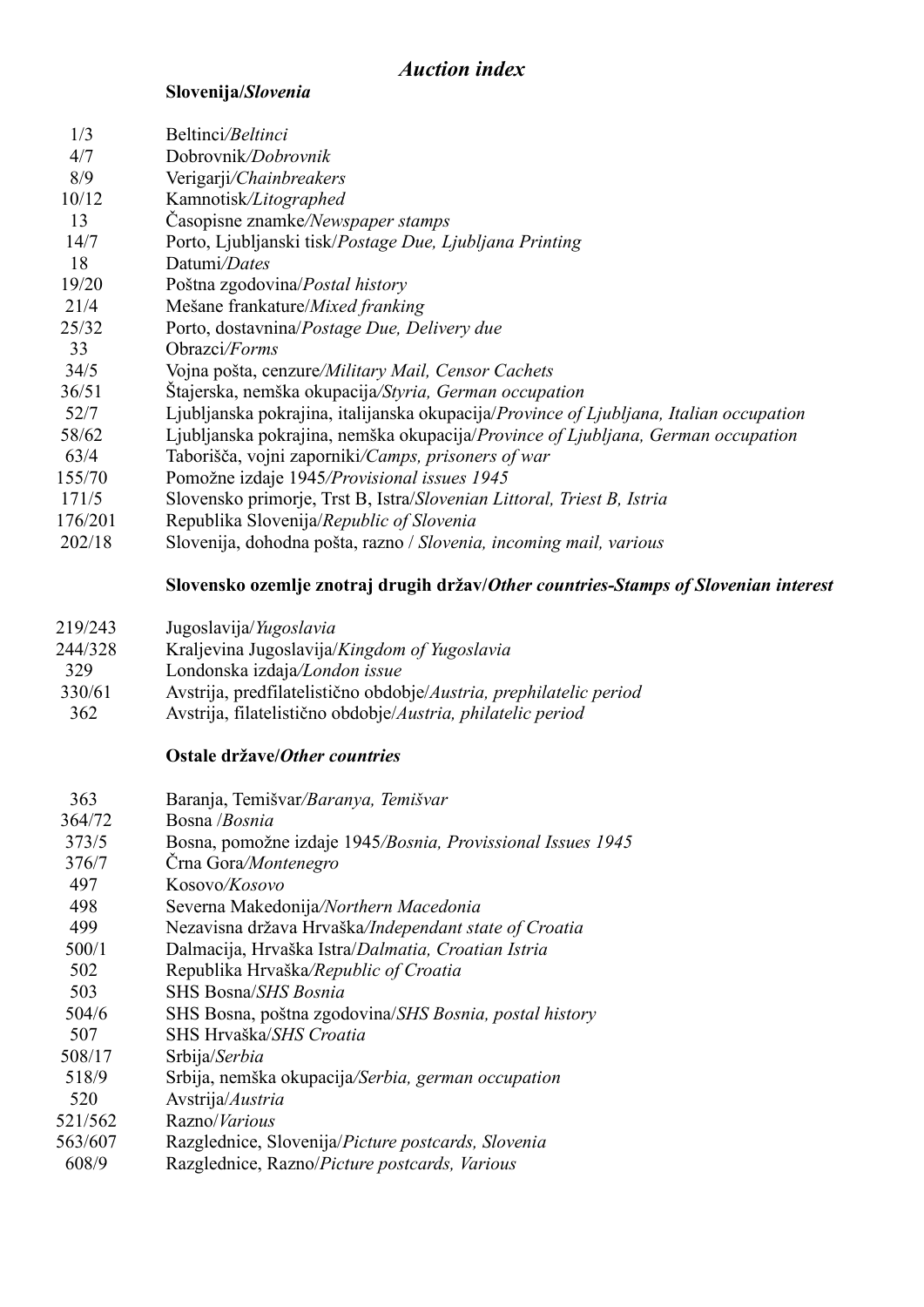# **Slovenija/***Slovenia*

| 1/3     | Beltinci/Beltinci                                                                      |
|---------|----------------------------------------------------------------------------------------|
| 4/7     | Dobrovnik/Dobrovnik                                                                    |
| 8/9     | Verigarji/Chainbreakers                                                                |
| 10/12   | Kamnotisk/Litographed                                                                  |
| 13      | Casopisne znamke/Newspaper stamps                                                      |
| 14/7    | Porto, Ljubljanski tisk/Postage Due, Ljubljana Printing                                |
| 18      | Datumi/Dates                                                                           |
| 19/20   | Poštna zgodovina/Postal history                                                        |
| 21/4    | Mešane frankature/Mixed franking                                                       |
| 25/32   | Porto, dostavnina/Postage Due, Delivery due                                            |
| 33      | Obrazci/Forms                                                                          |
| 34/5    | Vojna pošta, cenzure/Military Mail, Censor Cachets                                     |
| 36/51   | Štajerska, nemška okupacija/Styria, German occupation                                  |
| 52/7    | Ljubljanska pokrajina, italijanska okupacija/Province of Ljubljana, Italian occupation |
| 58/62   | Ljubljanska pokrajina, nemška okupacija/Province of Ljubljana, German occupation       |
| 63/4    | Taborišča, vojni zaporniki/Camps, prisoners of war                                     |
| 155/70  | Pomožne izdaje 1945/Provisional issues 1945                                            |
| 171/5   | Slovensko primorje, Trst B, Istra/Slovenian Littoral, Triest B, Istria                 |
| 176/201 | Republika Slovenija/Republic of Slovenia                                               |
| 202/18  | Slovenija, dohodna pošta, razno / Slovenia, incoming mail, various                     |
|         |                                                                                        |

# **Slovensko ozemlje znotraj drugih držav/***Other countries-Stamps of Slovenian interest*

- 219/243 Jugoslavija/*Yugoslavia*
- 244/328 Kraljevina Jugoslavija/*Kingdom of Yugoslavia*
- 329 Londonska izdaja*/London issue*
- 330/61 Avstrija, predfilatelistično obdobje/*Austria, prephilatelic period*
- 362 Avstrija, filatelistično obdobje/*Austria, philatelic period*

# **Ostale države/***Other countries*

| Baranja, Temišvar/Baranya, Temišvar                         |
|-------------------------------------------------------------|
| Bosna <i>/Bosnia</i>                                        |
| Bosna, pomožne izdaje 1945/Bosnia, Provissional Issues 1945 |
| Črna Gora/Montenegro                                        |
| Kosovo/Kosovo                                               |
| Severna Makedonija/Northern Macedonia                       |
| Nezavisna država Hrvaška/Independant state of Croatia       |
| Dalmacija, Hrvaška Istra/Dalmatia, Croatian Istria          |
| Republika Hrvaška/Republic of Croatia                       |
| SHS Bosna/SHS Bosnia                                        |
| SHS Bosna, poštna zgodovina/SHS Bosnia, postal history      |
| SHS Hrvaška/SHS Croatia                                     |
| Srbija/Serbia                                               |
| Srbija, nemška okupacija/Serbia, german occupation          |
| Avstrija/Austria                                            |
| Razno/ <i>Various</i>                                       |
| Razglednice, Slovenija/Picture postcards, Slovenia          |
| Razglednice, Razno/Picture postcards, Various               |
|                                                             |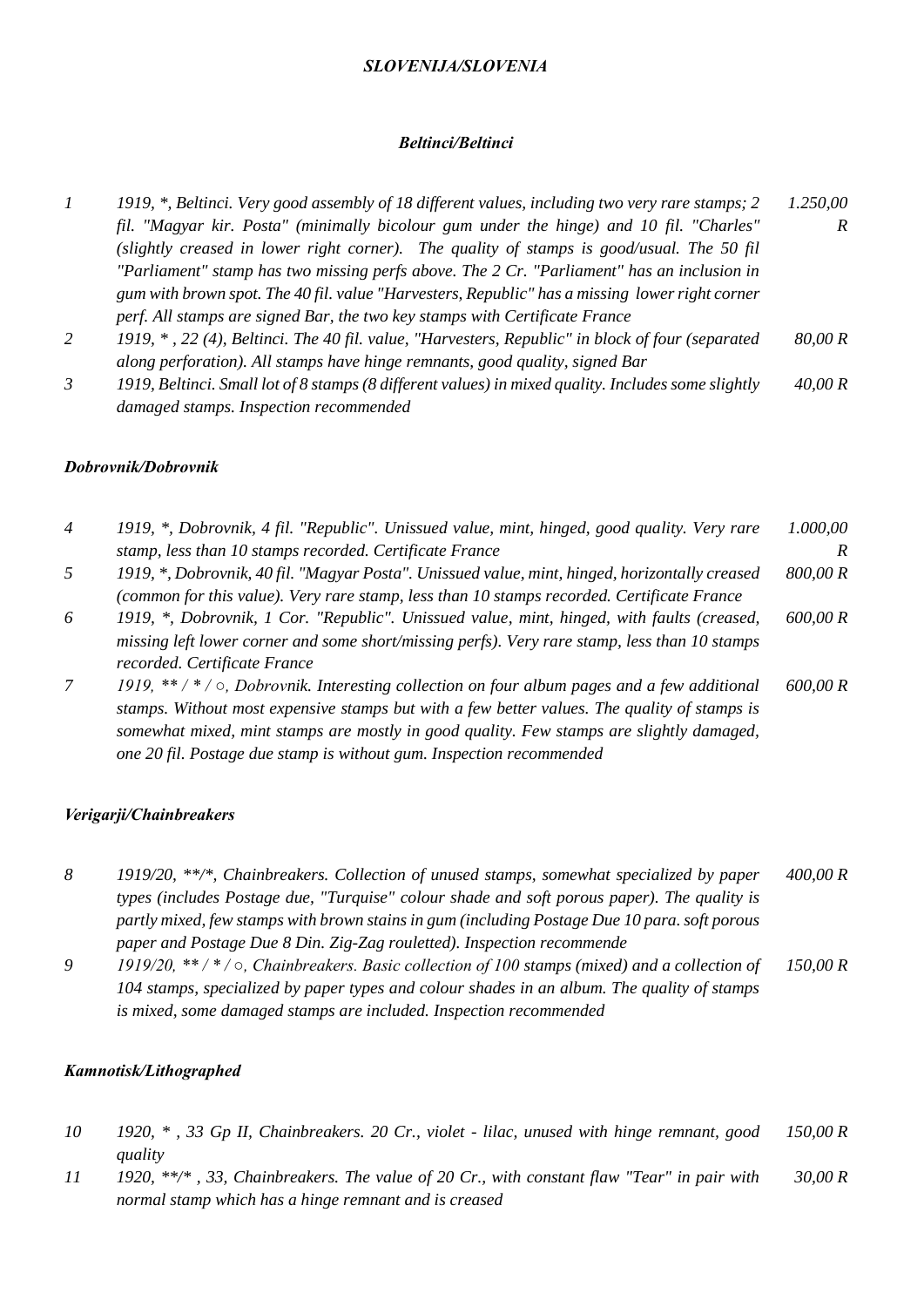### *SLOVENIJA/SLOVENIA*

### *Beltinci/Beltinci*

- *1 1919, \*, Beltinci. Very good assembly of 18 different values, including two very rare stamps; 2 fil. "Magyar kir. Posta" (minimally bicolour gum under the hinge) and 10 fil. "Charles" (slightly creased in lower right corner). The quality of stamps is good/usual. The 50 fil "Parliament" stamp has two missing perfs above. The 2 Cr. "Parliament" has an inclusion in gum with brown spot. The 40 fil. value "Harvesters, Republic" has a missing lower right corner perf. All stamps are signed Bar, the two key stamps with Certificate France 1.250,00 R*
- *2 1919, \* , 22 (4), Beltinci. The 40 fil. value, "Harvesters, Republic" in block of four (separated along perforation). All stamps have hinge remnants, good quality, signed Bar 80,00 R*
- *3 1919, Beltinci. Small lot of 8 stamps (8 different values) in mixed quality. Includes some slightly damaged stamps. Inspection recommended 40,00 R*

### *Dobrovnik/Dobrovnik*

| $\overline{4}$ | 1919, *, Dobrovnik, 4 fil. "Republic". Unissued value, mint, hinged, good quality. Very rare                                                                                                                                                                                                                                                                         | 1.000,00 |
|----------------|----------------------------------------------------------------------------------------------------------------------------------------------------------------------------------------------------------------------------------------------------------------------------------------------------------------------------------------------------------------------|----------|
|                | stamp, less than 10 stamps recorded. Certificate France                                                                                                                                                                                                                                                                                                              | R        |
| 5              | 1919, *, Dobrovnik, 40 fil. "Magyar Posta". Unissued value, mint, hinged, horizontally creased<br>(common for this value). Very rare stamp, less than 10 stamps recorded. Certificate France                                                                                                                                                                         | 800,00 R |
| 6              | 1919, *, Dobrovnik, 1 Cor. "Republic". Unissued value, mint, hinged, with faults (creased,<br>missing left lower corner and some short/missing perfs). Very rare stamp, less than 10 stamps<br>recorded. Certificate France                                                                                                                                          | 600,00 R |
| 7              | 1919, **/*/ $\circ$ , Dobrovnik. Interesting collection on four album pages and a few additional<br>stamps. Without most expensive stamps but with a few better values. The quality of stamps is<br>somewhat mixed, mint stamps are mostly in good quality. Few stamps are slightly damaged,<br>one 20 fil. Postage due stamp is without gum. Inspection recommended | 600,00 R |

# *Verigarji/Chainbreakers*

- *8 1919/20, \*\*/\*, Chainbreakers. Collection of unused stamps, somewhat specialized by paper types (includes Postage due, "Turquise" colour shade and soft porous paper). The quality is partly mixed, few stamps with brown stains in gum (including Postage Due 10 para. soft porous paper and Postage Due 8 Din. Zig-Zag rouletted). Inspection recommende 400,00 R*
- *9 1919/20, \*\* / \* / ○, Chainbreakers. Basic collection of 100 stamps (mixed) and a collection of 104 stamps, specialized by paper types and colour shades in an album. The quality of stamps is mixed, some damaged stamps are included. Inspection recommended 150,00 R*

# *Kamnotisk/Lithographed*

- *10 1920, \* , 33 Gp II, Chainbreakers. 20 Cr., violet - lilac, unused with hinge remnant, good quality 150,00 R*
- *11 1920, \*\*/\* , 33, Chainbreakers. The value of 20 Cr., with constant flaw "Tear" in pair with normal stamp which has a hinge remnant and is creased 30,00 R*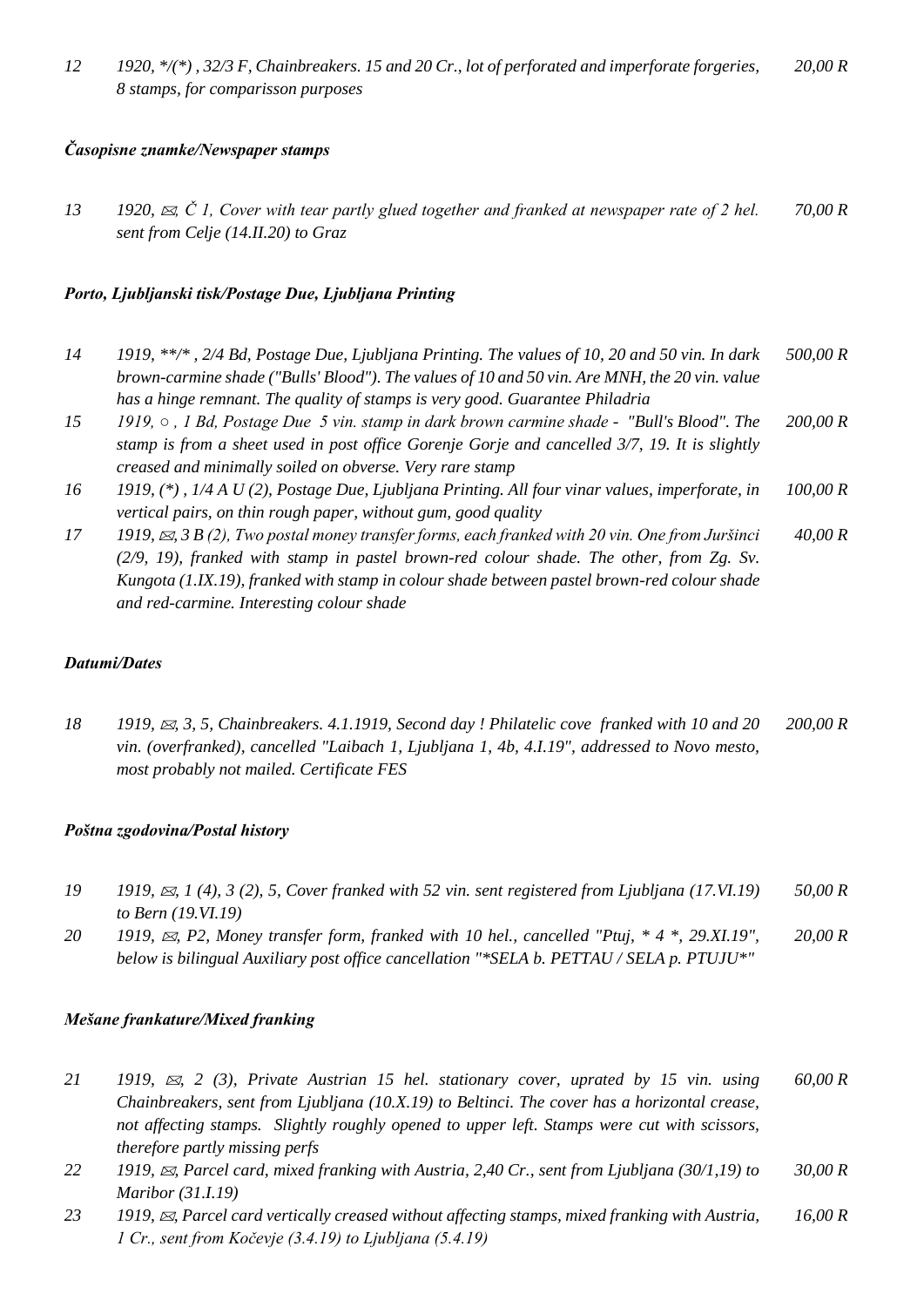# *Časopisne znamke/Newspaper stamps*

13 **1920,**  $\otimes$ **, Č** 1, Cover with tear partly glued together and franked at newspaper rate of 2 hel. *sent from Celje (14.II.20) to Graz 70,00 R*

# *Porto, Ljubljanski tisk/Postage Due, Ljubljana Printing*

- *14 1919, \*\*/\* , 2/4 Bd, Postage Due, Ljubljana Printing. The values of 10, 20 and 50 vin. In dark brown-carmine shade ("Bulls' Blood"). The values of 10 and 50 vin. Are MNH, the 20 vin. value has a hinge remnant. The quality of stamps is very good. Guarantee Philadria 500,00 R*
- *15 1919, , 1 Bd, Postage Due 5 vin. stamp in dark brown carmine shade "Bull's Blood". The stamp is from a sheet used in post office Gorenje Gorje and cancelled 3/7, 19. It is slightly creased and minimally soiled on obverse. Very rare stamp 200,00 R*
- *16 1919, (\*) , 1/4 A U (2), Postage Due, Ljubljana Printing. All four vinar values, imperforate, in vertical pairs, on thin rough paper, without gum, good quality 100,00 R*
- *17 1919, , 3 B (2), Two postal money transfer forms, each franked with 20 vin. One from Juršinci (2/9, 19), franked with stamp in pastel brown-red colour shade. The other, from Zg. Sv. Kungota (1.IX.19), franked with stamp in colour shade between pastel brown-red colour shade and red-carmine. Interesting colour shade 40,00 R*

# *Datumi/Dates*

*18 1919, , 3, 5, Chainbreakers. 4.1.1919, Second day ! Philatelic cove franked with 10 and 20 vin. (overfranked), cancelled "Laibach 1, Ljubljana 1, 4b, 4.I.19", addressed to Novo mesto, most probably not mailed. Certificate FES 200,00 R*

# *Poštna zgodovina/Postal history*

- *19 1919, , 1 (4), 3 (2), 5, Cover franked with 52 vin. sent registered from Ljubljana (17.VI.19) to Bern (19.VI.19) 50,00 R*
- *20 1919, , P2, Money transfer form, franked with 10 hel., cancelled "Ptuj, \* 4 \*, 29.XI.19", below is bilingual Auxiliary post office cancellation "\*SELA b. PETTAU / SELA p. PTUJU\*" 20,00 R*

# *Mešane frankature/Mixed franking*

- *21 1919, , 2 (3), Private Austrian 15 hel. stationary cover, uprated by 15 vin. using Chainbreakers, sent from Ljubljana (10.X.19) to Beltinci. The cover has a horizontal crease, not affecting stamps. Slightly roughly opened to upper left. Stamps were cut with scissors, therefore partly missing perfs 60,00 R*
- *22 1919, , Parcel card, mixed franking with Austria, 2,40 Cr., sent from Ljubljana (30/1,19) to Maribor (31.I.19) 30,00 R*
- *23 1919, , Parcel card vertically creased without affecting stamps, mixed franking with Austria, 1 Cr., sent from Kočevje (3.4.19) to Ljubljana (5.4.19) 16,00 R*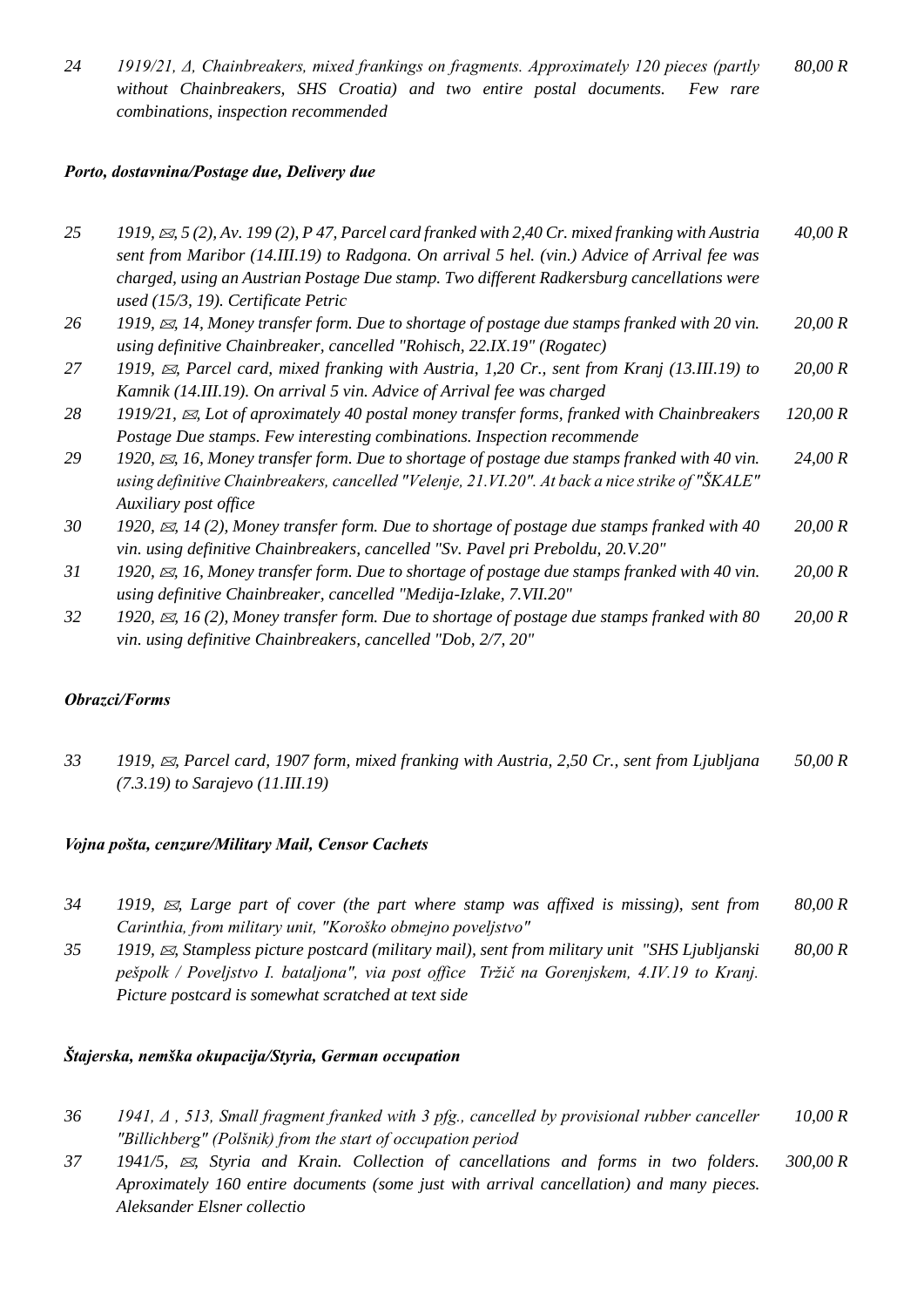*24 1919/21, Δ, Chainbreakers, mixed frankings on fragments. Approximately 120 pieces (partly without Chainbreakers, SHS Croatia) and two entire postal documents. Few rare combinations, inspection recommended 80,00 R*

#### *Porto, dostavnina/Postage due, Delivery due*

| 25 | 1919, $\approx$ , 5(2), Av. 199(2), P 47, Parcel card franked with 2,40 Cr. mixed franking with Austria | 40,00 R  |
|----|---------------------------------------------------------------------------------------------------------|----------|
|    | sent from Maribor (14.III.19) to Radgona. On arrival 5 hel. (vin.) Advice of Arrival fee was            |          |
|    | charged, using an Austrian Postage Due stamp. Two different Radkersburg cancellations were              |          |
|    | used (15/3, 19). Certificate Petric                                                                     |          |
| 26 | 1919, $\approx$ , 14, Money transfer form. Due to shortage of postage due stamps franked with 20 vin.   | 20,00 R  |
|    | using definitive Chainbreaker, cancelled "Rohisch, 22.IX.19" (Rogatec)                                  |          |
| 27 | 1919, $\approx$ , Parcel card, mixed franking with Austria, 1,20 Cr., sent from Kranj (13.III.19) to    | 20,00 R  |
|    | Kamnik (14.III.19). On arrival 5 vin. Advice of Arrival fee was charged                                 |          |
| 28 | 1919/21, $\boxtimes$ , Lot of aproximately 40 postal money transfer forms, franked with Chainbreakers   | 120,00 R |
|    | Postage Due stamps. Few interesting combinations. Inspection recommende                                 |          |
| 29 | 1920, $\approx$ , 16, Money transfer form. Due to shortage of postage due stamps franked with 40 vin.   | 24,00 R  |
|    | using definitive Chainbreakers, cancelled "Velenje, 21.VI.20". At back a nice strike of "ŠKALE"         |          |
|    | Auxiliary post office                                                                                   |          |
| 30 | 1920, $\approx$ , 14 (2), Money transfer form. Due to shortage of postage due stamps franked with 40    | 20,00 R  |
|    | vin. using definitive Chainbreakers, cancelled "Sv. Pavel pri Preboldu, 20.V.20"                        |          |
| 31 | 1920, $\approx$ , 16, Money transfer form. Due to shortage of postage due stamps franked with 40 vin.   | 20,00 R  |
|    | using definitive Chainbreaker, cancelled "Medija-Izlake, 7.VII.20"                                      |          |
| 32 | 1920, $\approx$ , 16 (2), Money transfer form. Due to shortage of postage due stamps franked with 80    | 20,00 R  |
|    | vin. using definitive Chainbreakers, cancelled "Dob, 2/7, 20"                                           |          |

# *Obrazci/Forms*

*33 1919, , Parcel card, 1907 form, mixed franking with Austria, 2,50 Cr., sent from Ljubljana (7.3.19) to Sarajevo (11.III.19) 50,00 R*

#### *Vojna pošta, cenzure/Military Mail, Censor Cachets*

- *34 1919, , Large part of cover (the part where stamp was affixed is missing), sent from Carinthia, from military unit, "Koroško obmejno poveljstvo" 80,00 R*
- *35 1919, , Stampless picture postcard (military mail), sent from military unit "SHS Ljubljanski pešpolk / Poveljstvo I. bataljona", via post office Tržič na Gorenjskem, 4.IV.19 to Kranj. Picture postcard is somewhat scratched at text side 80,00 R*

#### *Štajerska, nemška okupacija/Styria, German occupation*

- *36 1941, Δ , 513, Small fragment franked with 3 pfg., cancelled by provisional rubber canceller "Billichberg" (Polšnik) from the start of occupation period 10,00 R*
- *37 1941/5, , Styria and Krain. Collection of cancellations and forms in two folders. Aproximately 160 entire documents (some just with arrival cancellation) and many pieces. Aleksander Elsner collectio 300,00 R*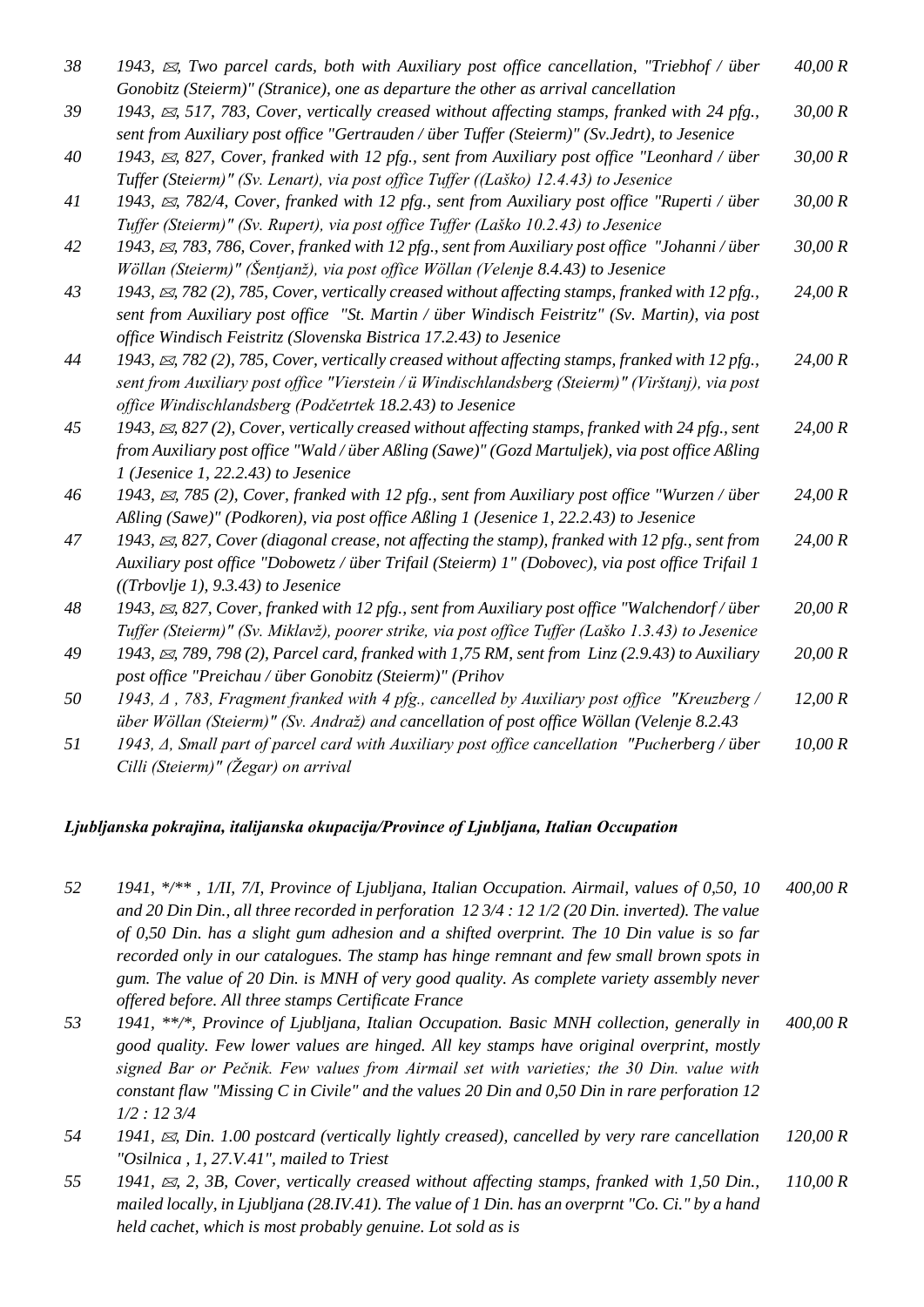| 38 | 1943, $\boxtimes$ , Two parcel cards, both with Auxiliary post office cancellation, "Triebhof / über<br>Gonobitz (Steierm)" (Stranice), one as departure the other as arrival cancellation | 40,00 R |
|----|--------------------------------------------------------------------------------------------------------------------------------------------------------------------------------------------|---------|
|    |                                                                                                                                                                                            |         |
| 39 | 1943, $\approx$ , 517, 783, Cover, vertically creased without affecting stamps, franked with 24 pfg.,                                                                                      | 30,00 R |
|    | sent from Auxiliary post office "Gertrauden / über Tuffer (Steierm)" (Sv.Jedrt), to Jesenice                                                                                               |         |
| 40 | 1943, $\boxtimes$ , 827, Cover, franked with 12 pfg., sent from Auxiliary post office "Leonhard / über                                                                                     | 30,00 R |
|    | Tuffer (Steierm)" (Sv. Lenart), via post office Tuffer ((Laško) 12.4.43) to Jesenice                                                                                                       |         |
| 41 | 1943, $\boxtimes$ , 782/4, Cover, franked with 12 pfg., sent from Auxiliary post office "Ruperti / über                                                                                    | 30,00 R |
|    | Tuffer (Steierm)" (Sv. Rupert), via post office Tuffer (Laško 10.2.43) to Jesenice                                                                                                         |         |
| 42 | 1943, $\boxtimes$ , 783, 786, Cover, franked with 12 pfg., sent from Auxiliary post office "Johanni / über                                                                                 | 30,00 R |
|    | Wöllan (Steierm)" (Šentjanž), via post office Wöllan (Velenje 8.4.43) to Jesenice                                                                                                          |         |
| 43 | 1943, $\approx$ , 782 (2), 785, Cover, vertically creased without affecting stamps, franked with 12 pfg.,                                                                                  | 24,00 R |
|    | sent from Auxiliary post office "St. Martin / über Windisch Feistritz" (Sv. Martin), via post                                                                                              |         |
|    | office Windisch Feistritz (Slovenska Bistrica 17.2.43) to Jesenice                                                                                                                         |         |
| 44 | 1943, $\boxtimes$ , 782 (2), 785, Cover, vertically creased without affecting stamps, franked with 12 pfg.,                                                                                | 24,00 R |
|    | sent from Auxiliary post office "Vierstein / ü Windischlandsberg (Steierm)" (Virštanj), via post                                                                                           |         |
|    | office Windischlandsberg (Podčetrtek 18.2.43) to Jesenice                                                                                                                                  |         |
| 45 | 1943, $\boxtimes$ , 827 (2), Cover, vertically creased without affecting stamps, franked with 24 pfg., sent                                                                                | 24,00 R |
|    | from Auxiliary post office "Wald / über Aßling (Sawe)" (Gozd Martuljek), via post office Aßling                                                                                            |         |
|    | $1$ (Jesenice 1, 22.2.43) to Jesenice                                                                                                                                                      |         |
| 46 | 1943, $\approx$ , 785 (2), Cover, franked with 12 pfg., sent from Auxiliary post office "Wurzen / über                                                                                     | 24,00 R |
|    | Aßling (Sawe)" (Podkoren), via post office Aßling 1 (Jesenice 1, 22.2.43) to Jesenice                                                                                                      |         |
| 47 | 1943, $\boxtimes$ , 827, Cover (diagonal crease, not affecting the stamp), franked with 12 pfg., sent from                                                                                 | 24,00 R |
|    | Auxiliary post office "Dobowetz / über Trifail (Steierm) 1" (Dobovec), via post office Trifail 1                                                                                           |         |
|    | $((Trbovlje 1), 9.3.43)$ to Jesenice                                                                                                                                                       |         |
| 48 | 1943, $\boxtimes$ , 827, Cover, franked with 12 pfg., sent from Auxiliary post office "Walchendorf / über                                                                                  | 20,00 R |
|    | Tuffer (Steierm)" (Sv. Miklavž), poorer strike, via post office Tuffer (Laško 1.3.43) to Jesenice                                                                                          |         |
| 49 | 1943, $\boxtimes$ , 789, 798 (2), Parcel card, franked with 1,75 RM, sent from Linz (2.9.43) to Auxiliary                                                                                  | 20,00 R |
|    | post office "Preichau / über Gonobitz (Steierm)" (Prihov                                                                                                                                   |         |
| 50 | 1943, $\Delta$ , 783, Fragment franked with 4 pfg., cancelled by Auxiliary post office "Kreuzberg /                                                                                        | 12,00 R |
|    | über Wöllan (Steierm)" (Sv. Andraž) and cancellation of post office Wöllan (Velenje 8.2.43                                                                                                 |         |
| 51 | 1943, A, Small part of parcel card with Auxiliary post office cancellation "Pucherberg / über                                                                                              | 10,00 R |
|    | Cilli (Steierm)" (Žegar) on arrival                                                                                                                                                        |         |

*Ljubljanska pokrajina, italijanska okupacija/Province of Ljubljana, Italian Occupation*

#### *52 1941, \*/\*\* , 1/II, 7/I, Province of Ljubljana, Italian Occupation. Airmail, values of 0,50, 10 and 20 Din Din., all three recorded in perforation 12 3/4 : 12 1/2 (20 Din. inverted). The value of 0,50 Din. has a slight gum adhesion and a shifted overprint. The 10 Din value is so far recorded only in our catalogues. The stamp has hinge remnant and few small brown spots in gum. The value of 20 Din. is MNH of very good quality. As complete variety assembly never offered before. All three stamps Certificate France 400,00 R*

- *53 1941, \*\*/\*, Province of Ljubljana, Italian Occupation. Basic MNH collection, generally in good quality. Few lower values are hinged. All key stamps have original overprint, mostly signed Bar or Pečnik. Few values from Airmail set with varieties; the 30 Din. value with constant flaw "Missing C in Civile" and the values 20 Din and 0,50 Din in rare perforation 12 1/2 : 12 3/4 400,00 R*
- *54 1941, , Din. 1.00 postcard (vertically lightly creased), cancelled by very rare cancellation "Osilnica , 1, 27.V.41", mailed to Triest 120,00 R*
- *55 1941, , 2, 3B, Cover, vertically creased without affecting stamps, franked with 1,50 Din., mailed locally, in Ljubljana (28.IV.41). The value of 1 Din. has an overprnt "Co. Ci." by a hand held cachet, which is most probably genuine. Lot sold as is 110,00 R*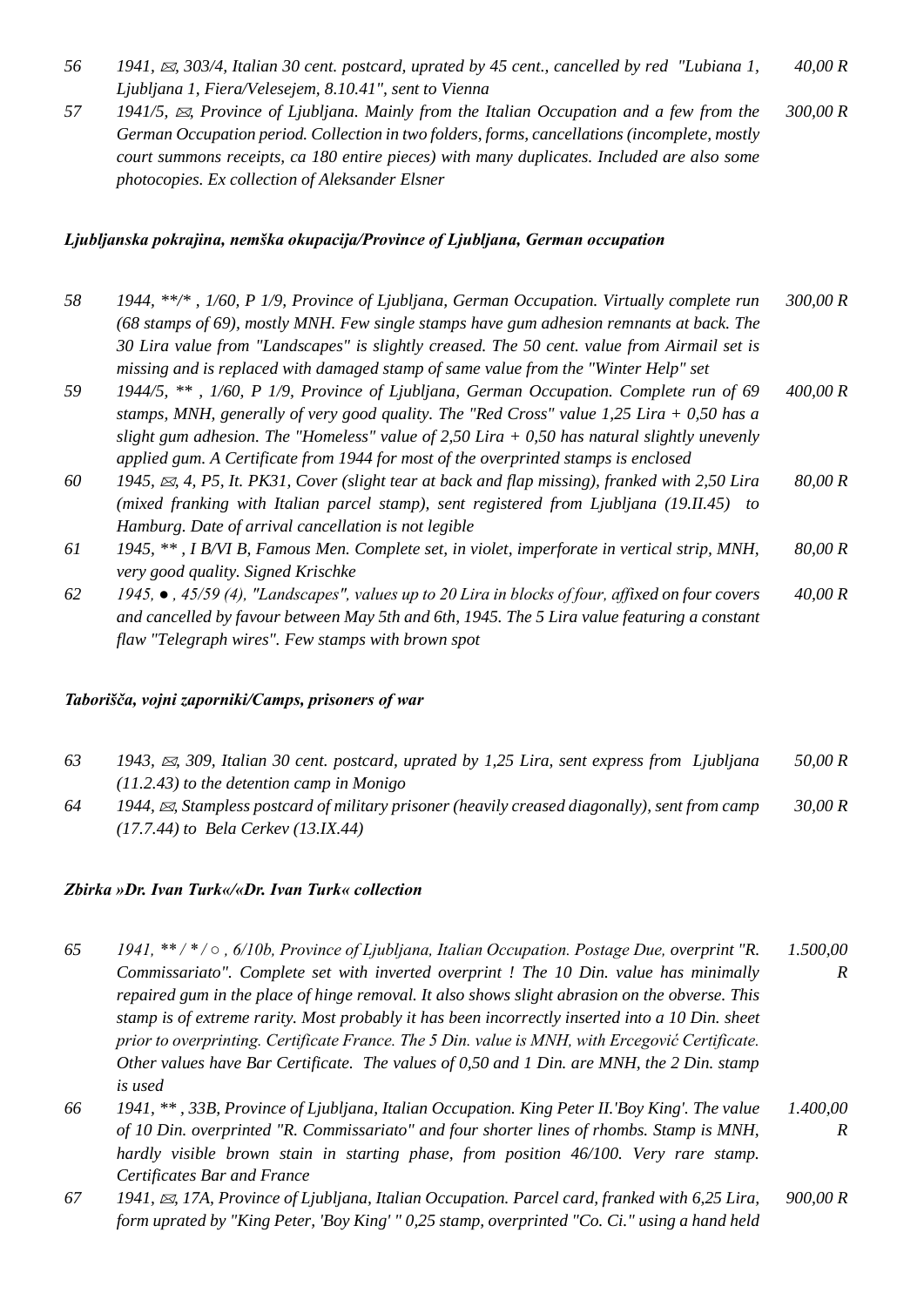- *56 1941, , 303/4, Italian 30 cent. postcard, uprated by 45 cent., cancelled by red "Lubiana 1, Ljubljana 1, Fiera/Velesejem, 8.10.41", sent to Vienna 40,00 R*
- *57 1941/5, , Province of Ljubljana. Mainly from the Italian Occupation and a few from the German Occupation period. Collection in two folders, forms, cancellations (incomplete, mostly court summons receipts, ca 180 entire pieces) with many duplicates. Included are also some photocopies. Ex collection of Aleksander Elsner 300,00 R*

#### *Ljubljanska pokrajina, nemška okupacija/Province of Ljubljana, German occupation*

- *58 1944, \*\*/\* , 1/60, P 1/9, Province of Ljubljana, German Occupation. Virtually complete run (68 stamps of 69), mostly MNH. Few single stamps have gum adhesion remnants at back. The 30 Lira value from "Landscapes" is slightly creased. The 50 cent. value from Airmail set is missing and is replaced with damaged stamp of same value from the "Winter Help" set 300,00 R*
- *59 1944/5, \*\* , 1/60, P 1/9, Province of Ljubljana, German Occupation. Complete run of 69 stamps, MNH, generally of very good quality. The "Red Cross" value 1,25 Lira + 0,50 has a slight gum adhesion. The "Homeless" value of 2,50 Lira + 0,50 has natural slightly unevenly applied gum. A Certificate from 1944 for most of the overprinted stamps is enclosed 400,00 R*
- *60 1945, , 4, P5, It. PK31, Cover (slight tear at back and flap missing), franked with 2,50 Lira (mixed franking with Italian parcel stamp), sent registered from Ljubljana (19.II.45) to Hamburg. Date of arrival cancellation is not legible 80,00 R*
- *61 1945, \*\* , I B/VI B, Famous Men. Complete set, in violet, imperforate in vertical strip, MNH, very good quality. Signed Krischke 80,00 R*
- *62 1945, , 45/59 (4), "Landscapes", values up to 20 Lira in blocks of four, affixed on four covers and cancelled by favour between May 5th and 6th, 1945. The 5 Lira value featuring a constant flaw "Telegraph wires". Few stamps with brown spot 40,00 R*

#### *Taborišča, vojni zaporniki/Camps, prisoners of war*

- *63 1943, , 309, Italian 30 cent. postcard, uprated by 1,25 Lira, sent express from Ljubljana (11.2.43) to the detention camp in Monigo 50,00 R*
- *64 1944, , Stampless postcard of military prisoner (heavily creased diagonally), sent from camp (17.7.44) to Bela Cerkev (13.IX.44) 30,00 R*

#### *Zbirka »Dr. Ivan Turk«/«Dr. Ivan Turk« collection*

- *65 1941, \*\* / \* / , 6/10b, Province of Ljubljana, Italian Occupation. Postage Due, overprint "R. Commissariato". Complete set with inverted overprint ! The 10 Din. value has minimally repaired gum in the place of hinge removal. It also shows slight abrasion on the obverse. This stamp is of extreme rarity. Most probably it has been incorrectly inserted into a 10 Din. sheet prior to overprinting. Certificate France. The 5 Din. value is MNH, with Ercegović Certificate. Other values have Bar Certificate. The values of 0,50 and 1 Din. are MNH, the 2 Din. stamp is used 1.500,00 R*
- *66 1941, \*\* , 33B, Province of Ljubljana, Italian Occupation. King Peter II.'Boy King'. The value of 10 Din. overprinted "R. Commissariato" and four shorter lines of rhombs. Stamp is MNH, hardly visible brown stain in starting phase, from position 46/100. Very rare stamp. Certificates Bar and France 1.400,00 R*
- *67 1941, , 17A, Province of Ljubljana, Italian Occupation. Parcel card, franked with 6,25 Lira, form uprated by "King Peter, 'Boy King' " 0,25 stamp, overprinted "Co. Ci." using a hand held 900,00 R*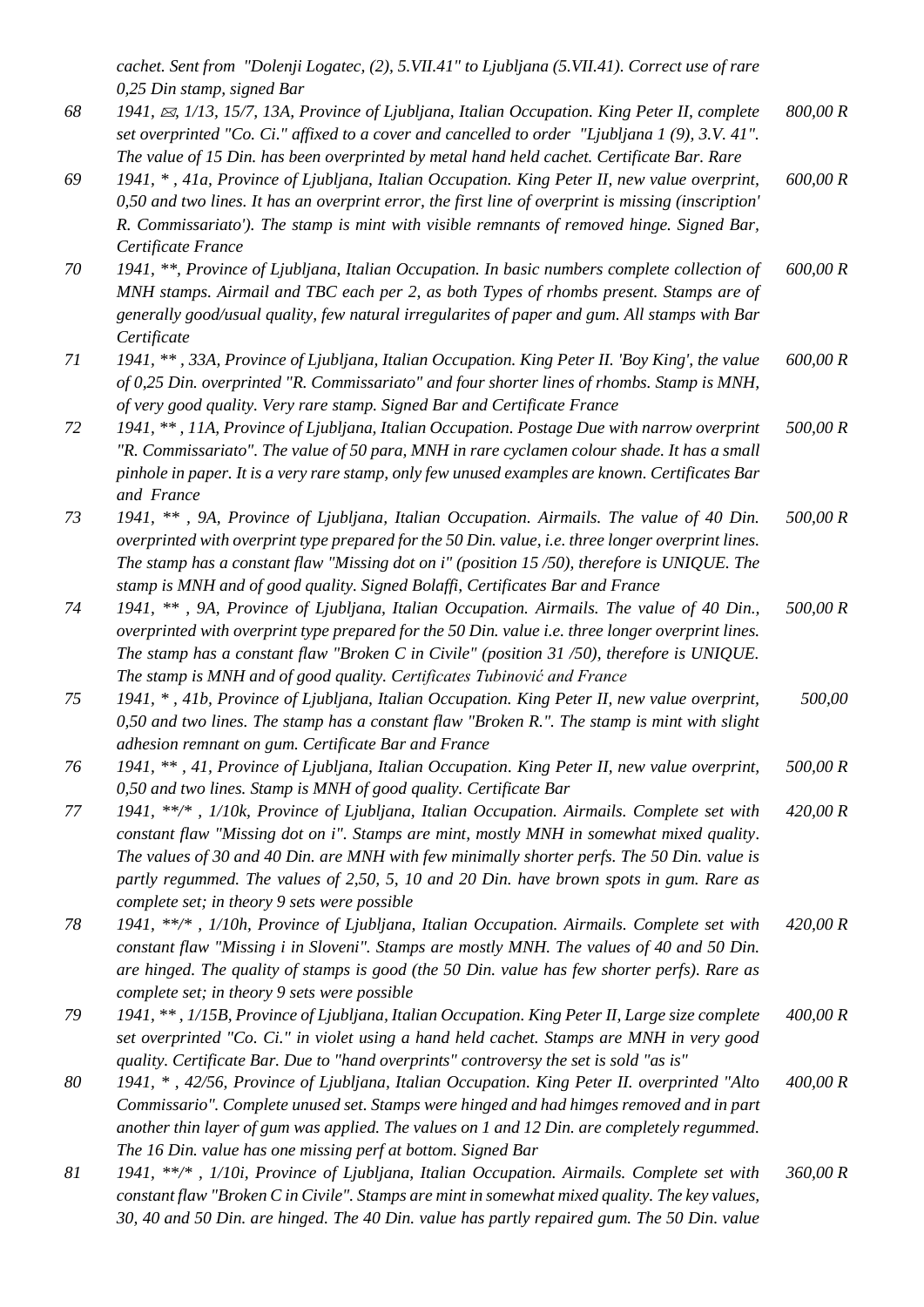*cachet. Sent from "Dolenji Logatec, (2), 5.VII.41" to Ljubljana (5.VII.41). Correct use of rare 0,25 Din stamp, signed Bar*

- *68 1941, , 1/13, 15/7, 13A, Province of Ljubljana, Italian Occupation. King Peter II, complete set overprinted "Co. Ci." affixed to a cover and cancelled to order "Ljubljana 1 (9), 3.V. 41". The value of 15 Din. has been overprinted by metal hand held cachet. Certificate Bar. Rare 800,00 R*
- *69 1941, \* , 41a, Province of Ljubljana, Italian Occupation. King Peter II, new value overprint, 0,50 and two lines. It has an overprint error, the first line of overprint is missing (inscription' R. Commissariato'). The stamp is mint with visible remnants of removed hinge. Signed Bar, Certificate France 600,00 R*
- *70 1941, \*\*, Province of Ljubljana, Italian Occupation. In basic numbers complete collection of MNH stamps. Airmail and TBC each per 2, as both Types of rhombs present. Stamps are of generally good/usual quality, few natural irregularites of paper and gum. All stamps with Bar Certificate 600,00 R*
- *71 1941, \*\* , 33A, Province of Ljubljana, Italian Occupation. King Peter II. 'Boy King', the value of 0,25 Din. overprinted "R. Commissariato" and four shorter lines of rhombs. Stamp is MNH, of very good quality. Very rare stamp. Signed Bar and Certificate France 600,00 R*
- *72 1941, \*\* , 11A, Province of Ljubljana, Italian Occupation. Postage Due with narrow overprint "R. Commissariato". The value of 50 para, MNH in rare cyclamen colour shade. It has a small pinhole in paper. It is a very rare stamp, only few unused examples are known. Certificates Bar and France 500,00 R*
- *73 1941, \*\* , 9A, Province of Ljubljana, Italian Occupation. Airmails. The value of 40 Din. overprinted with overprint type prepared for the 50 Din. value, i.e. three longer overprint lines. The stamp has a constant flaw "Missing dot on i" (position 15 /50), therefore is UNIQUE. The stamp is MNH and of good quality. Signed Bolaffi, Certificates Bar and France 500,00 R*
- *74 1941, \*\* , 9A, Province of Ljubljana, Italian Occupation. Airmails. The value of 40 Din., overprinted with overprint type prepared for the 50 Din. value i.e. three longer overprint lines. The stamp has a constant flaw "Broken C in Civile" (position 31 /50), therefore is UNIQUE. The stamp is MNH and of good quality. Certificates Tubinović and France 500,00 R*
- *75 1941, \* , 41b, Province of Ljubljana, Italian Occupation. King Peter II, new value overprint, 0,50 and two lines. The stamp has a constant flaw "Broken R.". The stamp is mint with slight adhesion remnant on gum. Certificate Bar and France 500,00*
- *76 1941, \*\* , 41, Province of Ljubljana, Italian Occupation. King Peter II, new value overprint, 0,50 and two lines. Stamp is MNH of good quality. Certificate Bar 500,00 R*
- *77 1941, \*\*/\* , 1/10k, Province of Ljubljana, Italian Occupation. Airmails. Complete set with constant flaw "Missing dot on i". Stamps are mint, mostly MNH in somewhat mixed quality. The values of 30 and 40 Din. are MNH with few minimally shorter perfs. The 50 Din. value is partly regummed. The values of 2,50, 5, 10 and 20 Din. have brown spots in gum. Rare as complete set; in theory 9 sets were possible 420,00 R*
- *78 1941, \*\*/\* , 1/10h, Province of Ljubljana, Italian Occupation. Airmails. Complete set with constant flaw "Missing i in Sloveni". Stamps are mostly MNH. The values of 40 and 50 Din. are hinged. The quality of stamps is good (the 50 Din. value has few shorter perfs). Rare as complete set; in theory 9 sets were possible 420,00 R*
- *79 1941, \*\* , 1/15B, Province of Ljubljana, Italian Occupation. King Peter II, Large size complete set overprinted "Co. Ci." in violet using a hand held cachet. Stamps are MNH in very good quality. Certificate Bar. Due to "hand overprints" controversy the set is sold "as is" 400,00 R*
- *80 1941, \* , 42/56, Province of Ljubljana, Italian Occupation. King Peter II. overprinted "Alto Commissario". Complete unused set. Stamps were hinged and had himges removed and in part another thin layer of gum was applied. The values on 1 and 12 Din. are completely regummed. The 16 Din. value has one missing perf at bottom. Signed Bar 400,00 R*
- *81 1941, \*\*/\* , 1/10i, Province of Ljubljana, Italian Occupation. Airmails. Complete set with constant flaw "Broken C in Civile". Stamps are mint in somewhat mixed quality. The key values, 30, 40 and 50 Din. are hinged. The 40 Din. value has partly repaired gum. The 50 Din. value 360,00 R*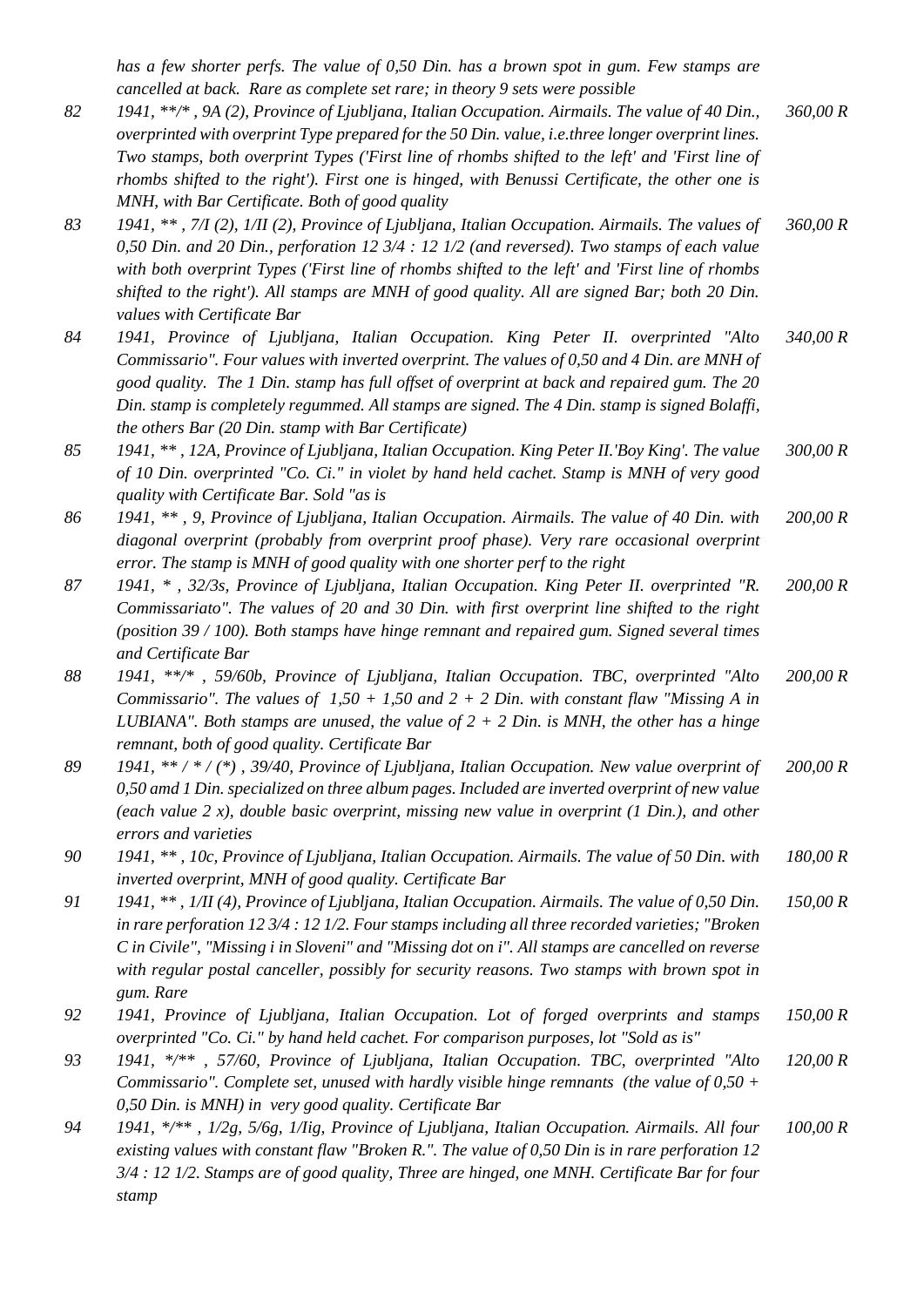*has a few shorter perfs. The value of 0,50 Din. has a brown spot in gum. Few stamps are cancelled at back. Rare as complete set rare; in theory 9 sets were possible*

- *82 1941, \*\*/\* , 9A (2), Province of Ljubljana, Italian Occupation. Airmails. The value of 40 Din., overprinted with overprint Type prepared for the 50 Din. value, i.e.three longer overprint lines. Two stamps, both overprint Types ('First line of rhombs shifted to the left' and 'First line of rhombs shifted to the right'). First one is hinged, with Benussi Certificate, the other one is MNH, with Bar Certificate. Both of good quality 360,00 R*
- *83 1941, \*\* , 7/I (2), 1/II (2), Province of Ljubljana, Italian Occupation. Airmails. The values of 0,50 Din. and 20 Din., perforation 12 3/4 : 12 1/2 (and reversed). Two stamps of each value with both overprint Types ('First line of rhombs shifted to the left' and 'First line of rhombs shifted to the right'). All stamps are MNH of good quality. All are signed Bar; both 20 Din. values with Certificate Bar 360,00 R*
- *84 1941, Province of Ljubljana, Italian Occupation. King Peter II. overprinted "Alto Commissario". Four values with inverted overprint. The values of 0,50 and 4 Din. are MNH of good quality. The 1 Din. stamp has full offset of overprint at back and repaired gum. The 20 Din. stamp is completely regummed. All stamps are signed. The 4 Din. stamp is signed Bolaffi, the others Bar (20 Din. stamp with Bar Certificate) 340,00 R*
- *85 1941, \*\* , 12A, Province of Ljubljana, Italian Occupation. King Peter II.'Boy King'. The value of 10 Din. overprinted "Co. Ci." in violet by hand held cachet. Stamp is MNH of very good quality with Certificate Bar. Sold "as is 300,00 R*
- *86 1941, \*\* , 9, Province of Ljubljana, Italian Occupation. Airmails. The value of 40 Din. with diagonal overprint (probably from overprint proof phase). Very rare occasional overprint error. The stamp is MNH of good quality with one shorter perf to the right 200,00 R*
- *87 1941, \* , 32/3s, Province of Ljubljana, Italian Occupation. King Peter II. overprinted "R. Commissariato". The values of 20 and 30 Din. with first overprint line shifted to the right (position 39 / 100). Both stamps have hinge remnant and repaired gum. Signed several times and Certificate Bar 200,00 R*
- *88 1941, \*\*/\* , 59/60b, Province of Ljubljana, Italian Occupation. TBC, overprinted "Alto Commissario". The values of 1,50 + 1,50 and 2 + 2 Din. with constant flaw "Missing A in LUBIANA". Both stamps are unused, the value of 2 + 2 Din. is MNH, the other has a hinge remnant, both of good quality. Certificate Bar 200,00 R*
- *89 1941, \*\* / \* / (\*) , 39/40, Province of Ljubljana, Italian Occupation. New value overprint of 0,50 amd 1 Din. specialized on three album pages. Included are inverted overprint of new value (each value 2 x), double basic overprint, missing new value in overprint (1 Din.), and other errors and varieties 200,00 R*
- *90 1941, \*\* , 10c, Province of Ljubljana, Italian Occupation. Airmails. The value of 50 Din. with inverted overprint, MNH of good quality. Certificate Bar 180,00 R*
- *91 1941, \*\* , 1/II (4), Province of Ljubljana, Italian Occupation. Airmails. The value of 0,50 Din. in rare perforation 12 3/4 : 12 1/2. Four stamps including all three recorded varieties; "Broken C in Civile", "Missing i in Sloveni" and "Missing dot on i". All stamps are cancelled on reverse with regular postal canceller, possibly for security reasons. Two stamps with brown spot in gum. Rare 150,00 R*
- *92 1941, Province of Ljubljana, Italian Occupation. Lot of forged overprints and stamps overprinted "Co. Ci." by hand held cachet. For comparison purposes, lot "Sold as is" 150,00 R*
- *93 1941, \*/\*\* , 57/60, Province of Ljubljana, Italian Occupation. TBC, overprinted "Alto Commissario". Complete set, unused with hardly visible hinge remnants (the value of 0,50 + 0,50 Din. is MNH) in very good quality. Certificate Bar 120,00 R*
- *94 1941, \*/\*\* , 1/2g, 5/6g, 1/Iig, Province of Ljubljana, Italian Occupation. Airmails. All four existing values with constant flaw "Broken R.". The value of 0,50 Din is in rare perforation 12 3/4 : 12 1/2. Stamps are of good quality, Three are hinged, one MNH. Certificate Bar for four stamp 100,00 R*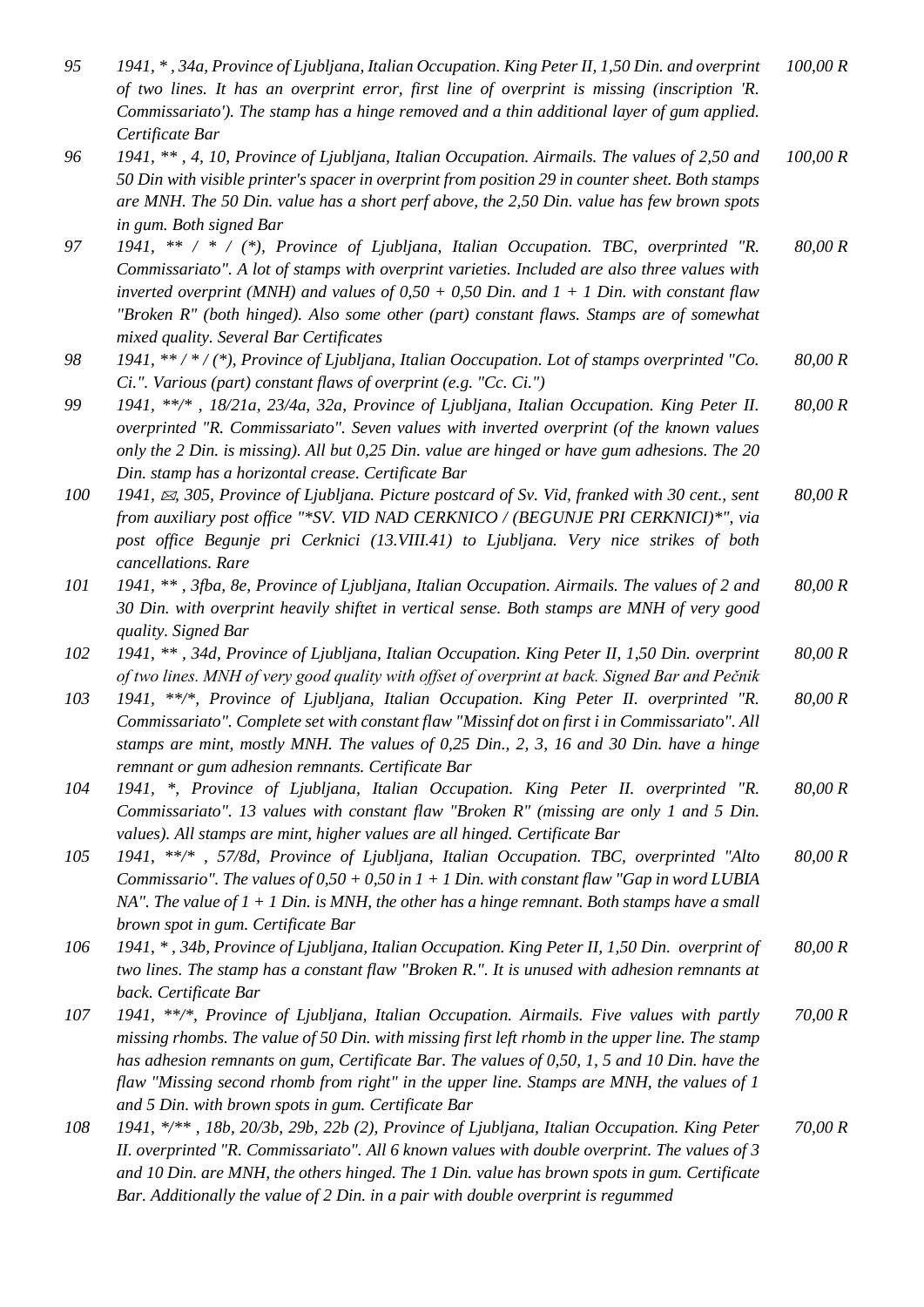| 95  | 1941, *, 34a, Province of Ljubljana, Italian Occupation. King Peter II, 1,50 Din. and overprint<br>of two lines. It has an overprint error, first line of overprint is missing (inscription 'R.<br>Commissariato'). The stamp has a hinge removed and a thin additional layer of gum applied.                                                                                                                                                   | 100,00 R |
|-----|-------------------------------------------------------------------------------------------------------------------------------------------------------------------------------------------------------------------------------------------------------------------------------------------------------------------------------------------------------------------------------------------------------------------------------------------------|----------|
|     | Certificate Bar                                                                                                                                                                                                                                                                                                                                                                                                                                 |          |
| 96  | 1941, **, 4, 10, Province of Ljubljana, Italian Occupation. Airmails. The values of 2,50 and<br>50 Din with visible printer's spacer in overprint from position 29 in counter sheet. Both stamps<br>are MNH. The 50 Din. value has a short perf above, the 2,50 Din. value has few brown spots                                                                                                                                                  | 100,00 R |
| 97  | in gum. Both signed Bar<br>1941, ** / * / (*), Province of Ljubljana, Italian Occupation. TBC, overprinted "R.                                                                                                                                                                                                                                                                                                                                  | 80,00 R  |
|     | Commissariato". A lot of stamps with overprint varieties. Included are also three values with<br>inverted overprint (MNH) and values of $0.50 + 0.50$ Din. and $1 + 1$ Din. with constant flaw<br>"Broken R" (both hinged). Also some other (part) constant flaws. Stamps are of somewhat<br>mixed quality. Several Bar Certificates                                                                                                            |          |
| 98  | 1941, **/*/(*), Province of Ljubljana, Italian Ooccupation. Lot of stamps overprinted "Co.<br>Ci.". Various (part) constant flaws of overprint (e.g. "Cc. Ci.")                                                                                                                                                                                                                                                                                 | 80,00 R  |
| 99  | 1941, **/*, 18/21a, 23/4a, 32a, Province of Ljubljana, Italian Occupation. King Peter II.                                                                                                                                                                                                                                                                                                                                                       | 80,00 R  |
|     | overprinted "R. Commissariato". Seven values with inverted overprint (of the known values<br>only the 2 Din. is missing). All but 0,25 Din. value are hinged or have gum adhesions. The 20<br>Din. stamp has a horizontal crease. Certificate Bar                                                                                                                                                                                               |          |
| 100 | 1941, $\approx$ , 305, Province of Ljubljana. Picture postcard of Sv. Vid, franked with 30 cent., sent                                                                                                                                                                                                                                                                                                                                          | 80,00 R  |
|     | from auxiliary post office "*SV. VID NAD CERKNICO / (BEGUNJE PRI CERKNICI)*", via                                                                                                                                                                                                                                                                                                                                                               |          |
|     | post office Begunje pri Cerknici (13.VIII.41) to Ljubljana. Very nice strikes of both<br>cancellations. Rare                                                                                                                                                                                                                                                                                                                                    |          |
| 101 | 1941, **, 3fba, 8e, Province of Ljubljana, Italian Occupation. Airmails. The values of 2 and<br>30 Din. with overprint heavily shiftet in vertical sense. Both stamps are MNH of very good                                                                                                                                                                                                                                                      | 80,00 R  |
| 102 | quality. Signed Bar<br>1941, **, 34d, Province of Ljubljana, Italian Occupation. King Peter II, 1,50 Din. overprint                                                                                                                                                                                                                                                                                                                             | 80,00 R  |
|     | of two lines. MNH of very good quality with offset of overprint at back. Signed Bar and Pečnik                                                                                                                                                                                                                                                                                                                                                  |          |
| 103 | 1941, **/*, Province of Ljubljana, Italian Occupation. King Peter II. overprinted "R.<br>Commissariato". Complete set with constant flaw "Missinf dot on first i in Commissariato". All<br>stamps are mint, mostly MNH. The values of 0,25 Din., 2, 3, 16 and 30 Din. have a hinge<br>remnant or gum adhesion remnants. Certificate Bar                                                                                                         | 80,00 R  |
| 104 | 1941, *, Province of Ljubljana, Italian Occupation. King Peter II. overprinted "R.<br>Commissariato". 13 values with constant flaw "Broken R" (missing are only 1 and 5 Din.<br>values). All stamps are mint, higher values are all hinged. Certificate Bar                                                                                                                                                                                     | 80,00 R  |
| 105 | 1941, **/*, 57/8d, Province of Ljubljana, Italian Occupation. TBC, overprinted "Alto<br>Commissario". The values of $0,50 + 0,50$ in $1 + 1$ Din. with constant flaw "Gap in word LUBIA"<br>NA". The value of $1 + 1$ Din, is MNH, the other has a hinge remnant. Both stamps have a small<br>brown spot in gum. Certificate Bar                                                                                                                | 80,00 R  |
| 106 | 1941, *, 34b, Province of Ljubljana, Italian Occupation. King Peter II, 1,50 Din. overprint of<br>two lines. The stamp has a constant flaw "Broken R.". It is unused with adhesion remnants at                                                                                                                                                                                                                                                  | 80,00 R  |
|     | back. Certificate Bar                                                                                                                                                                                                                                                                                                                                                                                                                           |          |
| 107 | 1941, **/*, Province of Ljubljana, Italian Occupation. Airmails. Five values with partly<br>missing rhombs. The value of 50 Din. with missing first left rhomb in the upper line. The stamp<br>has adhesion remnants on gum, Certificate Bar. The values of 0,50, 1, 5 and 10 Din. have the<br>flaw "Missing second rhomb from right" in the upper line. Stamps are MNH, the values of 1<br>and 5 Din. with brown spots in gum. Certificate Bar | 70,00 R  |
| 108 | 1941, */**, 18b, 20/3b, 29b, 22b (2), Province of Ljubljana, Italian Occupation. King Peter<br>II. overprinted "R. Commissariato". All 6 known values with double overprint. The values of 3<br>and 10 Din. are MNH, the others hinged. The 1 Din. value has brown spots in gum. Certificate                                                                                                                                                    | 70,00 R  |

*Bar. Additionally the value of 2 Din. in a pair with double overprint is regummed*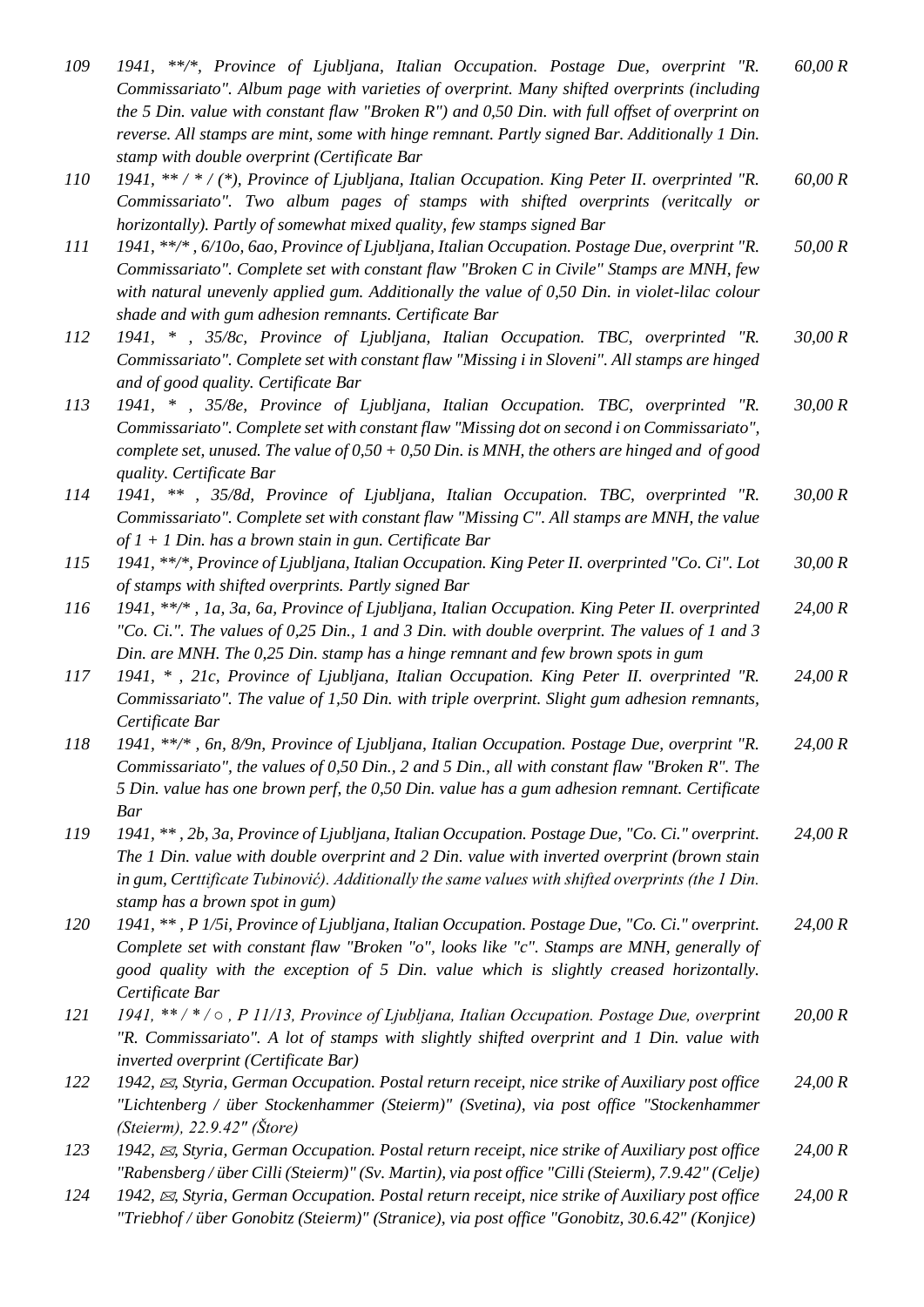| 109        | 1941, **/*, Province of Ljubljana, Italian Occupation. Postage Due, overprint "R.<br>Commissariato". Album page with varieties of overprint. Many shifted overprints (including<br>the 5 Din. value with constant flaw "Broken $R$ ") and 0,50 Din. with full offset of overprint on<br>reverse. All stamps are mint, some with hinge remnant. Partly signed Bar. Additionally 1 Din.<br>stamp with double overprint (Certificate Bar | 60,00 R |
|------------|---------------------------------------------------------------------------------------------------------------------------------------------------------------------------------------------------------------------------------------------------------------------------------------------------------------------------------------------------------------------------------------------------------------------------------------|---------|
| <i>110</i> | 1941, ** / * / (*), Province of Ljubljana, Italian Occupation. King Peter II. overprinted "R.<br>Commissariato". Two album pages of stamps with shifted overprints (veritcally or<br>horizontally). Partly of somewhat mixed quality, few stamps signed Bar                                                                                                                                                                           | 60,00 R |
| 111        | 1941, **/*, 6/10o, 6ao, Province of Ljubljana, Italian Occupation. Postage Due, overprint "R.<br>Commissariato". Complete set with constant flaw "Broken C in Civile" Stamps are MNH, few<br>with natural unevenly applied gum. Additionally the value of 0,50 Din. in violet-lilac colour<br>shade and with gum adhesion remnants. Certificate Bar                                                                                   | 50,00 R |
| 112        | 1941, * , 35/8c, Province of Ljubljana, Italian Occupation. TBC, overprinted "R.<br>Commissariato". Complete set with constant flaw "Missing i in Sloveni". All stamps are hinged<br>and of good quality. Certificate Bar                                                                                                                                                                                                             | 30,00 R |
| 113        | 1941, * , 35/8e, Province of Ljubljana, Italian Occupation. TBC, overprinted "R.<br>Commissariato". Complete set with constant flaw "Missing dot on second i on Commissariato",<br>complete set, unused. The value of $0.50 + 0.50$ Din. is MNH, the others are hinged and of good<br>quality. Certificate Bar                                                                                                                        | 30,00 R |
| 114        | 1941, ** , 35/8d, Province of Ljubljana, Italian Occupation. TBC, overprinted "R.<br>Commissariato". Complete set with constant flaw "Missing C". All stamps are MNH, the value<br>of $1 + 1$ Din. has a brown stain in gun. Certificate Bar                                                                                                                                                                                          | 30,00 R |
| 115        | 1941, **/*, Province of Ljubljana, Italian Occupation. King Peter II. overprinted "Co. Ci". Lot<br>of stamps with shifted overprints. Partly signed Bar                                                                                                                                                                                                                                                                               | 30,00 R |
| 116        | 1941, **/*, 1a, 3a, 6a, Province of Ljubljana, Italian Occupation. King Peter II. overprinted<br>"Co. Ci.". The values of 0.25 Din., 1 and 3 Din. with double overprint. The values of 1 and 3<br>Din. are MNH. The 0,25 Din. stamp has a hinge remnant and few brown spots in gum                                                                                                                                                    | 24,00 R |
| 117        | 1941, *, 21c, Province of Ljubljana, Italian Occupation. King Peter II. overprinted "R.<br>Commissariato". The value of 1,50 Din. with triple overprint. Slight gum adhesion remnants,<br>Certificate Bar                                                                                                                                                                                                                             | 24,00 R |
| 118        | 1941, **/*, 6n, 8/9n, Province of Ljubljana, Italian Occupation. Postage Due, overprint "R.<br>Commissariato", the values of 0,50 Din., 2 and 5 Din., all with constant flaw "Broken R". The<br>5 Din. value has one brown perf, the 0,50 Din. value has a gum adhesion remnant. Certificate<br><b>Bar</b>                                                                                                                            | 24,00 R |
| 119        | 1941, **, 2b, 3a, Province of Ljubljana, Italian Occupation. Postage Due, "Co. Ci." overprint.<br>The 1 Din. value with double overprint and 2 Din. value with inverted overprint (brown stain<br>in gum, Certtificate Tubinović). Additionally the same values with shifted overprints (the 1 Din.<br>stamp has a brown spot in gum)                                                                                                 | 24,00 R |
| 120        | 1941, **, P 1/5i, Province of Ljubljana, Italian Occupation. Postage Due, "Co. Ci." overprint.<br>Complete set with constant flaw "Broken "o", looks like "c". Stamps are MNH, generally of<br>good quality with the exception of 5 Din. value which is slightly creased horizontally.<br>Certificate Bar                                                                                                                             | 24,00 R |
| 121        | 1941, **/*/o, P 11/13, Province of Ljubljana, Italian Occupation. Postage Due, overprint<br>"R. Commissariato". A lot of stamps with slightly shifted overprint and 1 Din. value with<br>inverted overprint (Certificate Bar)                                                                                                                                                                                                         | 20,00 R |
| 122        | 1942, $\boxtimes$ , Styria, German Occupation. Postal return receipt, nice strike of Auxiliary post office<br>"Lichtenberg / über Stockenhammer (Steierm)" (Svetina), via post office "Stockenhammer<br>(Steierm), 22.9.42" (Store)                                                                                                                                                                                                   | 24,00 R |
| 123        | 1942, $\boxtimes$ , Styria, German Occupation. Postal return receipt, nice strike of Auxiliary post office<br>"Rabensberg / über Cilli (Steierm)" (Sv. Martin), via post office "Cilli (Steierm), 7.9.42" (Celje)                                                                                                                                                                                                                     | 24,00 R |
| 124        | 1942, $\boxtimes$ , Styria, German Occupation. Postal return receipt, nice strike of Auxiliary post office<br>"Triebhof / über Gonobitz (Steierm)" (Stranice), via post office "Gonobitz, 30.6.42" (Konjice)                                                                                                                                                                                                                          | 24,00 R |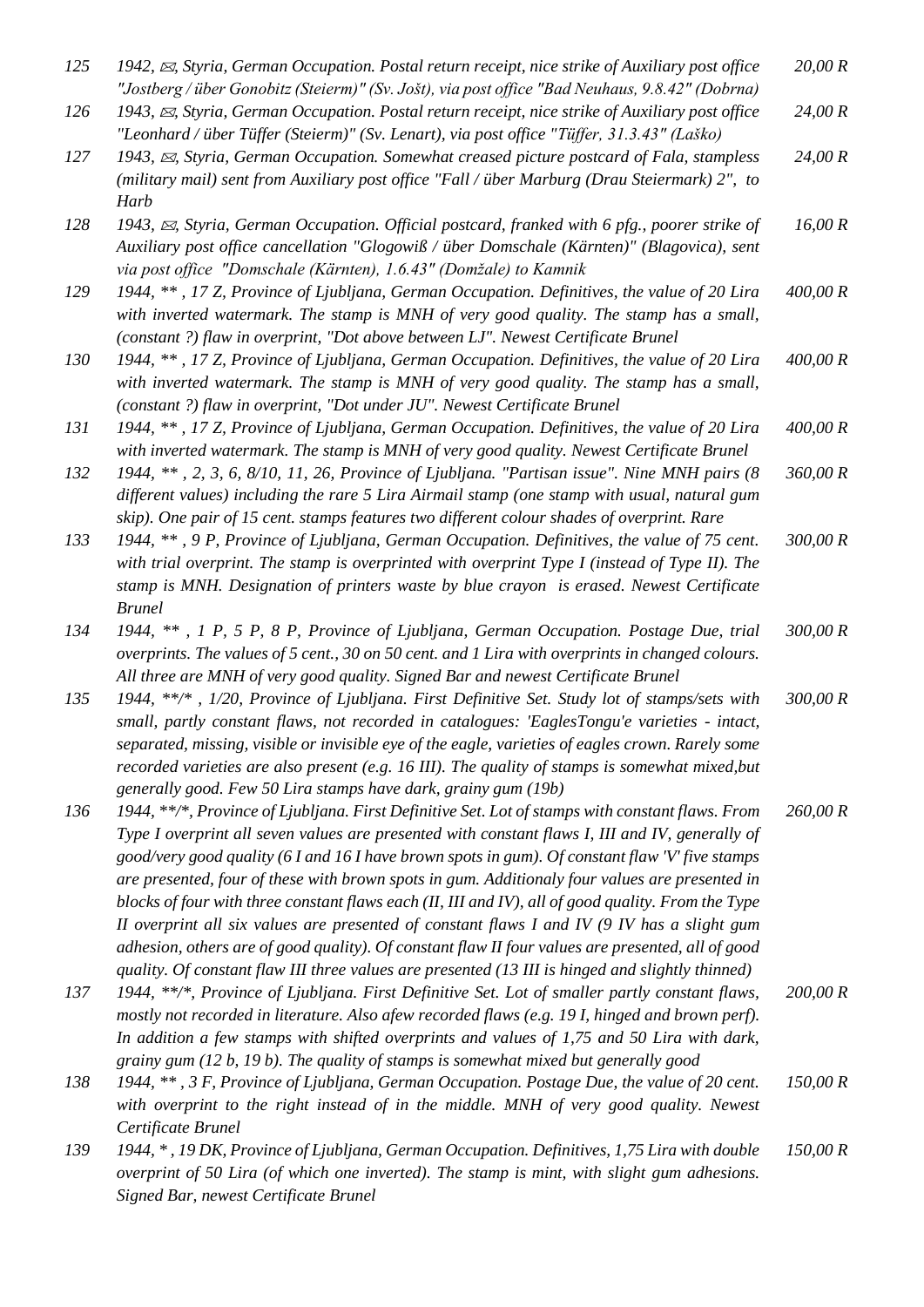| 125 | 1942, $\boxtimes$ , Styria, German Occupation. Postal return receipt, nice strike of Auxiliary post office<br>"Jostberg / über Gonobitz (Steierm)" (Sv. Jošt), via post office "Bad Neuhaus, 9.8.42" (Dobrna)                                                                                                                                                                                                                                                                                                                                                                                                                                                                                                                                                                                                            | 20,00 R  |
|-----|--------------------------------------------------------------------------------------------------------------------------------------------------------------------------------------------------------------------------------------------------------------------------------------------------------------------------------------------------------------------------------------------------------------------------------------------------------------------------------------------------------------------------------------------------------------------------------------------------------------------------------------------------------------------------------------------------------------------------------------------------------------------------------------------------------------------------|----------|
| 126 | 1943, $\boxtimes$ , Styria, German Occupation. Postal return receipt, nice strike of Auxiliary post office<br>"Leonhard / über Tüffer (Steierm)" (Sv. Lenart), via post office "Tüffer, 31.3.43" (Laško)                                                                                                                                                                                                                                                                                                                                                                                                                                                                                                                                                                                                                 | 24,00 R  |
| 127 | 1943, $\boxtimes$ , Styria, German Occupation. Somewhat creased picture postcard of Fala, stampless<br>(military mail) sent from Auxiliary post office "Fall / über Marburg (Drau Steiermark) 2", to<br>Harb                                                                                                                                                                                                                                                                                                                                                                                                                                                                                                                                                                                                             | 24,00 R  |
| 128 | 1943, $\boxtimes$ , Styria, German Occupation. Official postcard, franked with 6 pfg., poorer strike of<br>Auxiliary post office cancellation "Glogowiß / über Domschale (Kärnten)" (Blagovica), sent<br>via post office "Domschale (Kärnten), 1.6.43" (Domžale) to Kamnik                                                                                                                                                                                                                                                                                                                                                                                                                                                                                                                                               | 16,00 R  |
| 129 | 1944, **, 17 Z, Province of Ljubljana, German Occupation. Definitives, the value of 20 Lira<br>with inverted watermark. The stamp is MNH of very good quality. The stamp has a small,<br>(constant ?) flaw in overprint, "Dot above between LJ". Newest Certificate Brunel                                                                                                                                                                                                                                                                                                                                                                                                                                                                                                                                               | 400,00 R |
| 130 | 1944, **, 17 Z, Province of Ljubljana, German Occupation. Definitives, the value of 20 Lira<br>with inverted watermark. The stamp is MNH of very good quality. The stamp has a small,<br>(constant ?) flaw in overprint, "Dot under JU". Newest Certificate Brunel                                                                                                                                                                                                                                                                                                                                                                                                                                                                                                                                                       | 400,00 R |
| 131 | 1944, **, 17 Z, Province of Ljubljana, German Occupation. Definitives, the value of 20 Lira<br>with inverted watermark. The stamp is MNH of very good quality. Newest Certificate Brunel                                                                                                                                                                                                                                                                                                                                                                                                                                                                                                                                                                                                                                 | 400,00 R |
| 132 | 1944, **, 2, 3, 6, 8/10, 11, 26, Province of Ljubljana. "Partisan issue". Nine MNH pairs (8<br>different values) including the rare 5 Lira Airmail stamp (one stamp with usual, natural gum<br>skip). One pair of 15 cent. stamps features two different colour shades of overprint. Rare                                                                                                                                                                                                                                                                                                                                                                                                                                                                                                                                | 360,00 R |
| 133 | 1944, **, 9 P, Province of Ljubljana, German Occupation. Definitives, the value of 75 cent.<br>with trial overprint. The stamp is overprinted with overprint Type I (instead of Type II). The<br>stamp is MNH. Designation of printers waste by blue crayon is erased. Newest Certificate<br><b>Brunel</b>                                                                                                                                                                                                                                                                                                                                                                                                                                                                                                               | 300,00 R |
| 134 | 1944, **, 1 P, 5 P, 8 P, Province of Ljubljana, German Occupation. Postage Due, trial<br>overprints. The values of 5 cent., 30 on 50 cent. and 1 Lira with overprints in changed colours.<br>All three are MNH of very good quality. Signed Bar and newest Certificate Brunel                                                                                                                                                                                                                                                                                                                                                                                                                                                                                                                                            | 300,00 R |
| 135 | 1944, **/*, 1/20, Province of Ljubljana. First Definitive Set. Study lot of stamps/sets with<br>small, partly constant flaws, not recorded in catalogues: 'EaglesTongu'e varieties - intact,<br>separated, missing, visible or invisible eye of the eagle, varieties of eagles crown. Rarely some<br>recorded varieties are also present (e.g. 16 III). The quality of stamps is somewhat mixed, but<br>generally good. Few 50 Lira stamps have dark, grainy gum (19b)                                                                                                                                                                                                                                                                                                                                                   | 300,00 R |
| 136 | 1944, **/*, Province of Ljubljana. First Definitive Set. Lot of stamps with constant flaws. From<br>Type I overprint all seven values are presented with constant flaws I, III and IV, generally of<br>good/very good quality (6 I and 16 I have brown spots in gum). Of constant flaw 'V' five stamps<br>are presented, four of these with brown spots in gum. Additionaly four values are presented in<br>blocks of four with three constant flaws each (II, III and IV), all of good quality. From the Type<br>II overprint all six values are presented of constant flaws I and IV $(9$ IV has a slight gum<br>adhesion, others are of good quality). Of constant flaw II four values are presented, all of good<br>quality. Of constant flaw III three values are presented (13 III is hinged and slightly thinned) | 260,00 R |
| 137 | 1944, **/*, Province of Ljubljana. First Definitive Set. Lot of smaller partly constant flaws,<br>mostly not recorded in literature. Also afew recorded flaws (e.g. 19 I, hinged and brown perf).<br>In addition a few stamps with shifted overprints and values of 1,75 and 50 Lira with dark,<br>grainy gum $(12 b, 19 b)$ . The quality of stamps is somewhat mixed but generally good                                                                                                                                                                                                                                                                                                                                                                                                                                | 200,00 R |
| 138 | 1944, **, 3 F, Province of Ljubljana, German Occupation. Postage Due, the value of 20 cent.<br>with overprint to the right instead of in the middle. MNH of very good quality. Newest<br>Certificate Brunel                                                                                                                                                                                                                                                                                                                                                                                                                                                                                                                                                                                                              | 150,00 R |
| 139 | 1944, *, 19 DK, Province of Ljubljana, German Occupation. Definitives, 1,75 Lira with double<br>overprint of 50 Lira (of which one inverted). The stamp is mint, with slight gum adhesions.                                                                                                                                                                                                                                                                                                                                                                                                                                                                                                                                                                                                                              | 150,00 R |

*Signed Bar, newest Certificate Brunel*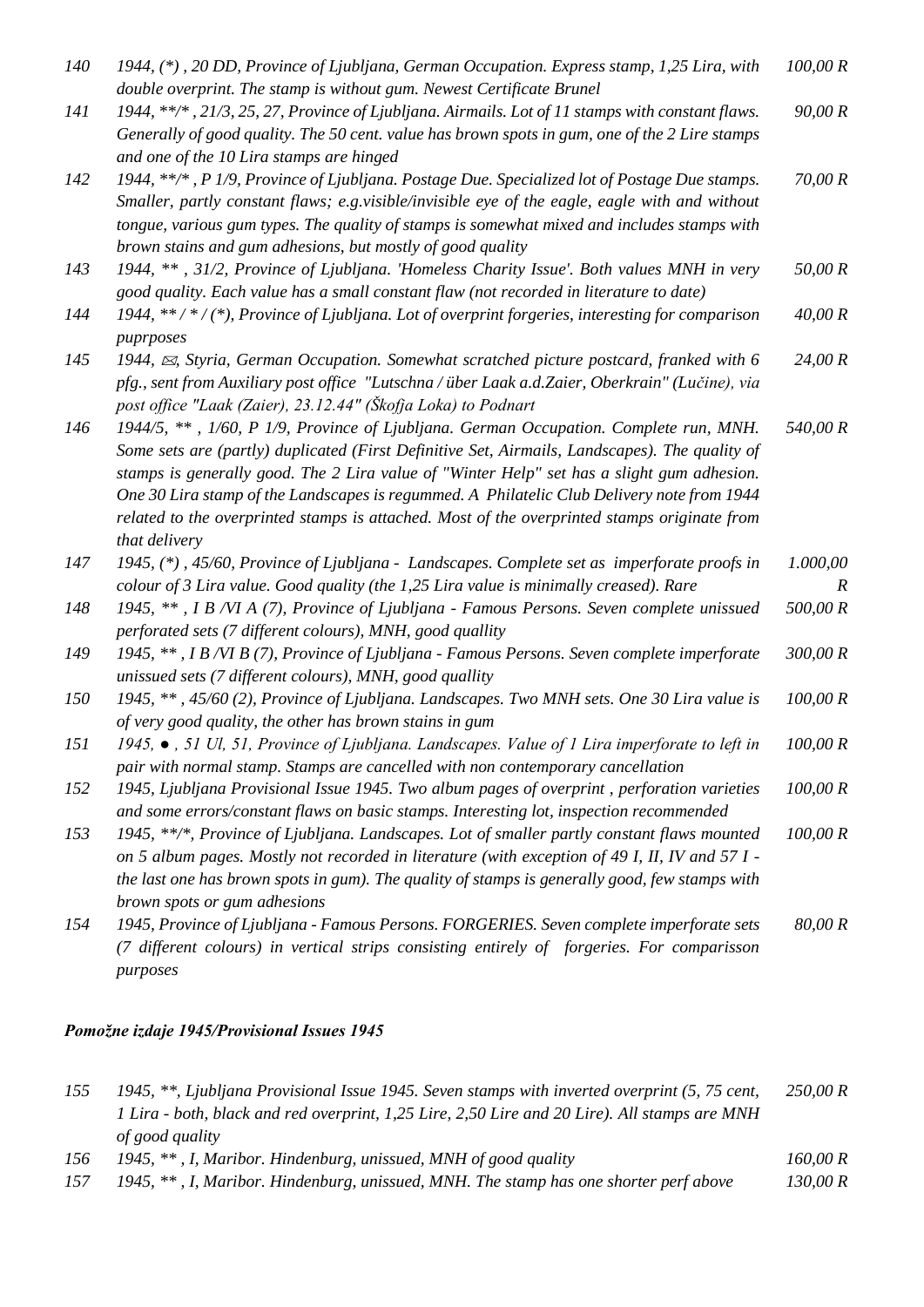| 140 | 1944, (*), 20 DD, Province of Ljubljana, German Occupation. Express stamp, 1,25 Lira, with<br>double overprint. The stamp is without gum. Newest Certificate Brunel                                                                                                                                                                                                                                                                                                                                  | 100,00 R                 |
|-----|------------------------------------------------------------------------------------------------------------------------------------------------------------------------------------------------------------------------------------------------------------------------------------------------------------------------------------------------------------------------------------------------------------------------------------------------------------------------------------------------------|--------------------------|
| 141 | 1944, **/*, 21/3, 25, 27, Province of Ljubljana. Airmails. Lot of 11 stamps with constant flaws.<br>Generally of good quality. The 50 cent. value has brown spots in gum, one of the 2 Lire stamps<br>and one of the 10 Lira stamps are hinged                                                                                                                                                                                                                                                       | 90,00 R                  |
| 142 | 1944, **/*, P 1/9, Province of Ljubljana. Postage Due. Specialized lot of Postage Due stamps.<br>Smaller, partly constant flaws; e.g.visible/invisible eye of the eagle, eagle with and without<br>tongue, various gum types. The quality of stamps is somewhat mixed and includes stamps with<br>brown stains and gum adhesions, but mostly of good quality                                                                                                                                         | 70,00 R                  |
| 143 | 1944, **, 31/2, Province of Ljubljana. 'Homeless Charity Issue'. Both values MNH in very<br>good quality. Each value has a small constant flaw (not recorded in literature to date)                                                                                                                                                                                                                                                                                                                  | 50,00 R                  |
| 144 | 1944, **/*/(*), Province of Ljubljana. Lot of overprint forgeries, interesting for comparison<br>puprposes                                                                                                                                                                                                                                                                                                                                                                                           | 40,00 R                  |
| 145 | 1944, $\boxtimes$ , Styria, German Occupation. Somewhat scratched picture postcard, franked with 6<br>pfg., sent from Auxiliary post office "Lutschna / über Laak a.d. Zaier, Oberkrain" (Lučine), via<br>post office "Laak (Zaier), 23.12.44" (Škofja Loka) to Podnart                                                                                                                                                                                                                              | 24,00 R                  |
| 146 | 1944/5, **, 1/60, P 1/9, Province of Ljubljana. German Occupation. Complete run, MNH.<br>Some sets are (partly) duplicated (First Definitive Set, Airmails, Landscapes). The quality of<br>stamps is generally good. The 2 Lira value of "Winter Help" set has a slight gum adhesion.<br>One 30 Lira stamp of the Landscapes is regummed. A Philatelic Club Delivery note from 1944<br>related to the overprinted stamps is attached. Most of the overprinted stamps originate from<br>that delivery | 540,00 R                 |
| 147 | 1945, (*), 45/60, Province of Ljubljana - Landscapes. Complete set as imperforate proofs in<br>colour of 3 Lira value. Good quality (the 1,25 Lira value is minimally creased). Rare                                                                                                                                                                                                                                                                                                                 | 1.000,00<br>$\mathbb{R}$ |
| 148 | 1945, **, I B /VI A (7), Province of Ljubljana - Famous Persons. Seven complete unissued<br>perforated sets (7 different colours), MNH, good quallity                                                                                                                                                                                                                                                                                                                                                | 500,00 R                 |
| 149 | 1945, **, I B /VI B (7), Province of Ljubljana - Famous Persons. Seven complete imperforate<br>unissued sets (7 different colours), MNH, good quallity                                                                                                                                                                                                                                                                                                                                               | 300,00 R                 |
| 150 | 1945, **, 45/60 (2), Province of Ljubljana. Landscapes. Two MNH sets. One 30 Lira value is<br>of very good quality, the other has brown stains in gum                                                                                                                                                                                                                                                                                                                                                | 100,00 R                 |
| 151 | 1945, . 51 Ul, 51, Province of Ljubljana. Landscapes. Value of 1 Lira imperforate to left in<br>pair with normal stamp. Stamps are cancelled with non contemporary cancellation                                                                                                                                                                                                                                                                                                                      | 100,00 R                 |
| 152 | 1945, Ljubljana Provisional Issue 1945. Two album pages of overprint, perforation varieties<br>and some errors/constant flaws on basic stamps. Interesting lot, inspection recommended                                                                                                                                                                                                                                                                                                               | 100,00 R                 |
| 153 | 1945, **/*, Province of Ljubljana. Landscapes. Lot of smaller partly constant flaws mounted<br>on 5 album pages. Mostly not recorded in literature (with exception of 49 I, II, IV and $57$ I -<br>the last one has brown spots in gum). The quality of stamps is generally good, few stamps with<br>brown spots or gum adhesions                                                                                                                                                                    | 100,00 R                 |
| 154 | 1945, Province of Ljubljana - Famous Persons. FORGERIES. Seven complete imperforate sets<br>(7 different colours) in vertical strips consisting entirely of forgeries. For comparisson<br>purposes                                                                                                                                                                                                                                                                                                   | 80,00 R                  |

# *Pomožne izdaje 1945/Provisional Issues 1945*

| 155 | 1945, **, Ljubljana Provisional Issue 1945. Seven stamps with inverted overprint (5, 75 cent, | 250,00 R |
|-----|-----------------------------------------------------------------------------------------------|----------|
|     | 1 Lira - both, black and red overprint, 1,25 Lire, 2,50 Lire and 20 Lire). All stamps are MNH |          |
|     | of good quality                                                                               |          |
| 156 | 1945, $**$ , I, Maribor. Hindenburg, unissued, MNH of good quality                            | 160,00 R |
| 157 | 1945, **, I, Maribor. Hindenburg, unissued, MNH. The stamp has one shorter perf above         | 130,00 R |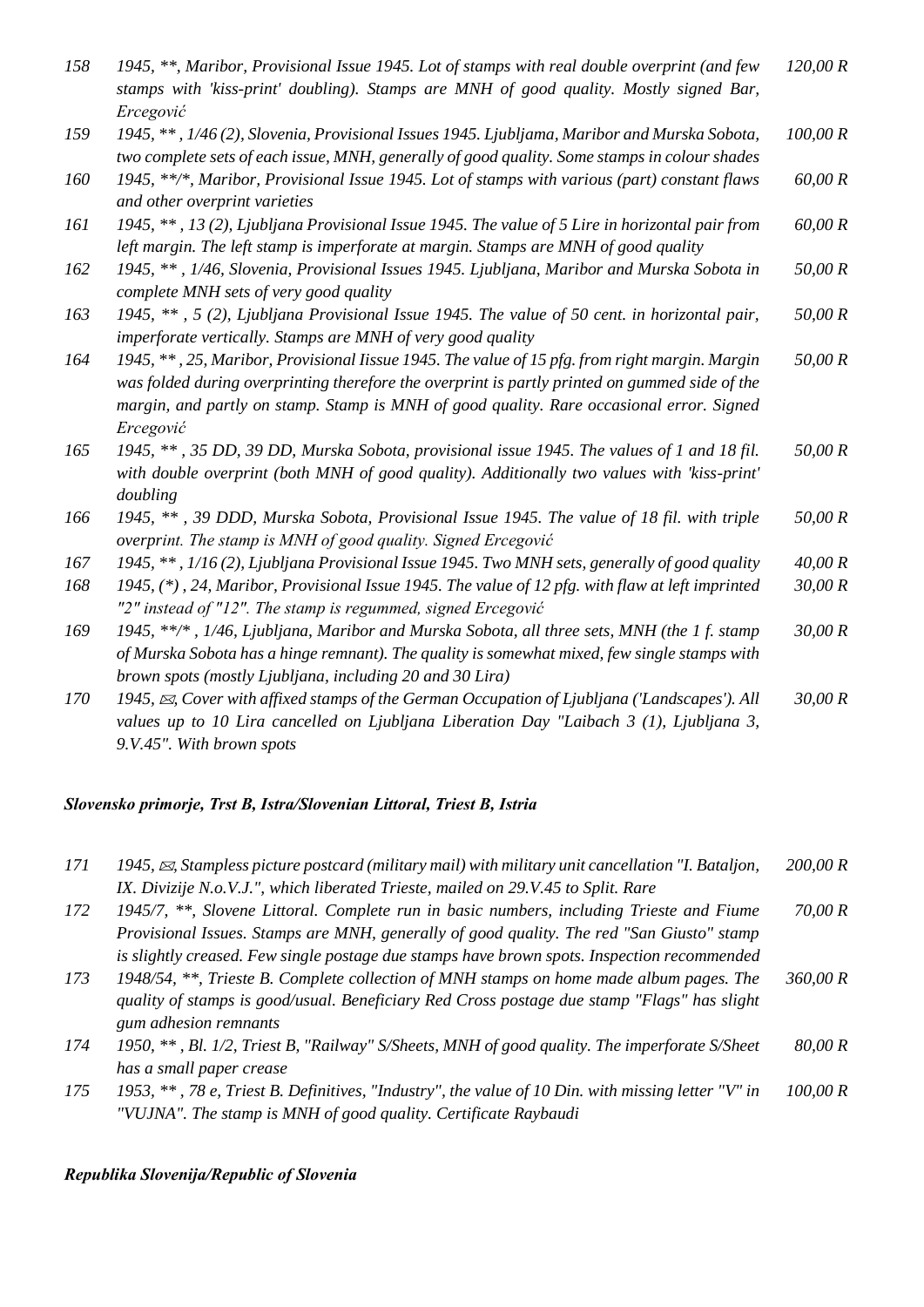| 158 | 1945, **, Maribor, Provisional Issue 1945. Lot of stamps with real double overprint (and few<br>stamps with 'kiss-print' doubling). Stamps are MNH of good quality. Mostly signed Bar,        | 120,00 R |
|-----|-----------------------------------------------------------------------------------------------------------------------------------------------------------------------------------------------|----------|
|     | Ercegović                                                                                                                                                                                     |          |
| 159 | 1945, **, 1/46 (2), Slovenia, Provisional Issues 1945. Ljubljama, Maribor and Murska Sobota,<br>two complete sets of each issue, MNH, generally of good quality. Some stamps in colour shades | 100,00 R |
|     |                                                                                                                                                                                               |          |
| 160 | 1945, **/*, Maribor, Provisional Issue 1945. Lot of stamps with various (part) constant flaws<br>and other overprint varieties                                                                | 60,00 R  |
| 161 | 1945, **, 13 (2), Ljubljana Provisional Issue 1945. The value of 5 Lire in horizontal pair from                                                                                               | 60,00 R  |
|     | left margin. The left stamp is imperforate at margin. Stamps are MNH of good quality                                                                                                          |          |
| 162 | 1945, **, 1/46, Slovenia, Provisional Issues 1945. Ljubljana, Maribor and Murska Sobota in                                                                                                    | 50,00 R  |
|     | complete MNH sets of very good quality                                                                                                                                                        |          |
| 163 | 1945, **, 5 (2), Ljubljana Provisional Issue 1945. The value of 50 cent. in horizontal pair,                                                                                                  | 50,00 R  |
|     | imperforate vertically. Stamps are MNH of very good quality                                                                                                                                   |          |
| 164 | 1945, **, 25, Maribor, Provisional Iissue 1945. The value of 15 pfg. from right margin. Margin                                                                                                | 50,00 R  |
|     | was folded during overprinting therefore the overprint is partly printed on gummed side of the                                                                                                |          |
|     | margin, and partly on stamp. Stamp is MNH of good quality. Rare occasional error. Signed                                                                                                      |          |
|     | Ercegović                                                                                                                                                                                     |          |
| 165 | 1945, **, 35 DD, 39 DD, Murska Sobota, provisional issue 1945. The values of 1 and 18 fil.                                                                                                    | 50,00 R  |
|     | with double overprint (both MNH of good quality). Additionally two values with 'kiss-print'                                                                                                   |          |
|     | doubling                                                                                                                                                                                      |          |
| 166 | 1945, **, 39 DDD, Murska Sobota, Provisional Issue 1945. The value of 18 fil. with triple                                                                                                     | 50,00 R  |
|     | overprint. The stamp is MNH of good quality. Signed Ercegović                                                                                                                                 |          |
| 167 | 1945, **, 1/16(2), Ljubljana Provisional Issue 1945. Two MNH sets, generally of good quality                                                                                                  | 40,00 R  |
| 168 | 1945, (*), 24, Maribor, Provisional Issue 1945. The value of 12 pfg. with flaw at left imprinted                                                                                              | 30,00 R  |
|     | "2" instead of "12". The stamp is regummed, signed Ercegović                                                                                                                                  |          |
| 169 | 1945, **/*, 1/46, Ljubljana, Maribor and Murska Sobota, all three sets, MNH (the 1 f. stamp                                                                                                   | 30,00 R  |
|     | of Murska Sobota has a hinge remnant). The quality is somewhat mixed, few single stamps with                                                                                                  |          |
|     | brown spots (mostly Ljubljana, including 20 and 30 Lira)                                                                                                                                      |          |
| 170 | 1945, $\boxtimes$ , Cover with affixed stamps of the German Occupation of Ljubljana ('Landscapes'). All                                                                                       | 30,00 R  |
|     | values up to 10 Lira cancelled on Ljubljana Liberation Day "Laibach 3 (1), Ljubljana 3,                                                                                                       |          |
|     | 9.V.45". With brown spots                                                                                                                                                                     |          |

# *Slovensko primorje, Trst B, Istra/Slovenian Littoral, Triest B, Istria*

| 171 | 1945, $\boxtimes$ , Stampless picture postcard (military mail) with military unit cancellation "I. Bataljon, | 200,00 R |
|-----|--------------------------------------------------------------------------------------------------------------|----------|
|     | IX. Divizije N.o.V.J.", which liberated Trieste, mailed on 29.V.45 to Split. Rare                            |          |

*172 1945/7, \*\*, Slovene Littoral. Complete run in basic numbers, including Trieste and Fiume Provisional Issues. Stamps are MNH, generally of good quality. The red "San Giusto" stamp is slightly creased. Few single postage due stamps have brown spots. Inspection recommended 70,00 R*

- *173 1948/54, \*\*, Trieste B. Complete collection of MNH stamps on home made album pages. The quality of stamps is good/usual. Beneficiary Red Cross postage due stamp "Flags" has slight gum adhesion remnants 360,00 R*
- *174 1950, \*\* , Bl. 1/2, Triest B, "Railway" S/Sheets, MNH of good quality. The imperforate S/Sheet has a small paper crease 80,00 R*
- *175 1953, \*\* , 78 e, Triest B. Definitives, "Industry", the value of 10 Din. with missing letter "V" in "VUJNA". The stamp is MNH of good quality. Certificate Raybaudi 100,00 R*

#### *Republika Slovenija/Republic of Slovenia*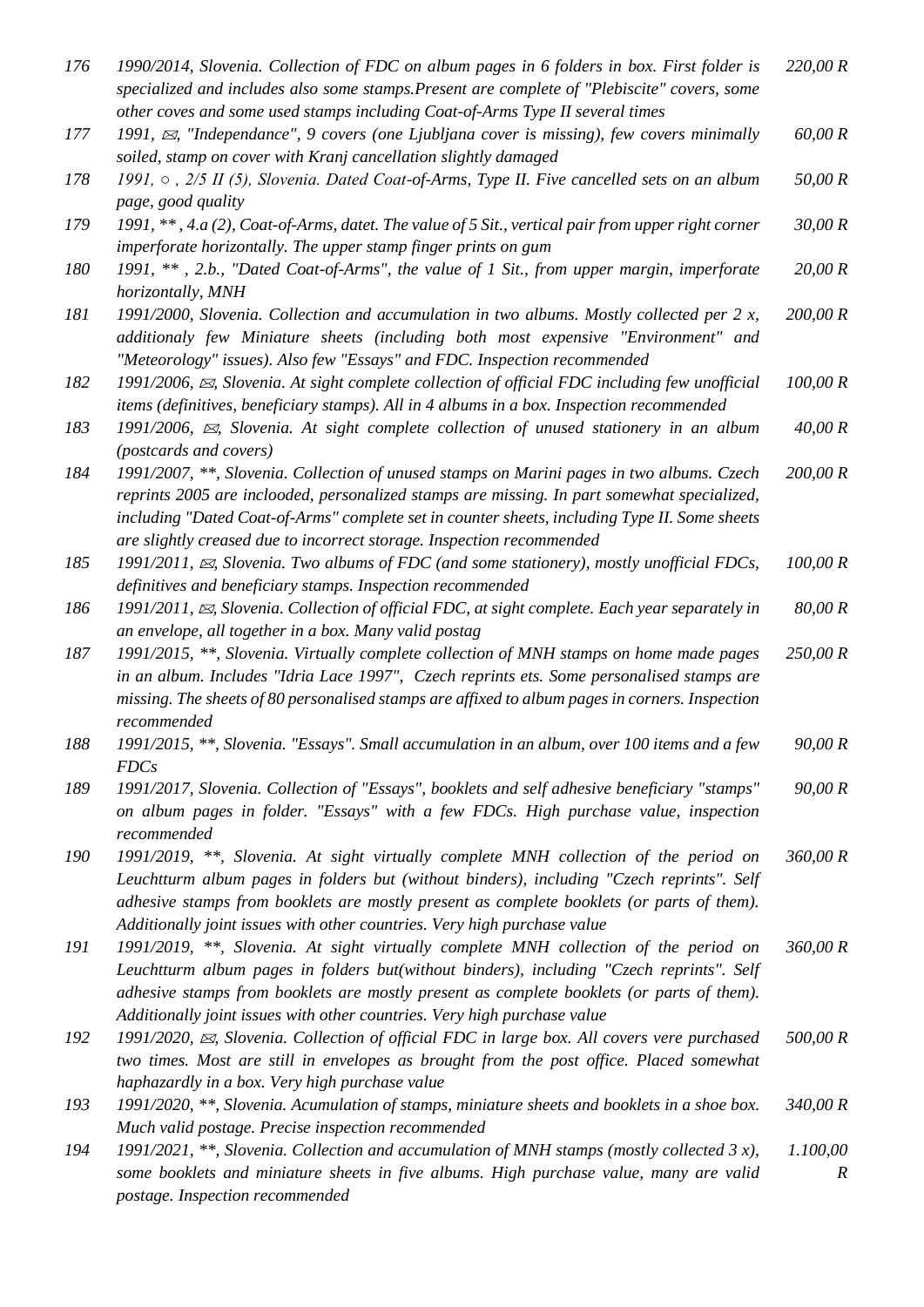| 176 | 1990/2014, Slovenia. Collection of FDC on album pages in 6 folders in box. First folder is<br>specialized and includes also some stamps. Present are complete of "Plebiscite" covers, some                                                                                                                                                                         | 220,00 R      |
|-----|--------------------------------------------------------------------------------------------------------------------------------------------------------------------------------------------------------------------------------------------------------------------------------------------------------------------------------------------------------------------|---------------|
| 177 | other coves and some used stamps including Coat-of-Arms Type II several times<br>1991, $\boxtimes$ , "Independance", 9 covers (one Ljubljana cover is missing), few covers minimally<br>soiled, stamp on cover with Kranj cancellation slightly damaged                                                                                                            | 60,00 R       |
| 178 | 1991, o , 2/5 II (5), Slovenia. Dated Coat-of-Arms, Type II. Five cancelled sets on an album                                                                                                                                                                                                                                                                       | 50,00 R       |
| 179 | page, good quality<br>1991, **, 4.a (2), Coat-of-Arms, datet. The value of 5 Sit., vertical pair from upper right corner<br>imperforate horizontally. The upper stamp finger prints on gum                                                                                                                                                                         | 30,00 R       |
| 180 | 1991, **, 2.b., "Dated Coat-of-Arms", the value of 1 Sit., from upper margin, imperforate<br>horizontally, MNH                                                                                                                                                                                                                                                     | 20,00 R       |
| 181 | 1991/2000, Slovenia. Collection and accumulation in two albums. Mostly collected per $2 x$ ,<br>additionaly few Miniature sheets (including both most expensive "Environment" and<br>"Meteorology" issues). Also few "Essays" and FDC. Inspection recommended                                                                                                      | 200,00 R      |
| 182 | 1991/2006, $\boxtimes$ , Slovenia. At sight complete collection of official FDC including few unofficial<br>items (definitives, beneficiary stamps). All in 4 albums in a box. Inspection recommended                                                                                                                                                              | 100,00 R      |
| 183 | 1991/2006, $\approx$ , Slovenia. At sight complete collection of unused stationery in an album<br>(postcards and covers)                                                                                                                                                                                                                                           | 40,00 R       |
| 184 | 1991/2007, **, Slovenia. Collection of unused stamps on Marini pages in two albums. Czech<br>reprints 2005 are inclooded, personalized stamps are missing. In part somewhat specialized,<br>including "Dated Coat-of-Arms" complete set in counter sheets, including Type II. Some sheets<br>are slightly creased due to incorrect storage. Inspection recommended | 200,00 R      |
| 185 | 1991/2011, $\approx$ , Slovenia. Two albums of FDC (and some stationery), mostly unofficial FDCs,<br>definitives and beneficiary stamps. Inspection recommended                                                                                                                                                                                                    | 100,00 R      |
| 186 | 1991/2011, $\boxtimes$ , Slovenia. Collection of official FDC, at sight complete. Each year separately in<br>an envelope, all together in a box. Many valid postag                                                                                                                                                                                                 | 80,00 R       |
| 187 | 1991/2015, **, Slovenia. Virtually complete collection of MNH stamps on home made pages<br>in an album. Includes "Idria Lace 1997", Czech reprints ets. Some personalised stamps are<br>missing. The sheets of 80 personalised stamps are affixed to album pages in corners. Inspection<br>recommended                                                             | 250,00 R      |
| 188 | 1991/2015, **, Slovenia. "Essays". Small accumulation in an album, over 100 items and a few<br><b>FDCs</b>                                                                                                                                                                                                                                                         | 90,00 R       |
| 189 | 1991/2017, Slovenia. Collection of "Essays", booklets and self adhesive beneficiary "stamps"<br>on album pages in folder. "Essays" with a few FDCs. High purchase value, inspection<br>recommended                                                                                                                                                                 | 90,00 R       |
| 190 | 1991/2019, **, Slovenia. At sight virtually complete MNH collection of the period on<br>Leuchtturm album pages in folders but (without binders), including "Czech reprints". Self<br>adhesive stamps from booklets are mostly present as complete booklets (or parts of them).<br>Additionally joint issues with other countries. Very high purchase value         | 360,00 R      |
| 191 | 1991/2019, **, Slovenia. At sight virtually complete MNH collection of the period on<br>Leuchtturm album pages in folders but(without binders), including "Czech reprints". Self<br>adhesive stamps from booklets are mostly present as complete booklets (or parts of them).<br>Additionally joint issues with other countries. Very high purchase value          | 360,00 R      |
| 192 | 1991/2020, $\approx$ , Slovenia. Collection of official FDC in large box. All covers vere purchased<br>two times. Most are still in envelopes as brought from the post office. Placed somewhat<br>haphazardly in a box. Very high purchase value                                                                                                                   | 500,00 R      |
| 193 | 1991/2020, **, Slovenia. Acumulation of stamps, miniature sheets and booklets in a shoe box.<br>Much valid postage. Precise inspection recommended                                                                                                                                                                                                                 | 340,00 R      |
| 194 | 1991/2021, **, Slovenia. Collection and accumulation of MNH stamps (mostly collected 3 x),<br>some booklets and miniature sheets in five albums. High purchase value, many are valid<br>postage. Inspection recommended                                                                                                                                            | 1.100,00<br>R |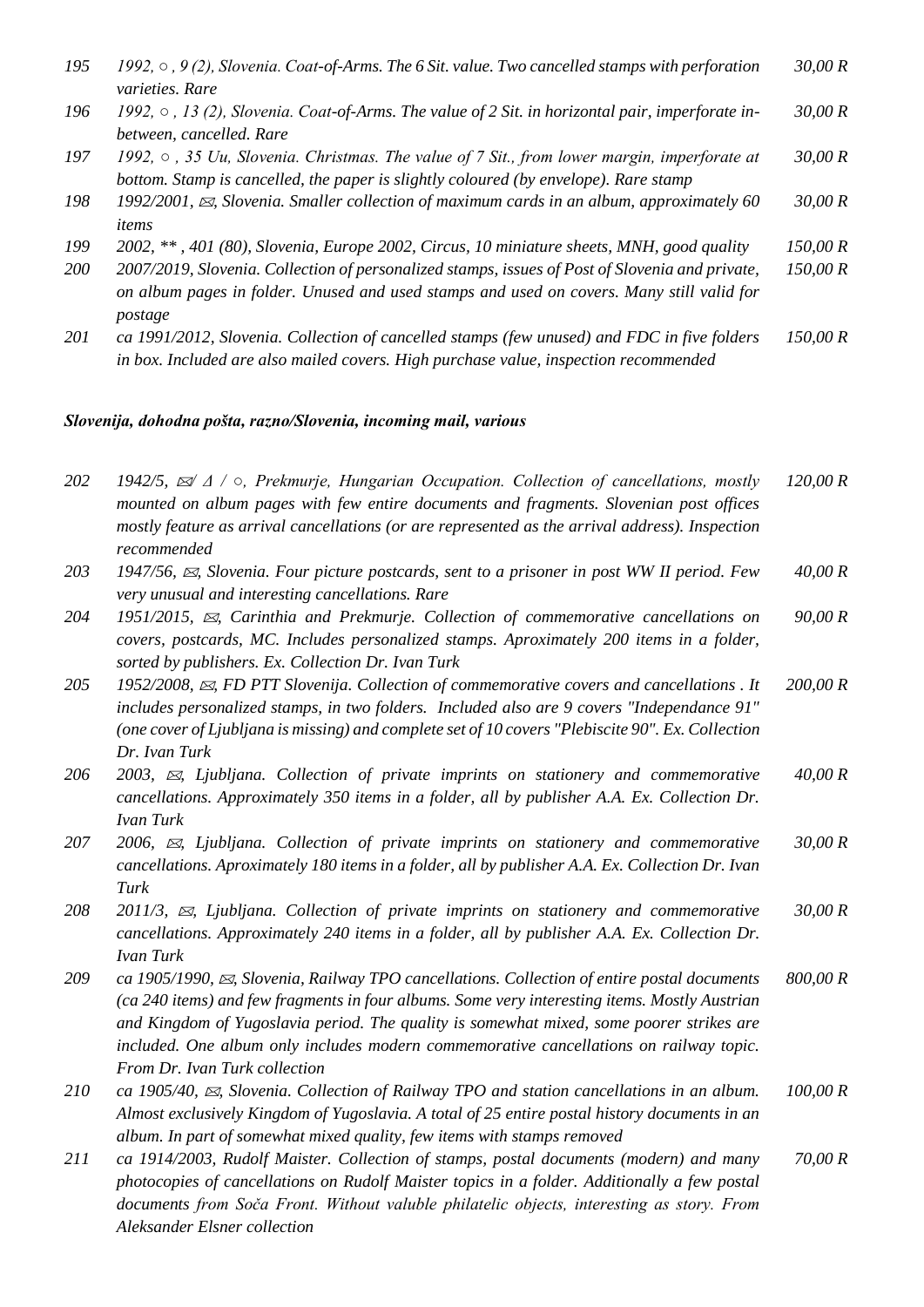| 195 | 1992, $\circ$ , 9 (2), Slovenia. Coat-of-Arms. The 6 Sit. value. Two cancelled stamps with perforation | 30,00R |
|-----|--------------------------------------------------------------------------------------------------------|--------|
|     | <i>varieties. Rare</i>                                                                                 |        |

*196 1992, ○ , 13 (2), Slovenia. Coat-of-Arms. The value of 2 Sit. in horizontal pair, imperforate inbetween, cancelled. Rare 30,00 R*

*197 1992, ○ , 35 Uu, Slovenia. Christmas. The value of 7 Sit., from lower margin, imperforate at bottom. Stamp is cancelled, the paper is slightly coloured (by envelope). Rare stamp 30,00 R*

- *198 1992/2001, , Slovenia. Smaller collection of maximum cards in an album, approximately 60 items 30,00 R*
- *199 2002, \*\* , 401 (80), Slovenia, Europe 2002, Circus, 10 miniature sheets, MNH, good quality 150,00 R*
- *200 2007/2019, Slovenia. Collection of personalized stamps, issues of Post of Slovenia and private, on album pages in folder. Unused and used stamps and used on covers. Many still valid for postage 150,00 R*
- *201 ca 1991/2012, Slovenia. Collection of cancelled stamps (few unused) and FDC in five folders in box. Included are also mailed covers. High purchase value, inspection recommended 150,00 R*

#### *Slovenija, dohodna pošta, razno/Slovenia, incoming mail, various*

*202 1942/5, / Δ / ○, Prekmurje, Hungarian Occupation. Collection of cancellations, mostly mounted on album pages with few entire documents and fragments. Slovenian post offices mostly feature as arrival cancellations (or are represented as the arrival address). Inspection recommended 120,00 R 203 1947/56, , Slovenia. Four picture postcards, sent to a prisoner in post WW II period. Few very unusual and interesting cancellations. Rare 40,00 R 204 1951/2015, , Carinthia and Prekmurje. Collection of commemorative cancellations on covers, postcards, MC. Includes personalized stamps. Aproximately 200 items in a folder, sorted by publishers. Ex. Collection Dr. Ivan Turk 90,00 R 205 1952/2008, , FD PTT Slovenija. Collection of commemorative covers and cancellations . It includes personalized stamps, in two folders. Included also are 9 covers "Independance 91" (one cover of Ljubljana is missing) and complete set of 10 covers "Plebiscite 90". Ex. Collection Dr. Ivan Turk 200,00 R 206 2003, , Ljubljana. Collection of private imprints on stationery and commemorative cancellations. Approximately 350 items in a folder, all by publisher A.A. Ex. Collection Dr. Ivan Turk 40,00 R 207 2006, , Ljubljana. Collection of private imprints on stationery and commemorative cancellations. Aproximately 180 items in a folder, all by publisher A.A. Ex. Collection Dr. Ivan Turk 30,00 R 208 2011/3, , Ljubljana. Collection of private imprints on stationery and commemorative cancellations. Approximately 240 items in a folder, all by publisher A.A. Ex. Collection Dr. Ivan Turk 30,00 R 209 ca 1905/1990, , Slovenia, Railway TPO cancellations. Collection of entire postal documents (ca 240 items) and few fragments in four albums. Some very interesting items. Mostly Austrian and Kingdom of Yugoslavia period. The quality is somewhat mixed, some poorer strikes are included. One album only includes modern commemorative cancellations on railway topic. From Dr. Ivan Turk collection 800,00 R 210 ca 1905/40, , Slovenia. Collection of Railway TPO and station cancellations in an album. Almost exclusively Kingdom of Yugoslavia. A total of 25 entire postal history documents in an album. In part of somewhat mixed quality, few items with stamps removed 100,00 R 211 ca 1914/2003, Rudolf Maister. Collection of stamps, postal documents (modern) and many 70,00 R*

*photocopies of cancellations on Rudolf Maister topics in a folder. Additionally a few postal documents from Soča Front. Without valuble philatelic objects, interesting as story. From Aleksander Elsner collection*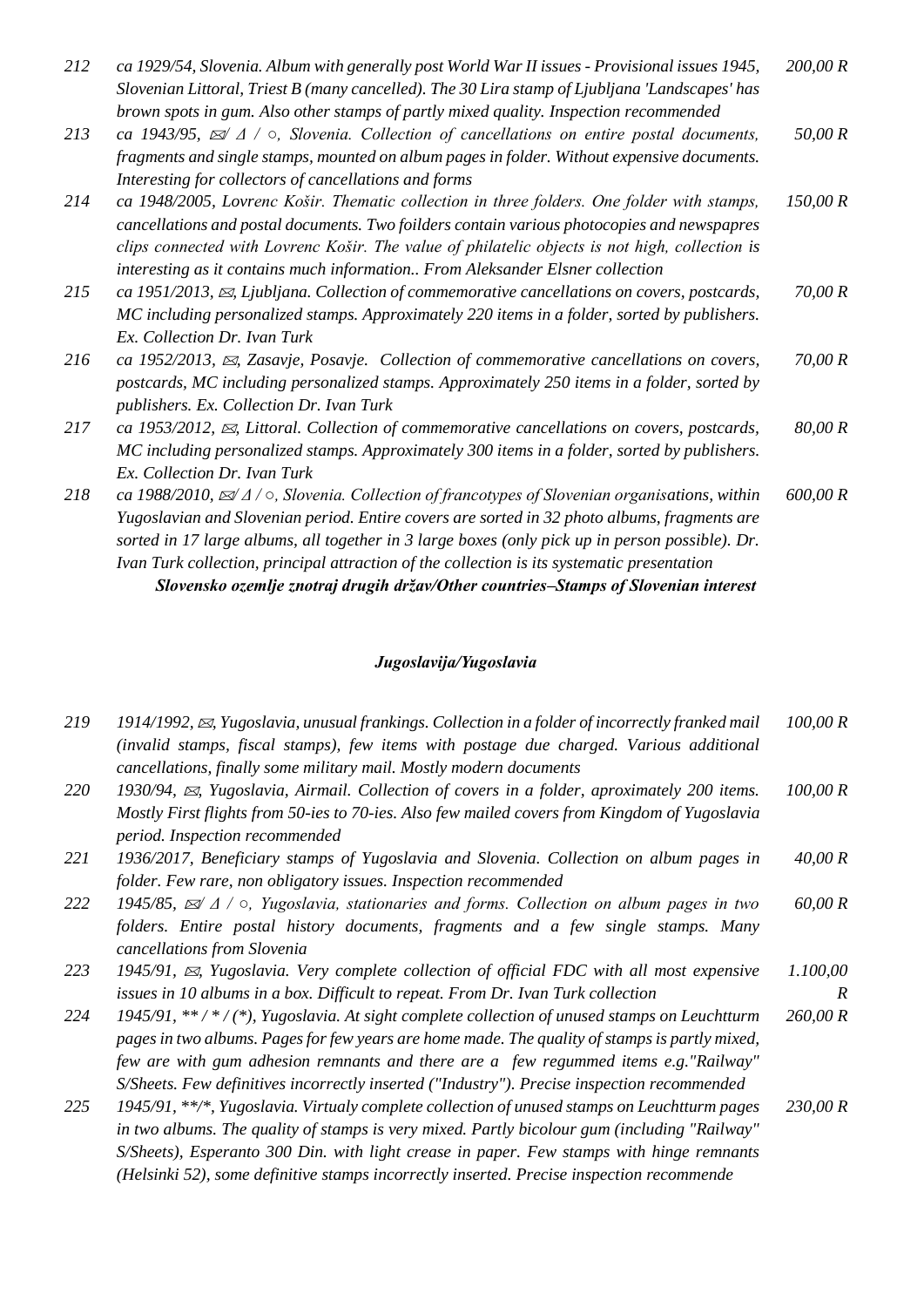| 212 | ca 1929/54, Slovenia. Album with generally post World War II issues - Provisional issues 1945, | 200,00R |
|-----|------------------------------------------------------------------------------------------------|---------|
|     | Slovenian Littoral, Triest B (many cancelled). The 30 Lira stamp of Ljubljana 'Landscapes' has |         |
|     | brown spots in gum. Also other stamps of partly mixed quality. Inspection recommended          |         |

- *213 ca 1943/95, / Δ / ○, Slovenia. Collection of cancellations on entire postal documents, fragments and single stamps, mounted on album pages in folder. Without expensive documents. Interesting for collectors of cancellations and forms 50,00 R*
- *214 ca 1948/2005, Lovrenc Košir. Thematic collection in three folders. One folder with stamps, cancellations and postal documents. Two foilders contain various photocopies and newspapres clips connected with Lovrenc Košir. The value of philatelic objects is not high, collection is interesting as it contains much information.. From Aleksander Elsner collection 150,00 R*
- *215 ca 1951/2013, , Ljubljana. Collection of commemorative cancellations on covers, postcards, MC including personalized stamps. Approximately 220 items in a folder, sorted by publishers. Ex. Collection Dr. Ivan Turk 70,00 R*
- *216 ca 1952/2013, , Zasavje, Posavje. Collection of commemorative cancellations on covers, postcards, MC including personalized stamps. Approximately 250 items in a folder, sorted by publishers. Ex. Collection Dr. Ivan Turk 70,00 R*
- *217 ca 1953/2012, , Littoral. Collection of commemorative cancellations on covers, postcards, MC including personalized stamps. Approximately 300 items in a folder, sorted by publishers. Ex. Collection Dr. Ivan Turk 80,00 R*
- *218 ca 1988/2010, / Δ / ○, Slovenia. Collection of francotypes of Slovenian organisations, within Yugoslavian and Slovenian period. Entire covers are sorted in 32 photo albums, fragments are sorted in 17 large albums, all together in 3 large boxes (only pick up in person possible). Dr. Ivan Turk collection, principal attraction of the collection is its systematic presentation 600,00 R Slovensko ozemlje znotraj drugih držav/Other countries–Stamps of Slovenian interest*

#### *Jugoslavija/Yugoslavia*

| 219 | 1914/1992, $\boxtimes$ , Yugoslavia, unusual frankings. Collection in a folder of incorrectly franked mail    | 100,00 R |
|-----|---------------------------------------------------------------------------------------------------------------|----------|
|     | (invalid stamps, fiscal stamps), few items with postage due charged. Various additional                       |          |
|     | cancellations, finally some military mail. Mostly modern documents                                            |          |
| 220 | 1930/94, $\boxtimes$ , Yugoslavia, Airmail. Collection of covers in a folder, aproximately 200 items.         | 100,00 R |
|     | Mostly First flights from 50-ies to 70-ies. Also few mailed covers from Kingdom of Yugoslavia                 |          |
|     | period. Inspection recommended                                                                                |          |
| 221 | 1936/2017, Beneficiary stamps of Yugoslavia and Slovenia. Collection on album pages in                        | 40,00 R  |
|     | folder. Few rare, non obligatory issues. Inspection recommended                                               |          |
| 222 | 1945/85, $\mathbb{Z}/\Delta$ / $\circ$ , Yugoslavia, stationaries and forms. Collection on album pages in two | 60,00 R  |
|     | folders. Entire postal history documents, fragments and a few single stamps. Many                             |          |
|     | cancellations from Slovenia                                                                                   |          |
| 223 | 1945/91, $\boxtimes$ , Yugoslavia. Very complete collection of official FDC with all most expensive           | 1.100,00 |
|     | issues in 10 albums in a box. Difficult to repeat. From Dr. Ivan Turk collection                              | R        |
| 224 | 1945/91, **/*/(*), Yugoslavia. At sight complete collection of unused stamps on Leuchtturm                    | 260,00 R |
|     | pages in two albums. Pages for few years are home made. The quality of stamps is partly mixed,                |          |
|     | few are with gum adhesion remnants and there are a few regummed items e.g. "Railway"                          |          |
|     | S/Sheets. Few definitives incorrectly inserted ("Industry"). Precise inspection recommended                   |          |
| 225 | 1945/91, **/*, Yugoslavia. Virtualy complete collection of unused stamps on Leuchtturm pages                  | 230,00 R |
|     | in two albums. The quality of stamps is very mixed. Partly bicolour gum (including "Railway"                  |          |
|     |                                                                                                               |          |

*S/Sheets), Esperanto 300 Din. with light crease in paper. Few stamps with hinge remnants (Helsinki 52), some definitive stamps incorrectly inserted. Precise inspection recommende*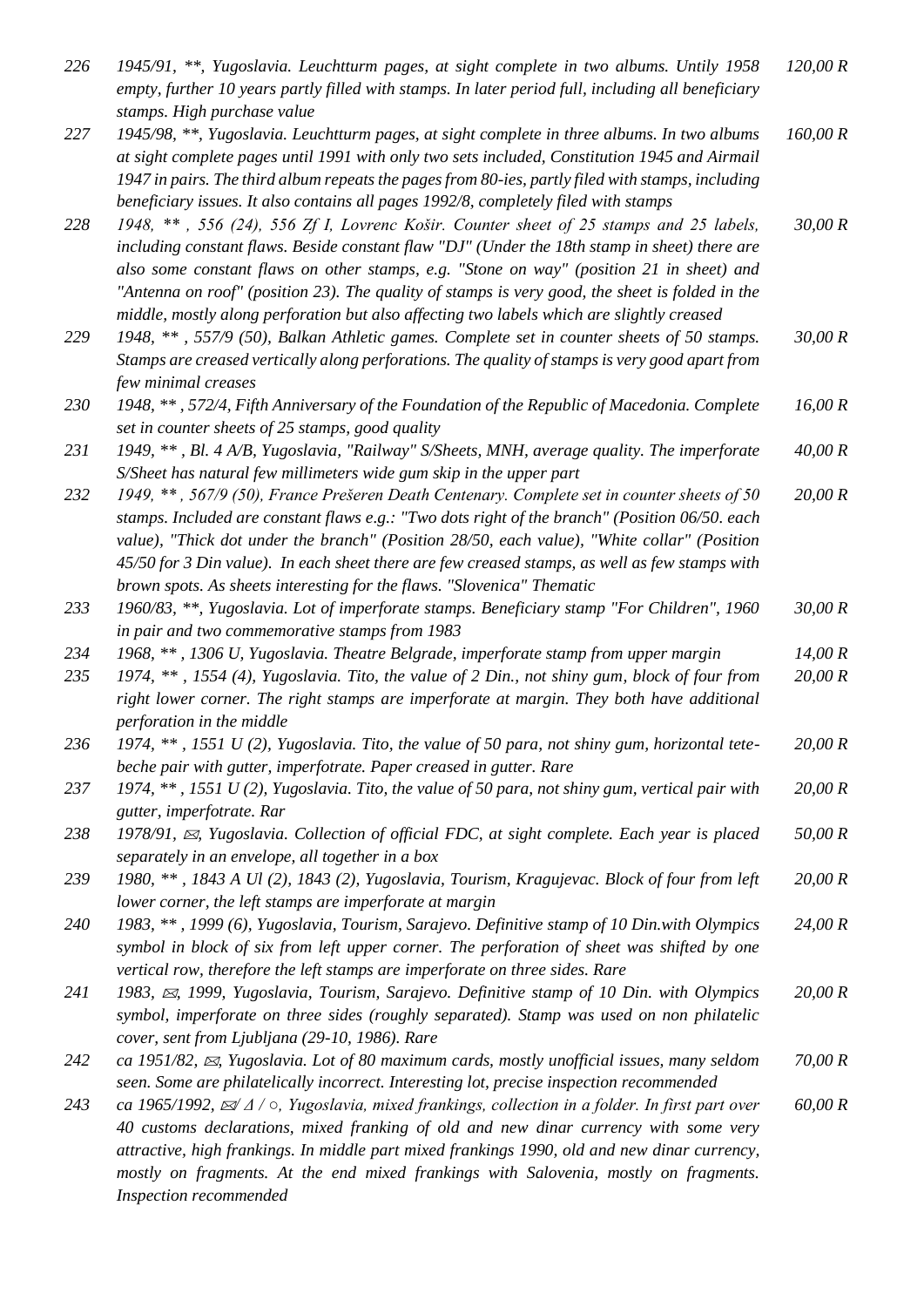| 226 | 1945/91, **, Yugoslavia. Leuchtturm pages, at sight complete in two albums. Untily 1958<br>empty, further 10 years partly filled with stamps. In later period full, including all beneficiary<br>stamps. High purchase value                                                                                                                                                                                                                                                        | 120,00 R |
|-----|-------------------------------------------------------------------------------------------------------------------------------------------------------------------------------------------------------------------------------------------------------------------------------------------------------------------------------------------------------------------------------------------------------------------------------------------------------------------------------------|----------|
| 227 | 1945/98, **, Yugoslavia. Leuchtturm pages, at sight complete in three albums. In two albums<br>at sight complete pages until 1991 with only two sets included, Constitution 1945 and Airmail<br>1947 in pairs. The third album repeats the pages from 80-ies, partly filed with stamps, including<br>beneficiary issues. It also contains all pages 1992/8, completely filed with stamps                                                                                            | 160,00 R |
| 228 | 1948, **, 556 (24), 556 Zf I, Lovrenc Košir. Counter sheet of 25 stamps and 25 labels,<br>including constant flaws. Beside constant flaw "DJ" (Under the 18th stamp in sheet) there are<br>also some constant flaws on other stamps, e.g. "Stone on way" (position 21 in sheet) and<br>"Antenna on roof" (position 23). The quality of stamps is very good, the sheet is folded in the<br>middle, mostly along perforation but also affecting two labels which are slightly creased | 30,00 R  |
| 229 | 1948, **, 557/9 (50), Balkan Athletic games. Complete set in counter sheets of 50 stamps.<br>Stamps are creased vertically along perforations. The quality of stamps is very good apart from<br>few minimal creases                                                                                                                                                                                                                                                                 | 30,00 R  |
| 230 | 1948, **, 572/4, Fifth Anniversary of the Foundation of the Republic of Macedonia. Complete<br>set in counter sheets of 25 stamps, good quality                                                                                                                                                                                                                                                                                                                                     | 16,00 R  |
| 231 | 1949, **, Bl. 4 A/B, Yugoslavia, "Railway" S/Sheets, MNH, average quality. The imperforate<br>S/Sheet has natural few millimeters wide gum skip in the upper part                                                                                                                                                                                                                                                                                                                   | 40,00 R  |
| 232 | 1949, **, 567/9 (50), France Prešeren Death Centenary. Complete set in counter sheets of 50<br>stamps. Included are constant flaws e.g.: "Two dots right of the branch" (Position 06/50. each<br>value), "Thick dot under the branch" (Position 28/50, each value), "White collar" (Position<br>45/50 for 3 Din value). In each sheet there are few creased stamps, as well as few stamps with<br>brown spots. As sheets interesting for the flaws. "Slovenica" Thematic            | 20,00 R  |
| 233 | 1960/83, **, Yugoslavia. Lot of imperforate stamps. Beneficiary stamp "For Children", 1960<br>in pair and two commemorative stamps from 1983                                                                                                                                                                                                                                                                                                                                        | 30,00 R  |
| 234 | 1968, **, 1306 U, Yugoslavia. Theatre Belgrade, imperforate stamp from upper margin                                                                                                                                                                                                                                                                                                                                                                                                 | 14,00 R  |
| 235 | 1974, **, 1554 (4), Yugoslavia. Tito, the value of 2 Din., not shiny gum, block of four from<br>right lower corner. The right stamps are imperforate at margin. They both have additional<br>perforation in the middle                                                                                                                                                                                                                                                              | 20,00 R  |
| 236 | 1974, **, 1551 U (2), Yugoslavia. Tito, the value of 50 para, not shiny gum, horizontal tete-<br>beche pair with gutter, imperfotrate. Paper creased in gutter. Rare                                                                                                                                                                                                                                                                                                                | 20,00 R  |
| 237 | 1974, **, 1551 U (2), Yugoslavia. Tito, the value of 50 para, not shiny gum, vertical pair with<br>gutter, imperfotrate. Rar                                                                                                                                                                                                                                                                                                                                                        | 20,00 R  |
| 238 | 1978/91, $\boxtimes$ , Yugoslavia. Collection of official FDC, at sight complete. Each year is placed<br>separately in an envelope, all together in a box                                                                                                                                                                                                                                                                                                                           | 50,00 R  |
| 239 | 1980, **, 1843 A Ul (2), 1843 (2), Yugoslavia, Tourism, Kragujevac. Block of four from left<br>lower corner, the left stamps are imperforate at margin                                                                                                                                                                                                                                                                                                                              | 20,00 R  |
| 240 | 1983, **, 1999 (6), Yugoslavia, Tourism, Sarajevo. Definitive stamp of 10 Din.with Olympics<br>symbol in block of six from left upper corner. The perforation of sheet was shifted by one<br>vertical row, therefore the left stamps are imperforate on three sides. Rare                                                                                                                                                                                                           | 24,00 R  |
| 241 | 1983, $\approx$ , 1999, Yugoslavia, Tourism, Sarajevo. Definitive stamp of 10 Din. with Olympics<br>symbol, imperforate on three sides (roughly separated). Stamp was used on non philatelic<br>cover, sent from Ljubljana (29-10, 1986). Rare                                                                                                                                                                                                                                      | 20,00 R  |
| 242 | ca 1951/82, $\mathbb{Z}$ , Yugoslavia. Lot of 80 maximum cards, mostly unofficial issues, many seldom<br>seen. Some are philatelically incorrect. Interesting lot, precise inspection recommended                                                                                                                                                                                                                                                                                   | 70,00 R  |
| 243 | ca 1965/1992, $\mathbb{Z}/\Delta$ / $\circ$ , Yugoslavia, mixed frankings, collection in a folder. In first part over<br>40 customs declarations, mixed franking of old and new dinar currency with some very<br>attractive, high frankings. In middle part mixed frankings 1990, old and new dinar currency,<br>mostly on fragments. At the end mixed frankings with Salovenia, mostly on fragments.                                                                               | 60,00 R  |

*Inspection recommended*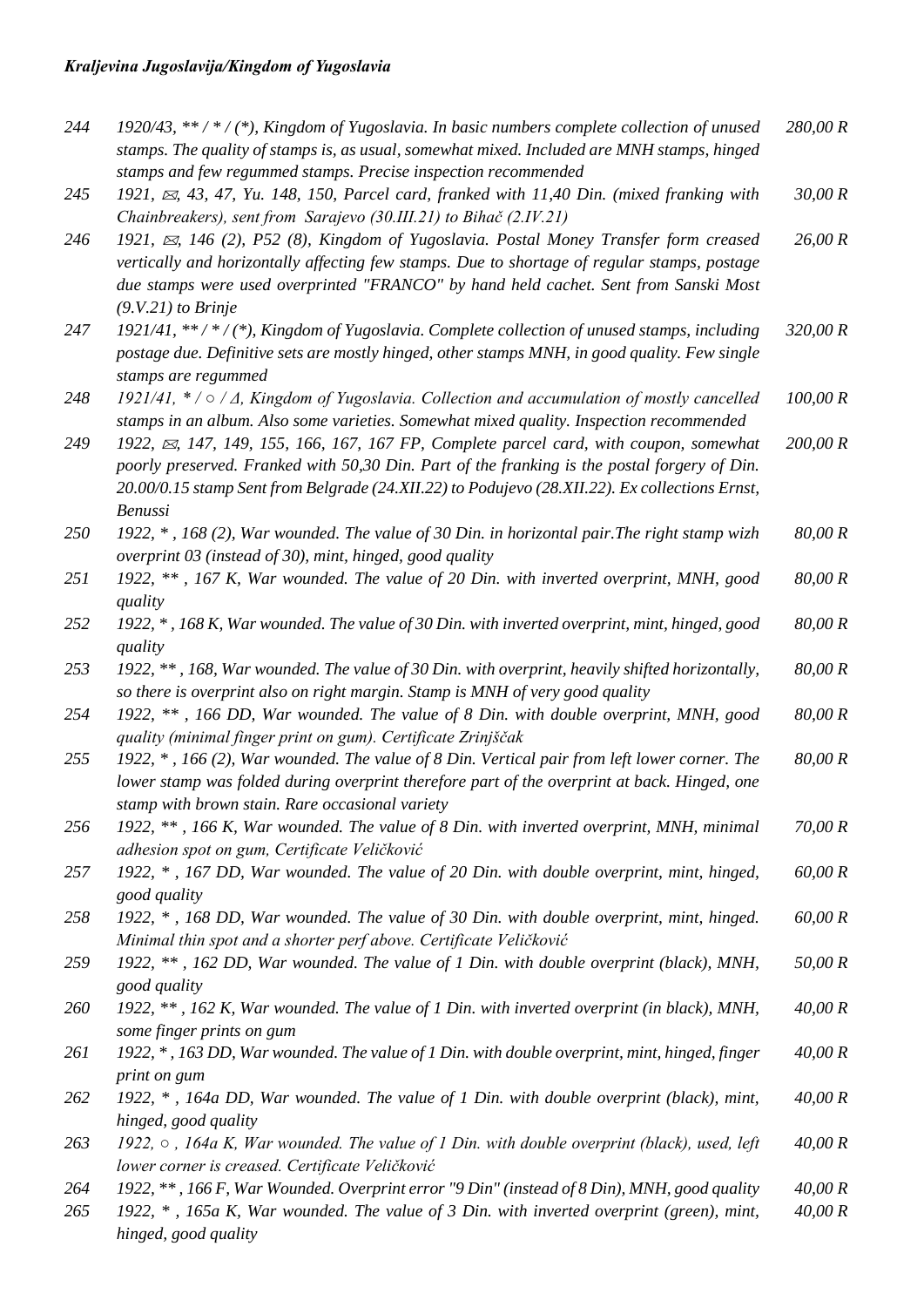| 244 | 1920/43, **/*/(*), Kingdom of Yugoslavia. In basic numbers complete collection of unused<br>stamps. The quality of stamps is, as usual, somewhat mixed. Included are MNH stamps, hinged | 280,00 R |
|-----|-----------------------------------------------------------------------------------------------------------------------------------------------------------------------------------------|----------|
| 245 | stamps and few regummed stamps. Precise inspection recommended<br>1921, $\approx$ , 43, 47, Yu. 148, 150, Parcel card, franked with 11,40 Din. (mixed franking with                     | 30,00 R  |
|     | Chainbreakers), sent from Sarajevo (30.III.21) to Bihač (2.IV.21)                                                                                                                       |          |
| 246 | 1921, $\boxtimes$ , 146 (2), P52 (8), Kingdom of Yugoslavia. Postal Money Transfer form creased                                                                                         | 26,00 R  |
|     | vertically and horizontally affecting few stamps. Due to shortage of regular stamps, postage                                                                                            |          |
|     | due stamps were used overprinted "FRANCO" by hand held cachet. Sent from Sanski Most                                                                                                    |          |
|     | $(9.V.21)$ to Brinje                                                                                                                                                                    |          |
| 247 | 1921/41, **/*/(*), Kingdom of Yugoslavia. Complete collection of unused stamps, including                                                                                               | 320,00 R |
|     | postage due. Definitive sets are mostly hinged, other stamps MNH, in good quality. Few single                                                                                           |          |
|     | stamps are regummed                                                                                                                                                                     |          |
| 248 | 1921/41, * / o / $\Delta$ , Kingdom of Yugoslavia. Collection and accumulation of mostly cancelled                                                                                      | 100,00 R |
|     | stamps in an album. Also some varieties. Somewhat mixed quality. Inspection recommended                                                                                                 |          |
| 249 | 1922, $\boxtimes$ , 147, 149, 155, 166, 167, 167 FP, Complete parcel card, with coupon, somewhat                                                                                        | 200,00 R |
|     | poorly preserved. Franked with 50,30 Din. Part of the franking is the postal forgery of Din.                                                                                            |          |
|     | 20.00/0.15 stamp Sent from Belgrade (24.XII.22) to Podujevo (28.XII.22). Ex collections Ernst,                                                                                          |          |
|     | <b>Benussi</b>                                                                                                                                                                          |          |
| 250 | 1922, *, 168 (2), War wounded. The value of 30 Din. in horizontal pair. The right stamp wizh                                                                                            | 80,00 R  |
|     | overprint 03 (instead of 30), mint, hinged, good quality                                                                                                                                |          |
| 251 | 1922, **, 167 K, War wounded. The value of 20 Din. with inverted overprint, MNH, good                                                                                                   | 80,00 R  |
|     | quality                                                                                                                                                                                 |          |
| 252 | 1922, *, 168 K, War wounded. The value of 30 Din. with inverted overprint, mint, hinged, good                                                                                           | 80,00 R  |
|     | quality                                                                                                                                                                                 |          |
| 253 | 1922, **, 168, War wounded. The value of 30 Din. with overprint, heavily shifted horizontally,                                                                                          | 80,00 R  |
|     | so there is overprint also on right margin. Stamp is MNH of very good quality                                                                                                           |          |
| 254 | 1922, **, 166 DD, War wounded. The value of 8 Din. with double overprint, MNH, good                                                                                                     | 80,00 R  |
|     | quality (minimal finger print on gum). Certificate Zrinjščak                                                                                                                            |          |
| 255 | 1922, *, 166 (2), War wounded. The value of 8 Din. Vertical pair from left lower corner. The                                                                                            | 80,00 R  |
|     | lower stamp was folded during overprint therefore part of the overprint at back. Hinged, one                                                                                            |          |
|     | stamp with brown stain. Rare occasional variety                                                                                                                                         |          |
| 256 | 1922, **, 166 K, War wounded. The value of 8 Din. with inverted overprint, MNH, minimal                                                                                                 | 70,00 R  |
|     | adhesion spot on gum, Certificate Veličković                                                                                                                                            |          |
| 257 | 1922, *, 167 DD, War wounded. The value of 20 Din. with double overprint, mint, hinged,                                                                                                 | 60,00 R  |
|     | good quality                                                                                                                                                                            |          |
| 258 | 1922, *, 168 DD, War wounded. The value of 30 Din. with double overprint, mint, hinged.                                                                                                 | 60,00 R  |
|     | Minimal thin spot and a shorter perf above. Certificate Veličković                                                                                                                      |          |
| 259 | 1922, **, 162 DD, War wounded. The value of 1 Din. with double overprint (black), MNH,                                                                                                  | 50,00 R  |
|     | good quality                                                                                                                                                                            |          |
| 260 | 1922, **, 162 K, War wounded. The value of 1 Din. with inverted overprint (in black), MNH,                                                                                              | 40,00 R  |
|     | some finger prints on gum                                                                                                                                                               |          |
| 261 | 1922, *, 163 DD, War wounded. The value of 1 Din. with double overprint, mint, hinged, finger                                                                                           | 40,00 R  |
|     | print on gum                                                                                                                                                                            |          |
| 262 | 1922, $*$ , 164a DD, War wounded. The value of 1 Din. with double overprint (black), mint,                                                                                              | 40,00 R  |
|     | hinged, good quality                                                                                                                                                                    |          |
| 263 | 1922, $\circ$ , 164a K, War wounded. The value of 1 Din. with double overprint (black), used, left<br>lower corner is creased. Certificate Veličković                                   | 40,00 R  |
| 264 | 1922, **, 166 F, War Wounded. Overprint error "9 Din" (instead of 8 Din), MNH, good quality                                                                                             | 40,00 R  |
| 265 | 1922, $*$ , 165a K, War wounded. The value of 3 Din. with inverted overprint (green), mint,                                                                                             | 40,00 R  |
|     | hinged, good quality                                                                                                                                                                    |          |
|     |                                                                                                                                                                                         |          |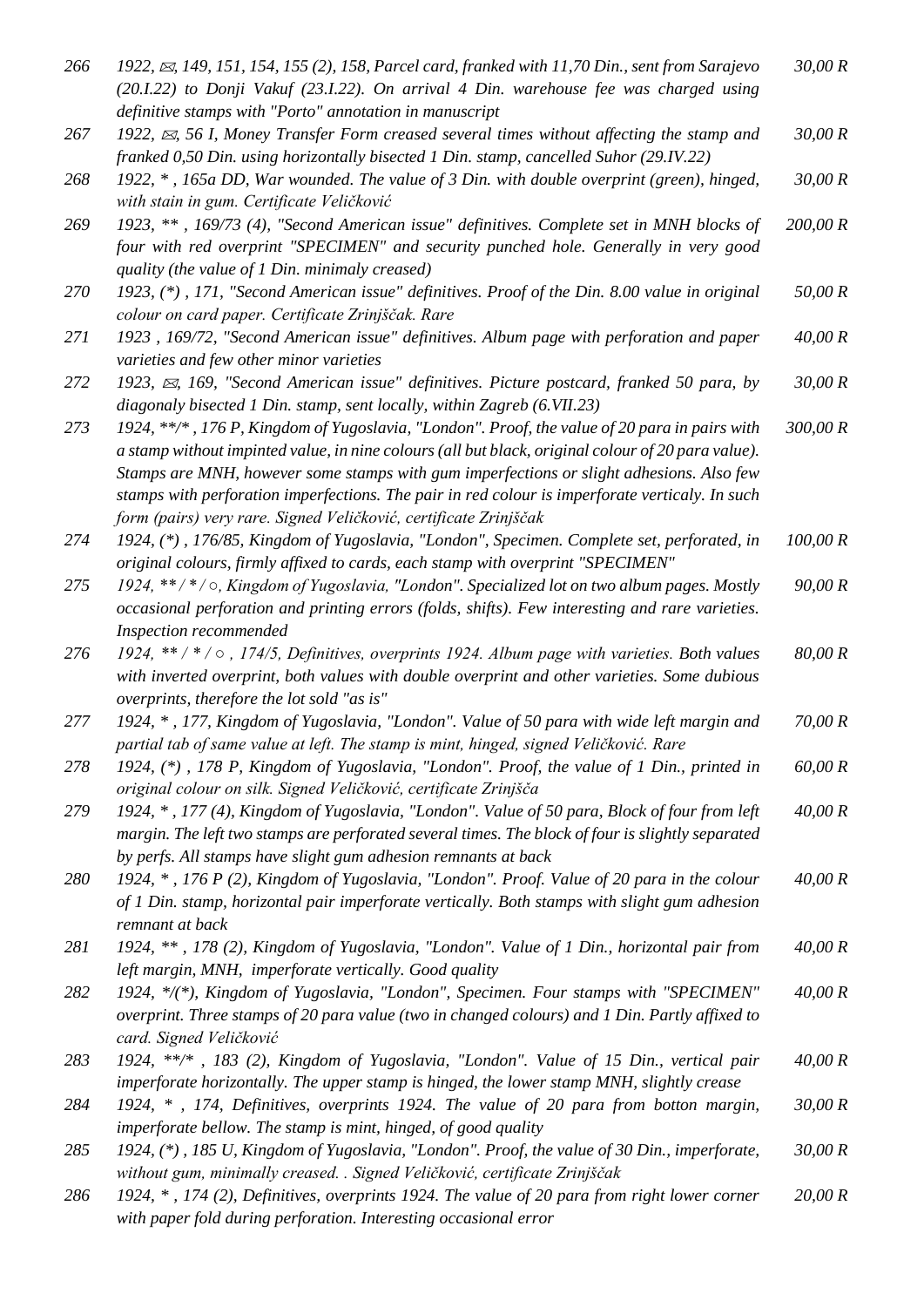| 266        | 1922, $\boxtimes$ , 149, 151, 154, 155 (2), 158, Parcel card, franked with 11,70 Din., sent from Sarajevo<br>(20.1.22) to Donji Vakuf (23.1.22). On arrival 4 Din. warehouse fee was charged using<br>definitive stamps with "Porto" annotation in manuscript                                                                                                                                                                                                          | 30,00 R  |
|------------|------------------------------------------------------------------------------------------------------------------------------------------------------------------------------------------------------------------------------------------------------------------------------------------------------------------------------------------------------------------------------------------------------------------------------------------------------------------------|----------|
| 267        | 1922, $\approx$ , 56 I, Money Transfer Form creased several times without affecting the stamp and<br>franked 0,50 Din. using horizontally bisected 1 Din. stamp, cancelled Suhor (29.IV.22)                                                                                                                                                                                                                                                                            | 30,00 R  |
| 268        | 1922, *, 165a DD, War wounded. The value of 3 Din. with double overprint (green), hinged,<br>with stain in gum. Certificate Veličković                                                                                                                                                                                                                                                                                                                                 | 30,00 R  |
| 269        | 1923, **, 169/73 (4), "Second American issue" definitives. Complete set in MNH blocks of<br>four with red overprint "SPECIMEN" and security punched hole. Generally in very good<br>quality (the value of 1 Din. minimaly creased)                                                                                                                                                                                                                                     | 200,00 R |
| <i>270</i> | 1923, (*), 171, "Second American issue" definitives. Proof of the Din. 8.00 value in original<br>colour on card paper. Certificate Zrinjščak. Rare                                                                                                                                                                                                                                                                                                                     | 50,00 R  |
| 271        | 1923, 169/72, "Second American issue" definitives. Album page with perforation and paper<br>varieties and few other minor varieties                                                                                                                                                                                                                                                                                                                                    | 40,00 R  |
| 272        | 1923, $\boxtimes$ , 169, "Second American issue" definitives. Picture postcard, franked 50 para, by<br>diagonaly bisected 1 Din. stamp, sent locally, within Zagreb (6.VII.23)                                                                                                                                                                                                                                                                                         | 30,00 R  |
| 273        | 1924, **/*, 176 P, Kingdom of Yugoslavia, "London". Proof, the value of 20 para in pairs with<br>a stamp without impinted value, in nine colours (all but black, original colour of 20 para value).<br>Stamps are MNH, however some stamps with gum imperfections or slight adhesions. Also few<br>stamps with perforation imperfections. The pair in red colour is imperforate verticaly. In such<br>form (pairs) very rare. Signed Veličković, certificate Zrinjščak | 300,00 R |
| 274        | 1924, (*), 176/85, Kingdom of Yugoslavia, "London", Specimen. Complete set, perforated, in<br>original colours, firmly affixed to cards, each stamp with overprint "SPECIMEN"                                                                                                                                                                                                                                                                                          | 100,00 R |
| 275        | 1924, **/*/o, Kingdom of Yugoslavia, "London". Specialized lot on two album pages. Mostly<br>occasional perforation and printing errors (folds, shifts). Few interesting and rare varieties.<br>Inspection recommended                                                                                                                                                                                                                                                 | 90,00 R  |
| 276        | 1924, ** / * / o, 174/5, Definitives, overprints 1924. Album page with varieties. Both values<br>with inverted overprint, both values with double overprint and other varieties. Some dubious<br>overprints, therefore the lot sold "as is"                                                                                                                                                                                                                            | 80,00 R  |
| 277        | 1924, *, 177, Kingdom of Yugoslavia, "London". Value of 50 para with wide left margin and<br>partial tab of same value at left. The stamp is mint, hinged, signed Veličković. Rare                                                                                                                                                                                                                                                                                     | 70,00 R  |
| 278        | 1924, (*), 178 P, Kingdom of Yugoslavia, "London". Proof, the value of 1 Din., printed in<br>original colour on silk. Signed Veličković, certificate Zrinjšča                                                                                                                                                                                                                                                                                                          | 60,00 R  |
| 279        | 1924, *, 177 (4), Kingdom of Yugoslavia, "London". Value of 50 para, Block of four from left<br>margin. The left two stamps are perforated several times. The block of four is slightly separated<br>by perfs. All stamps have slight gum adhesion remnants at back                                                                                                                                                                                                    | 40,00 R  |
| 280        | 1924, *, 176 P (2), Kingdom of Yugoslavia, "London". Proof. Value of 20 para in the colour<br>of 1 Din. stamp, horizontal pair imperforate vertically. Both stamps with slight gum adhesion<br>remnant at back                                                                                                                                                                                                                                                         | 40,00 R  |
| 281        | 1924, **, 178 (2), Kingdom of Yugoslavia, "London". Value of 1 Din., horizontal pair from<br>left margin, MNH, imperforate vertically. Good quality                                                                                                                                                                                                                                                                                                                    | 40,00 R  |
| 282        | 1924, */(*), Kingdom of Yugoslavia, "London", Specimen. Four stamps with "SPECIMEN"<br>overprint. Three stamps of 20 para value (two in changed colours) and 1 Din. Partly affixed to<br>card. Signed Veličković                                                                                                                                                                                                                                                       | 40,00 R  |
| 283        | 1924, **/*, 183 (2), Kingdom of Yugoslavia, "London". Value of 15 Din., vertical pair<br>imperforate horizontally. The upper stamp is hinged, the lower stamp MNH, slightly crease                                                                                                                                                                                                                                                                                     | 40,00 R  |
| 284        | 1924, *, 174, Definitives, overprints 1924. The value of 20 para from botton margin,<br>imperforate bellow. The stamp is mint, hinged, of good quality                                                                                                                                                                                                                                                                                                                 | 30,00 R  |
| 285        | 1924, (*), 185 U, Kingdom of Yugoslavia, "London". Proof, the value of 30 Din., imperforate,<br>without gum, minimally creased. . Signed Veličković, certificate Zrinjščak                                                                                                                                                                                                                                                                                             | 30,00 R  |
| 286        | 1924, *, 174 (2), Definitives, overprints 1924. The value of 20 para from right lower corner<br>with paper fold during perforation. Interesting occasional error                                                                                                                                                                                                                                                                                                       | 20,00 R  |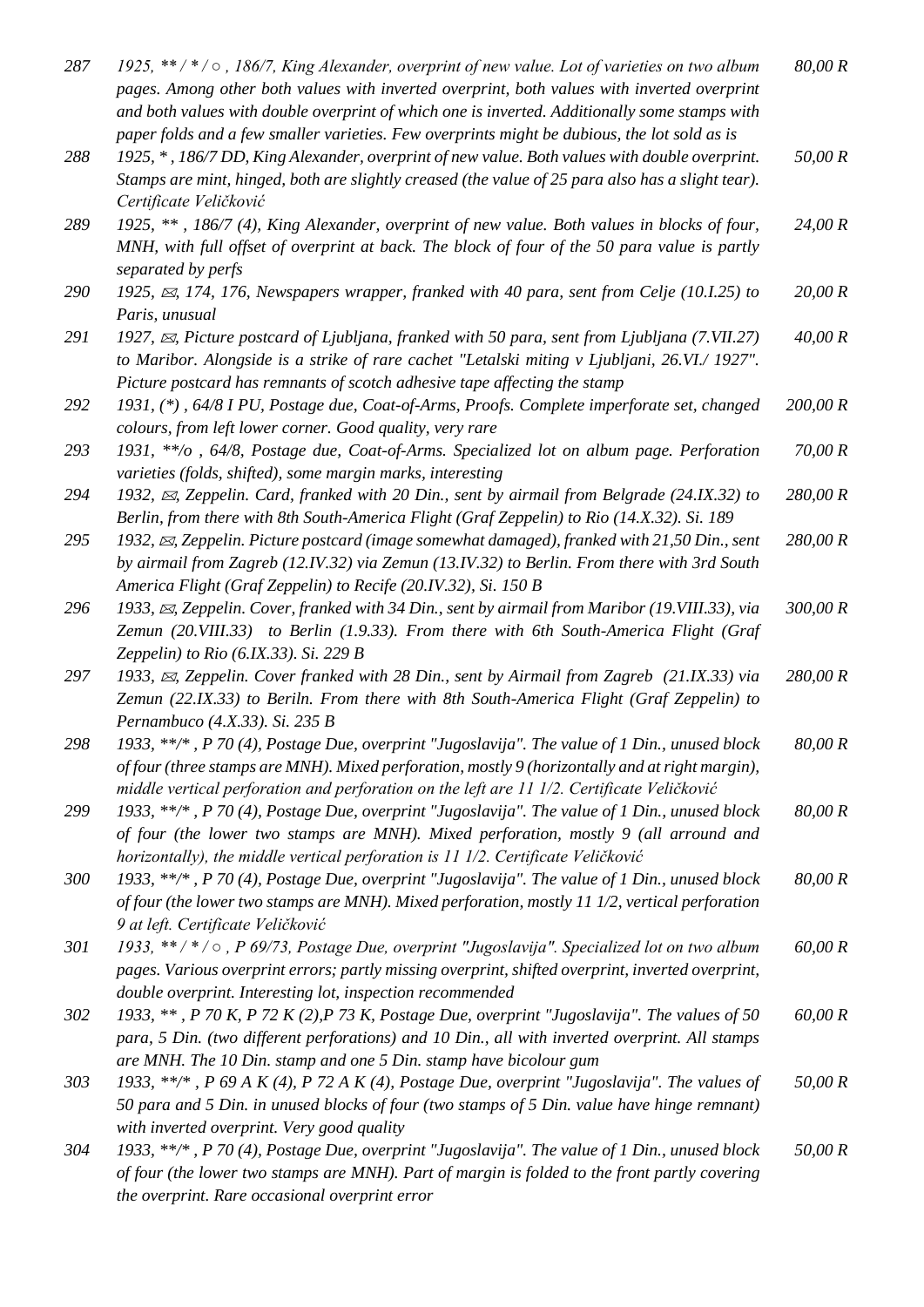| 287 | 1925, $**/*/\circ$ , 186/7, King Alexander, overprint of new value. Lot of varieties on two album<br>pages. Among other both values with inverted overprint, both values with inverted overprint<br>and both values with double overprint of which one is inverted. Additionally some stamps with<br>paper folds and a few smaller varieties. Few overprints might be dubious, the lot sold as is | 80,00 R  |
|-----|---------------------------------------------------------------------------------------------------------------------------------------------------------------------------------------------------------------------------------------------------------------------------------------------------------------------------------------------------------------------------------------------------|----------|
| 288 | 1925, *, 186/7 DD, King Alexander, overprint of new value. Both values with double overprint.<br>Stamps are mint, hinged, both are slightly creased (the value of 25 para also has a slight tear).<br>Certificate Veličković                                                                                                                                                                      | 50,00 R  |
| 289 | 1925, **, 186/7 (4), King Alexander, overprint of new value. Both values in blocks of four,<br>MNH, with full offset of overprint at back. The block of four of the 50 para value is partly<br>separated by perfs                                                                                                                                                                                 | 24,00 R  |
| 290 | 1925, $\boxtimes$ , 174, 176, Newspapers wrapper, franked with 40 para, sent from Celje (10.1.25) to<br>Paris, unusual                                                                                                                                                                                                                                                                            | 20,00 R  |
| 291 | 1927, $\approx$ , Picture postcard of Ljubljana, franked with 50 para, sent from Ljubljana (7.VII.27)<br>to Maribor. Alongside is a strike of rare cachet "Letalski miting v Ljubljani, 26.VI./ 1927".<br>Picture postcard has remnants of scotch adhesive tape affecting the stamp                                                                                                               | 40,00 R  |
| 292 | 1931, (*), 64/8 I PU, Postage due, Coat-of-Arms, Proofs. Complete imperforate set, changed                                                                                                                                                                                                                                                                                                        | 200,00 R |
|     | colours, from left lower corner. Good quality, very rare                                                                                                                                                                                                                                                                                                                                          |          |
| 293 | 1931, **/o , 64/8, Postage due, Coat-of-Arms. Specialized lot on album page. Perforation<br>varieties (folds, shifted), some margin marks, interesting                                                                                                                                                                                                                                            | 70,00 R  |
| 294 | 1932, $\boxtimes$ , Zeppelin. Card, franked with 20 Din., sent by airmail from Belgrade (24.IX.32) to<br>Berlin, from there with 8th South-America Flight (Graf Zeppelin) to Rio (14.X.32). Si. 189                                                                                                                                                                                               | 280,00 R |
| 295 | 1932, $\boxtimes$ , Zeppelin. Picture postcard (image somewhat damaged), franked with 21,50 Din., sent<br>by airmail from Zagreb (12.IV.32) via Zemun (13.IV.32) to Berlin. From there with 3rd South<br>America Flight (Graf Zeppelin) to Recife (20.IV.32), Si. 150 B                                                                                                                           | 280,00 R |
| 296 | 1933, $\boxtimes$ , Zeppelin. Cover, franked with 34 Din., sent by airmail from Maribor (19. VIII. 33), via<br>Zemun (20.VIII.33) to Berlin (1.9.33). From there with 6th South-America Flight (Graf<br>Zeppelin) to Rio (6.IX.33). Si. 229 B                                                                                                                                                     | 300,00 R |
| 297 | 1933, $\boxtimes$ , Zeppelin. Cover franked with 28 Din., sent by Airmail from Zagreb (21.IX.33) via<br>Zemun (22.IX.33) to Beriln. From there with 8th South-America Flight (Graf Zeppelin) to<br>Pernambuco (4.X.33). Si. 235 B                                                                                                                                                                 | 280,00 R |
| 298 | 1933, **/*, P 70 (4), Postage Due, overprint "Jugoslavija". The value of 1 Din., unused block<br>of four (three stamps are MNH). Mixed perforation, mostly 9 (horizontally and at right margin),<br>middle vertical perforation and perforation on the left are 11 1/2. Certificate Veličković                                                                                                    | 80,00 R  |
| 299 | 1933, **/*, P 70 (4), Postage Due, overprint "Jugoslavija". The value of 1 Din., unused block<br>of four (the lower two stamps are MNH). Mixed perforation, mostly 9 (all arround and<br>horizontally), the middle vertical perforation is 11 1/2. Certificate Veličković                                                                                                                         | 80,00 R  |
| 300 | 1933, **/*, P 70 (4), Postage Due, overprint "Jugoslavija". The value of 1 Din., unused block<br>of four (the lower two stamps are MNH). Mixed perforation, mostly 11 1/2, vertical perforation<br>9 at left. Certificate Veličković                                                                                                                                                              | 80,00 R  |
| 301 | 1933, **/*/o, P 69/73, Postage Due, overprint "Jugoslavija". Specialized lot on two album<br>pages. Various overprint errors; partly missing overprint, shifted overprint, inverted overprint,<br>double overprint. Interesting lot, inspection recommended                                                                                                                                       | 60,00 R  |
| 302 | 1933, **, P 70 K, P 72 K (2), P 73 K, Postage Due, overprint "Jugoslavija". The values of 50<br>para, 5 Din. (two different perforations) and 10 Din., all with inverted overprint. All stamps<br>are MNH. The 10 Din. stamp and one 5 Din. stamp have bicolour gum                                                                                                                               | 60,00 R  |
| 303 | 1933, **/*, P 69 A K (4), P 72 A K (4), Postage Due, overprint "Jugoslavija". The values of<br>50 para and 5 Din. in unused blocks of four (two stamps of 5 Din. value have hinge remnant)<br>with inverted overprint. Very good quality                                                                                                                                                          | 50,00 R  |
| 304 | 1933, **/*, P 70 (4), Postage Due, overprint "Jugoslavija". The value of 1 Din., unused block<br>of four (the lower two stamps are MNH). Part of margin is folded to the front partly covering                                                                                                                                                                                                    | 50,00 R  |

*the overprint. Rare occasional overprint error*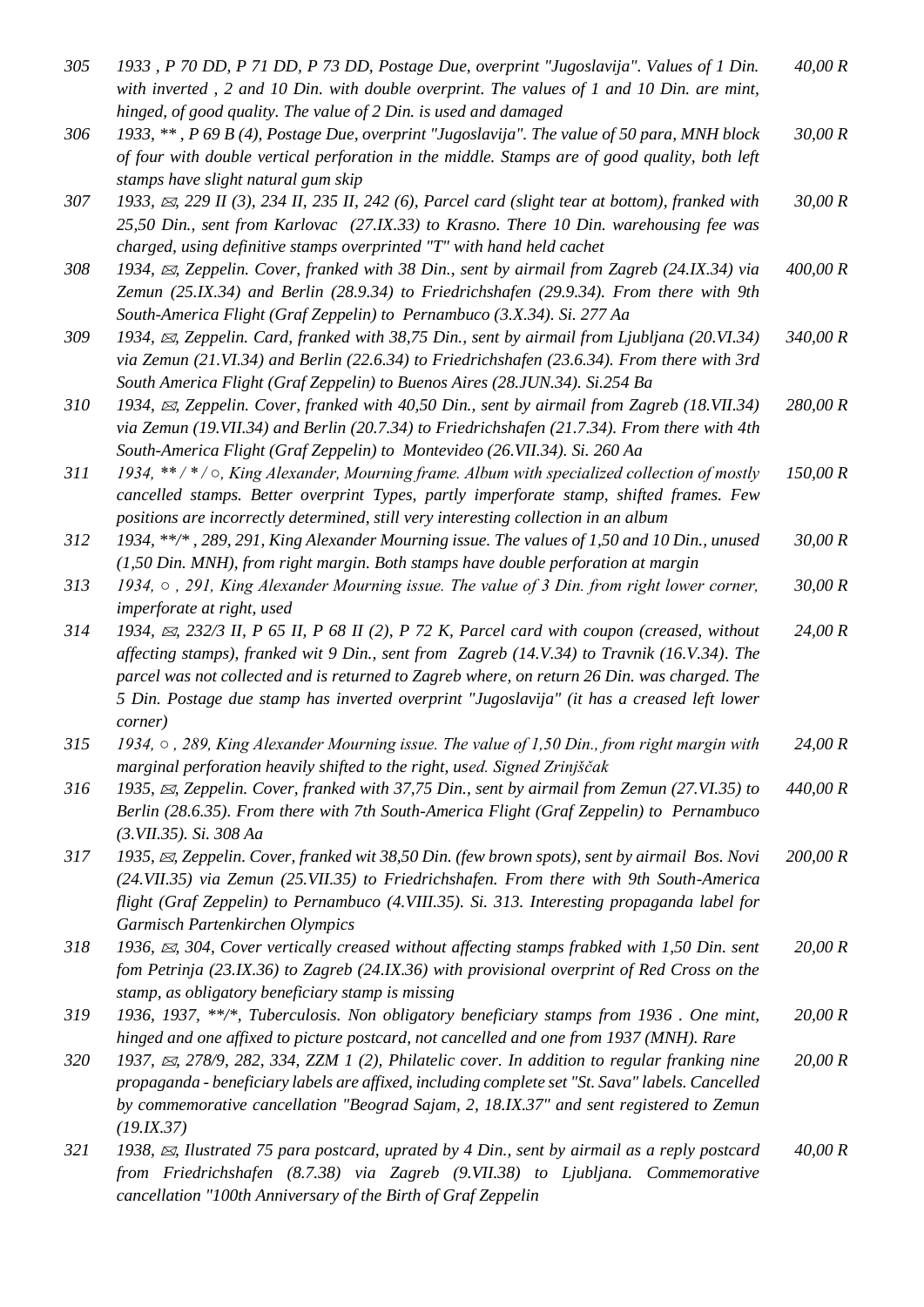| 305 | 1933, P 70 DD, P 71 DD, P 73 DD, Postage Due, overprint "Jugoslavija". Values of 1 Din.<br>with inverted, $2$ and $10$ Din. with double overprint. The values of $1$ and $10$ Din. are mint,                                                                                                                                                                                                                                        | 40,00 R  |
|-----|-------------------------------------------------------------------------------------------------------------------------------------------------------------------------------------------------------------------------------------------------------------------------------------------------------------------------------------------------------------------------------------------------------------------------------------|----------|
| 306 | hinged, of good quality. The value of 2 Din. is used and damaged<br>1933, **, P 69 B (4), Postage Due, overprint "Jugoslavija". The value of 50 para, MNH block<br>of four with double vertical perforation in the middle. Stamps are of good quality, both left                                                                                                                                                                    | 30,00 R  |
| 307 | stamps have slight natural gum skip<br>1933, $\approx$ , 229 II (3), 234 II, 235 II, 242 (6), Parcel card (slight tear at bottom), franked with<br>25,50 Din., sent from Karlovac (27.IX.33) to Krasno. There 10 Din. warehousing fee was                                                                                                                                                                                           | 30,00 R  |
| 308 | charged, using definitive stamps overprinted "T" with hand held cachet<br>1934, $\boxtimes$ , Zeppelin. Cover, franked with 38 Din., sent by airmail from Zagreb (24.IX.34) via<br>Zemun (25.IX.34) and Berlin (28.9.34) to Friedrichshafen (29.9.34). From there with 9th                                                                                                                                                          | 400,00 R |
| 309 | South-America Flight (Graf Zeppelin) to Pernambuco (3.X.34). Si. 277 Aa<br>1934, $\approx$ , Zeppelin. Card, franked with 38,75 Din., sent by airmail from Ljubljana (20.VI.34)<br>via Zemun (21.VI.34) and Berlin (22.6.34) to Friedrichshafen (23.6.34). From there with 3rd<br>South America Flight (Graf Zeppelin) to Buenos Aires (28.JUN.34). Si.254 Ba                                                                       | 340,00 R |
| 310 | 1934, $\boxtimes$ , Zeppelin. Cover, franked with 40,50 Din., sent by airmail from Zagreb (18.VII.34)<br>via Zemun (19.VII.34) and Berlin (20.7.34) to Friedrichshafen (21.7.34). From there with 4th<br>South-America Flight (Graf Zeppelin) to Montevideo (26.VII.34). Si. 260 Aa                                                                                                                                                 | 280,00 R |
| 311 | 1934, $**/*/\circ$ , King Alexander, Mourning frame. Album with specialized collection of mostly<br>cancelled stamps. Better overprint Types, partly imperforate stamp, shifted frames. Few<br>positions are incorrectly determined, still very interesting collection in an album                                                                                                                                                  | 150,00 R |
| 312 | 1934, **/*, 289, 291, King Alexander Mourning issue. The values of 1,50 and 10 Din., unused<br>(1,50 Din. MNH), from right margin. Both stamps have double perforation at margin                                                                                                                                                                                                                                                    | 30,00 R  |
| 313 | 1934, $\circ$ , 291, King Alexander Mourning issue. The value of 3 Din. from right lower corner,                                                                                                                                                                                                                                                                                                                                    | 30,00 R  |
| 314 | imperforate at right, used<br>1934, $\approx$ , 232/3 II, P 65 II, P 68 II (2), P 72 K, Parcel card with coupon (creased, without<br>affecting stamps), franked wit 9 Din., sent from Zagreb $(14.V.34)$ to Travnik $(16.V.34)$ . The<br>parcel was not collected and is returned to Zagreb where, on return 26 Din. was charged. The<br>5 Din. Postage due stamp has inverted overprint "Jugoslavija" (it has a creased left lower | 24,00 R  |
| 315 | <i>corner</i> )<br>1934, $\circ$ , 289, King Alexander Mourning issue. The value of 1,50 Din., from right margin with<br>marginal perforation heavily shifted to the right, used. Signed Zrinjščak                                                                                                                                                                                                                                  | 24,00 R  |
| 316 | 1935, $\boxtimes$ , Zeppelin. Cover, franked with 37,75 Din., sent by airmail from Zemun (27.VI.35) to<br>Berlin (28.6.35). From there with 7th South-America Flight (Graf Zeppelin) to Pernambuco<br>$(3. VII.35)$ . Si. 308 Aa                                                                                                                                                                                                    | 440,00 R |
| 317 | 1935, $\boxtimes$ , Zeppelin. Cover, franked wit 38,50 Din. (few brown spots), sent by airmail Bos. Novi<br>(24.VII.35) via Zemun (25.VII.35) to Friedrichshafen. From there with 9th South-America<br>flight (Graf Zeppelin) to Pernambuco (4.VIII.35). Si. 313. Interesting propaganda label for<br>Garmisch Partenkirchen Olympics                                                                                               | 200,00 R |
| 318 | 1936, $\approx$ , 304, Cover vertically creased without affecting stamps frabked with 1,50 Din. sent<br>fom Petrinja (23.IX.36) to Zagreb (24.IX.36) with provisional overprint of Red Cross on the                                                                                                                                                                                                                                 | 20,00 R  |
| 319 | stamp, as obligatory beneficiary stamp is missing<br>1936, 1937, **/*, Tuberculosis. Non obligatory beneficiary stamps from 1936. One mint,                                                                                                                                                                                                                                                                                         | 20,00 R  |
| 320 | hinged and one affixed to picture postcard, not cancelled and one from 1937 (MNH). Rare<br>1937, $\approx$ , 278/9, 282, 334, ZZM 1 (2), Philatelic cover. In addition to regular franking nine<br>propaganda - beneficiary labels are affixed, including complete set "St. Sava" labels. Cancelled<br>by commemorative cancellation "Beograd Sajam, 2, 18.IX.37" and sent registered to Zemun                                      | 20,00 R  |
| 321 | (19.IX.37)<br>1938, $\boxtimes$ , Ilustrated 75 para postcard, uprated by 4 Din., sent by airmail as a reply postcard<br>from Friedrichshafen (8.7.38) via Zagreb (9.VII.38) to Ljubljana. Commemorative                                                                                                                                                                                                                            | 40,00 R  |

*cancellation "100th Anniversary of the Birth of Graf Zeppelin*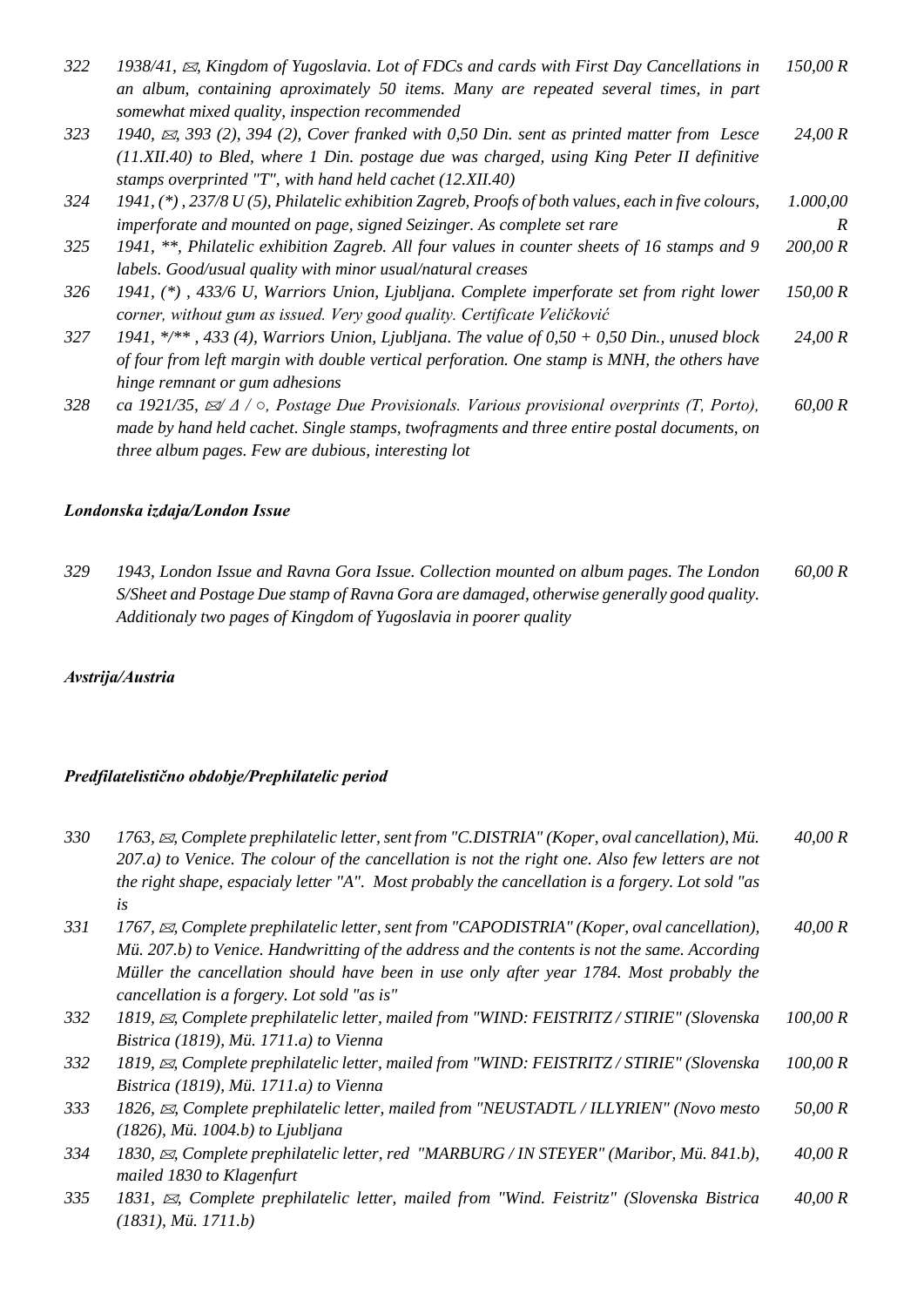| 322 | 1938/41, $\boxtimes$ , Kingdom of Yugoslavia. Lot of FDCs and cards with First Day Cancellations in              | 150,00 R |
|-----|------------------------------------------------------------------------------------------------------------------|----------|
|     | an album, containing aproximately 50 items. Many are repeated several times, in part                             |          |
|     | somewhat mixed quality, inspection recommended                                                                   |          |
| 323 | 1940, $\approx$ , 393 (2), 394 (2), Cover franked with 0,50 Din. sent as printed matter from Lesce               | 24,00 R  |
|     | (11.XII.40) to Bled, where 1 Din. postage due was charged, using King Peter II definitive                        |          |
|     | stamps overprinted "T", with hand held cachet (12.XII.40)                                                        |          |
| 324 | 1941, $(*)$ , 237/8 U (5), Philatelic exhibition Zagreb, Proofs of both values, each in five colours,            | 1.000,00 |
|     | imperforate and mounted on page, signed Seizinger. As complete set rare                                          | R        |
| 325 | 1941, **, Philatelic exhibition Zagreb. All four values in counter sheets of 16 stamps and 9                     | 200,00 R |
|     | labels. Good/usual quality with minor usual/natural creases                                                      |          |
| 326 | 1941, (*), 433/6 U, Warriors Union, Ljubljana. Complete imperforate set from right lower                         | 150,00 R |
|     | corner, without gum as issued. Very good quality. Certificate Veličković                                         |          |
| 327 | 1941, */**, 433 (4), Warriors Union, Ljubljana. The value of $0,50 + 0,50$ Din., unused block                    | 24,00 R  |
|     | of four from left margin with double vertical perforation. One stamp is MNH, the others have                     |          |
|     | hinge remnant or gum adhesions                                                                                   |          |
| 328 | ca 1921/35, $\mathbb{Z}/\Delta$ / $\circ$ , Postage Due Provisionals. Various provisional overprints (T, Porto), | 60,00 R  |
|     | made by hand held cachet. Single stamps, twofragments and three entire postal documents, on                      |          |
|     | three album pages. Few are dubious, interesting lot                                                              |          |

#### *Londonska izdaja/London Issue*

*329 1943, London Issue and Ravna Gora Issue. Collection mounted on album pages. The London S/Sheet and Postage Due stamp of Ravna Gora are damaged, otherwise generally good quality. Additionaly two pages of Kingdom of Yugoslavia in poorer quality 60,00 R*

# *Avstrija/Austria*

# *Predfilatelistično obdobje/Prephilatelic period*

| 330 | 1763, $\boxtimes$ , Complete prephilatelic letter, sent from "C.DISTRIA" (Koper, oval cancellation), Mü.<br>$207.a$ ) to Venice. The colour of the cancellation is not the right one. Also few letters are not | 40,00 R  |
|-----|----------------------------------------------------------------------------------------------------------------------------------------------------------------------------------------------------------------|----------|
|     | the right shape, espacialy letter "A". Most probably the cancellation is a forgery. Lot sold "as<br>is                                                                                                         |          |
| 331 | 1767, $\boxtimes$ , Complete prephilatelic letter, sent from "CAPODISTRIA" (Koper, oval cancellation),<br>Mü. 207.b) to Venice. Handwritting of the address and the contents is not the same. According        | 40,00 R  |
|     | Müller the cancellation should have been in use only after year 1784. Most probably the<br>cancellation is a forgery. Lot sold "as is"                                                                         |          |
| 332 | 1819, $\boxtimes$ , Complete prephilatelic letter, mailed from "WIND: FEISTRITZ / STIRIE" (Slovenska                                                                                                           | 100,00 R |
|     | Bistrica (1819), Mü. 1711.a) to Vienna                                                                                                                                                                         |          |
| 332 | 1819, $\boxtimes$ , Complete prephilatelic letter, mailed from "WIND: FEISTRITZ / STIRIE" (Slovenska                                                                                                           | 100,00 R |
|     | Bistrica (1819), Mü. 1711.a) to Vienna                                                                                                                                                                         |          |
| 333 | 1826, $\boxtimes$ , Complete prephilatelic letter, mailed from "NEUSTADTL / ILLYRIEN" (Novo mesto                                                                                                              | 50,00 R  |
|     | $(1826)$ , Mü. 1004.b) to Ljubljana                                                                                                                                                                            |          |
| 334 | 1830, $\boxtimes$ , Complete prephilatelic letter, red "MARBURG / IN STEYER" (Maribor, Mü. 841.b),                                                                                                             | 40,00 R  |
|     | mailed 1830 to Klagenfurt                                                                                                                                                                                      |          |
| 335 | 1831, $\boxtimes$ , Complete prephilatelic letter, mailed from "Wind. Feistritz" (Slovenska Bistrica                                                                                                           | 40,00 R  |
|     | (1831), Mü. 1711.b)                                                                                                                                                                                            |          |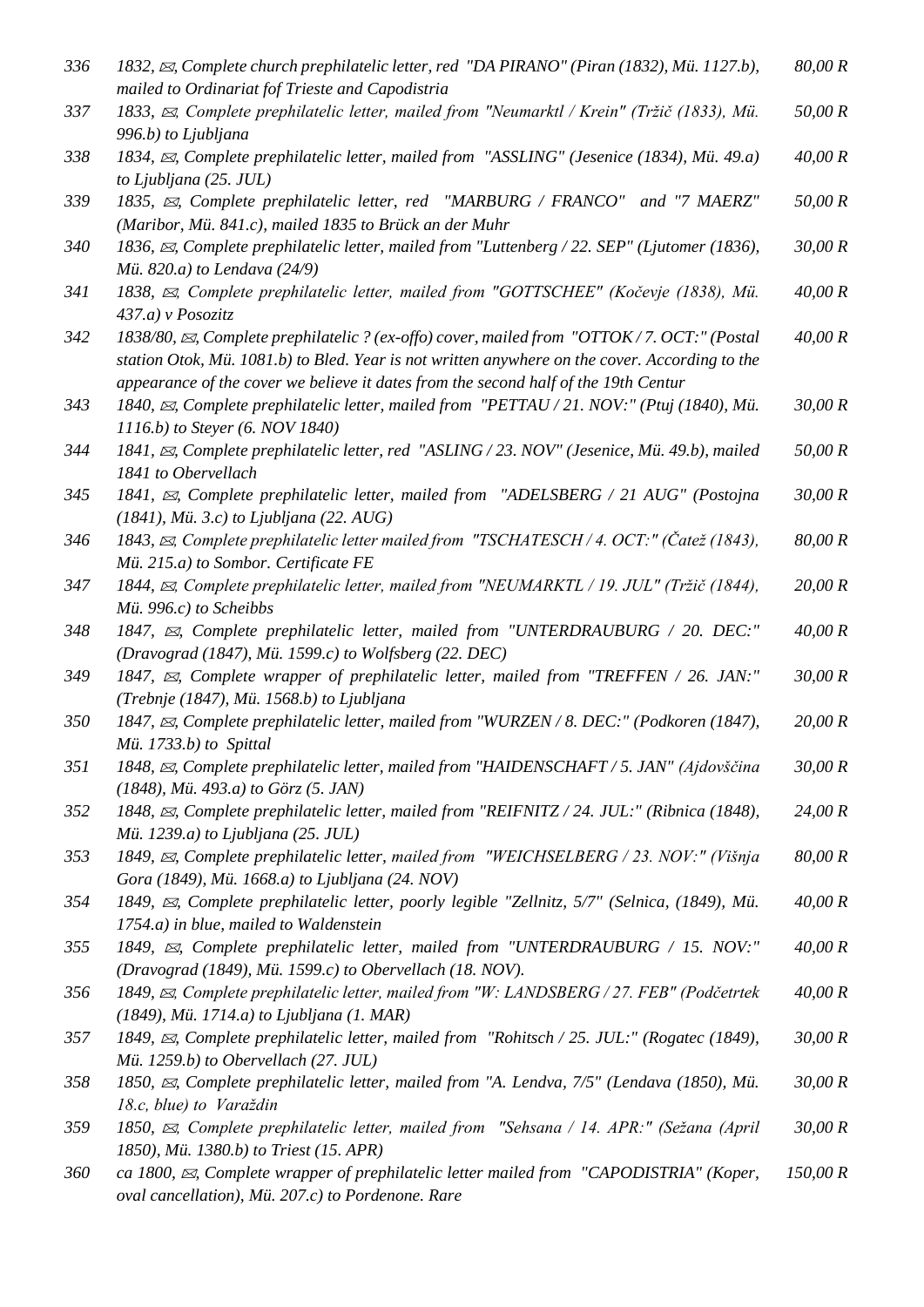| 336 | 1832, $\boxtimes$ , Complete church prephilatelic letter, red "DA PIRANO" (Piran (1832), Mü. 1127.b),<br>mailed to Ordinariat fof Trieste and Capodistria                                                                                                                                     | 80,00 R  |
|-----|-----------------------------------------------------------------------------------------------------------------------------------------------------------------------------------------------------------------------------------------------------------------------------------------------|----------|
| 337 | 1833, $\boxtimes$ , Complete prephilatelic letter, mailed from "Neumarktl / Krein" (Tržič (1833), Mü.<br>996.b) to Ljubljana                                                                                                                                                                  | 50,00 R  |
| 338 | 1834, $\boxtimes$ , Complete prephilatelic letter, mailed from "ASSLING" (Jesenice (1834), Mü. 49.a)<br>to Ljubljana (25. JUL)                                                                                                                                                                | 40,00 R  |
| 339 | 1835, $\boxtimes$ , Complete prephilatelic letter, red "MARBURG / FRANCO" and "7 MAERZ"<br>(Maribor, Mü. 841.c), mailed 1835 to Brück an der Muhr                                                                                                                                             | 50,00 R  |
| 340 | 1836, $\boxtimes$ , Complete prephilatelic letter, mailed from "Luttenberg / 22. SEP" (Ljutomer (1836),<br>Mü. 820.a) to Lendava (24/9)                                                                                                                                                       | 30,00 R  |
| 341 | 1838, $\boxtimes$ , Complete prephilatelic letter, mailed from "GOTTSCHEE" (Kočevje (1838), Mü.<br>437.a) v Posozitz                                                                                                                                                                          | 40,00 R  |
| 342 | 1838/80, $\boxtimes$ , Complete prephilatelic ? (ex-offo) cover, mailed from "OTTOK/7. OCT:" (Postal<br>station Otok, Mü. 1081.b) to Bled. Year is not written anywhere on the cover. According to the<br>appearance of the cover we believe it dates from the second half of the 19th Centur | 40,00 R  |
| 343 | 1840, $\boxtimes$ , Complete prephilatelic letter, mailed from "PETTAU/21. NOV:" (Ptuj (1840), Mü.<br>1116.b) to Steyer (6. NOV 1840)                                                                                                                                                         | 30,00 R  |
| 344 | 1841, $\boxtimes$ , Complete prephilatelic letter, red "ASLING / 23. NOV" (Jesenice, Mü. 49.b), mailed<br>1841 to Obervellach                                                                                                                                                                 | 50,00 R  |
| 345 | 1841, $\boxtimes$ , Complete prephilatelic letter, mailed from "ADELSBERG / 21 AUG" (Postojna<br>$(1841)$ , Mü. 3.c) to Ljubljana (22. AUG)                                                                                                                                                   | 30,00 R  |
| 346 | 1843, $\boxtimes$ , Complete prephilatelic letter mailed from "TSCHATESCH/4. OCT:" (Čatež (1843),<br>Mü. 215.a) to Sombor. Certificate FE                                                                                                                                                     | 80,00 R  |
| 347 | 1844, $\boxtimes$ , Complete prephilatelic letter, mailed from "NEUMARKTL / 19. JUL" (Tržič (1844),<br>Mü. 996.c) to Scheibbs                                                                                                                                                                 | 20,00 R  |
| 348 | 1847, $\boxtimes$ , Complete prephilatelic letter, mailed from "UNTERDRAUBURG / 20. DEC:"<br>(Dravograd (1847), Mü. 1599.c) to Wolfsberg (22. DEC)                                                                                                                                            | 40,00 R  |
| 349 | 1847, $\boxtimes$ , Complete wrapper of prephilatelic letter, mailed from "TREFFEN / 26. JAN:"<br>(Trebnje (1847), Mü. 1568.b) to Ljubljana                                                                                                                                                   | 30,00 R  |
| 350 | 1847, $\boxtimes$ , Complete prephilatelic letter, mailed from "WURZEN / 8. DEC:" (Podkoren (1847),<br>Mü. $1733.b$ to Spittal                                                                                                                                                                | 20,00 R  |
| 351 | 1848, $\approx$ , Complete prephilatelic letter, mailed from "HAIDENSCHAFT / 5. JAN" (Ajdovščina<br>(1848), Mü. 493.a) to Görz (5. JAN)                                                                                                                                                       | 30,00 R  |
| 352 | 1848, $\boxtimes$ , Complete prephilatelic letter, mailed from "REIFNITZ / 24. JUL:" (Ribnica (1848),<br>Mü. 1239.a) to Ljubljana (25. JUL)                                                                                                                                                   | 24,00 R  |
| 353 | 1849, $\boxtimes$ , Complete prephilatelic letter, mailed from "WEICHSELBERG / 23. NOV:" (Višnja<br>Gora (1849), Mü. 1668.a) to Ljubljana (24. NOV)                                                                                                                                           | 80,00 R  |
| 354 | 1849, $\boxtimes$ , Complete prephilatelic letter, poorly legible "Zellnitz, 5/7" (Selnica, (1849), Mü.<br>$1754.a$ ) in blue, mailed to Waldenstein                                                                                                                                          | 40,00 R  |
| 355 | 1849, $\boxtimes$ , Complete prephilatelic letter, mailed from "UNTERDRAUBURG / 15. NOV:"<br>(Dravograd (1849), Mü. 1599.c) to Obervellach (18. NOV).                                                                                                                                         | 40,00 R  |
| 356 | 1849, $\boxtimes$ , Complete prephilatelic letter, mailed from "W: LANDSBERG / 27. FEB" (Podčetrtek<br>(1849), Mü. 1714.a) to Ljubljana (1. MAR)                                                                                                                                              | 40,00 R  |
| 357 | 1849, $\boxtimes$ , Complete prephilatelic letter, mailed from "Rohitsch / 25. JUL:" (Rogatec (1849),<br>Mü. 1259.b) to Obervellach (27. JUL)                                                                                                                                                 | 30,00 R  |
| 358 | 1850, $\boxtimes$ , Complete prephilatelic letter, mailed from "A. Lendva, 7/5" (Lendava (1850), Mü.<br>18.c, blue) to Varaždin                                                                                                                                                               | 30,00 R  |
| 359 | 1850, $\boxtimes$ , Complete prephilatelic letter, mailed from "Sehsana / 14. APR:" (Sežana (April<br>1850), Mü. 1380.b) to Triest (15. APR)                                                                                                                                                  | 30,00 R  |
| 360 | ca 1800, $\boxtimes$ , Complete wrapper of prephilatelic letter mailed from "CAPODISTRIA" (Koper,<br>oval cancellation), Mü. 207.c) to Pordenone. Rare                                                                                                                                        | 150,00 R |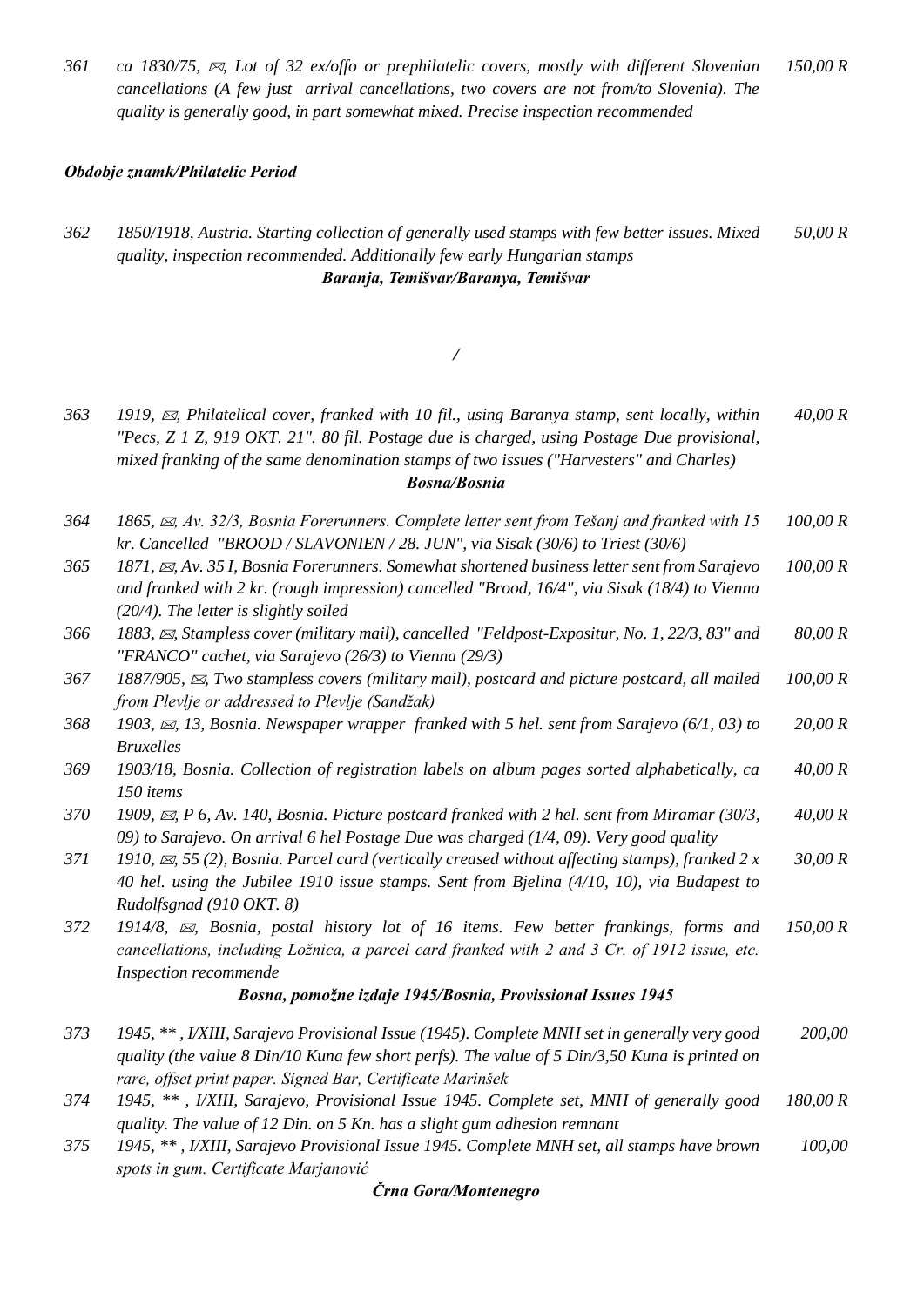*361 ca 1830/75, , Lot of 32 ex/offo or prephilatelic covers, mostly with different Slovenian cancellations (A few just arrival cancellations, two covers are not from/to Slovenia). The quality is generally good, in part somewhat mixed. Precise inspection recommended 150,00 R*

#### *Obdobje znamk/Philatelic Period*

#### *362 1850/1918, Austria. Starting collection of generally used stamps with few better issues. Mixed quality, inspection recommended. Additionally few early Hungarian stamps 50,00 R Baranja, Temišvar/Baranya, Temišvar*

#### */*

- *363 1919, , Philatelical cover, franked with 10 fil., using Baranya stamp, sent locally, within "Pecs, Z 1 Z, 919 OKT. 21". 80 fil. Postage due is charged, using Postage Due provisional, mixed franking of the same denomination stamps of two issues ("Harvesters" and Charles) 40,00 R Bosna/Bosnia*
- *364 1865, , Av. 32/3, Bosnia Forerunners. Complete letter sent from Tešanj and franked with 15 kr. Cancelled "BROOD / SLAVONIEN / 28. JUN", via Sisak (30/6) to Triest (30/6) 100,00 R*
- *365 1871, , Av. 35 I, Bosnia Forerunners. Somewhat shortened business letter sent from Sarajevo and franked with 2 kr. (rough impression) cancelled "Brood, 16/4", via Sisak (18/4) to Vienna (20/4). The letter is slightly soiled 100,00 R*
- *366 1883, , Stampless cover (military mail), cancelled "Feldpost-Expositur, No. 1, 22/3, 83" and "FRANCO" cachet, via Sarajevo (26/3) to Vienna (29/3) 80,00 R*
- *367 1887/905, , Two stampless covers (military mail), postcard and picture postcard, all mailed from Plevlje or addressed to Plevlje (Sandžak) 100,00 R*
- *368 1903, , 13, Bosnia. Newspaper wrapper franked with 5 hel. sent from Sarajevo (6/1, 03) to Bruxelles 20,00 R*
- *369 1903/18, Bosnia. Collection of registration labels on album pages sorted alphabetically, ca 150 items 40,00 R*
- *370 1909, , P 6, Av. 140, Bosnia. Picture postcard franked with 2 hel. sent from Miramar (30/3, 09) to Sarajevo. On arrival 6 hel Postage Due was charged (1/4, 09). Very good quality 40,00 R*
- *371 1910, , 55 (2), Bosnia. Parcel card (vertically creased without affecting stamps), franked 2 x 40 hel. using the Jubilee 1910 issue stamps. Sent from Bjelina (4/10, 10), via Budapest to Rudolfsgnad (910 OKT. 8) 30,00 R*
- *372 1914/8, , Bosnia, postal history lot of 16 items. Few better frankings, forms and cancellations, including Ložnica, a parcel card franked with 2 and 3 Cr. of 1912 issue, etc. Inspection recommende 150,00 R*

#### *Bosna, pomožne izdaje 1945/Bosnia, Provissional Issues 1945*

- *373 1945, \*\* , I/XIII, Sarajevo Provisional Issue (1945). Complete MNH set in generally very good quality (the value 8 Din/10 Kuna few short perfs). The value of 5 Din/3,50 Kuna is printed on rare, offset print paper. Signed Bar, Certificate Marinšek 200,00*
- *374 1945, \*\* , I/XIII, Sarajevo, Provisional Issue 1945. Complete set, MNH of generally good quality. The value of 12 Din. on 5 Kn. has a slight gum adhesion remnant 180,00 R*
- *375 1945, \*\* , I/XIII, Sarajevo Provisional Issue 1945. Complete MNH set, all stamps have brown spots in gum. Certificate Marjanović 100,00*

*Črna Gora/Montenegro*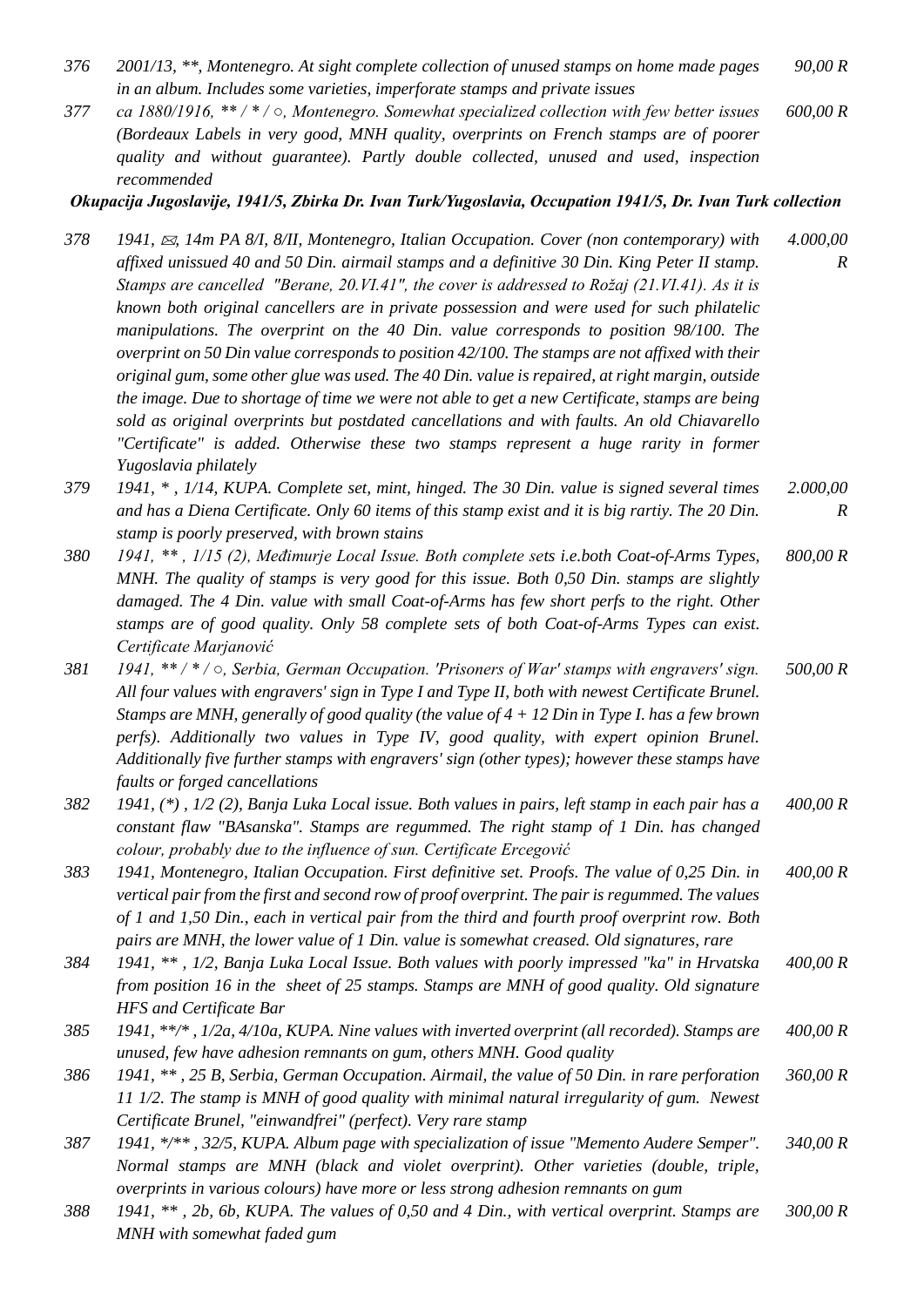- *376 2001/13, \*\*, Montenegro. At sight complete collection of unused stamps on home made pages in an album. Includes some varieties, imperforate stamps and private issues 90,00 R*
- *377 ca 1880/1916, \*\* / \* / ○, Montenegro. Somewhat specialized collection with few better issues (Bordeaux Labels in very good, MNH quality, overprints on French stamps are of poorer quality and without guarantee). Partly double collected, unused and used, inspection recommended 600,00 R*

#### *Okupacija Jugoslavije, 1941/5, Zbirka Dr. Ivan Turk/Yugoslavia, Occupation 1941/5, Dr. Ivan Turk collection*

- *378 1941, , 14m PA 8/I, 8/II, Montenegro, Italian Occupation. Cover (non contemporary) with affixed unissued 40 and 50 Din. airmail stamps and a definitive 30 Din. King Peter II stamp. Stamps are cancelled "Berane, 20.VI.41", the cover is addressed to Rožaj (21.VI.41). As it is known both original cancellers are in private possession and were used for such philatelic manipulations. The overprint on the 40 Din. value corresponds to position 98/100. The overprint on 50 Din value corresponds to position 42/100. The stamps are not affixed with their original gum, some other glue was used. The 40 Din. value is repaired, at right margin, outside the image. Due to shortage of time we were not able to get a new Certificate, stamps are being sold as original overprints but postdated cancellations and with faults. An old Chiavarello "Certificate" is added. Otherwise these two stamps represent a huge rarity in former Yugoslavia philately 4.000,00 R*
- *379 1941, \* , 1/14, KUPA. Complete set, mint, hinged. The 30 Din. value is signed several times and has a Diena Certificate. Only 60 items of this stamp exist and it is big rartiy. The 20 Din. stamp is poorly preserved, with brown stains 2.000,00 R*
- *380 1941, \*\* , 1/15 (2), Međimurje Local Issue. Both complete sets i.e.both Coat-of-Arms Types, MNH. The quality of stamps is very good for this issue. Both 0,50 Din. stamps are slightly damaged. The 4 Din. value with small Coat-of-Arms has few short perfs to the right. Other stamps are of good quality. Only 58 complete sets of both Coat-of-Arms Types can exist. Certificate Marjanović 800,00 R*
- *381 1941, \*\* / \* / ○, Serbia, German Occupation. 'Prisoners of War' stamps with engravers' sign. All four values with engravers' sign in Type I and Type II, both with newest Certificate Brunel. Stamps are MNH, generally of good quality (the value of 4 + 12 Din in Type I. has a few brown perfs). Additionally two values in Type IV, good quality, with expert opinion Brunel. Additionally five further stamps with engravers' sign (other types); however these stamps have faults or forged cancellations 500,00 R*
- *382 1941, (\*) , 1/2 (2), Banja Luka Local issue. Both values in pairs, left stamp in each pair has a constant flaw "BAsanska". Stamps are regummed. The right stamp of 1 Din. has changed colour, probably due to the influence of sun. Certificate Ercegović 400,00 R*
- *383 1941, Montenegro, Italian Occupation. First definitive set. Proofs. The value of 0,25 Din. in vertical pair from the first and second row of proof overprint. The pair is regummed. The values of 1 and 1,50 Din., each in vertical pair from the third and fourth proof overprint row. Both pairs are MNH, the lower value of 1 Din. value is somewhat creased. Old signatures, rare 400,00 R*
- *384 1941, \*\* , 1/2, Banja Luka Local Issue. Both values with poorly impressed "ka" in Hrvatska from position 16 in the sheet of 25 stamps. Stamps are MNH of good quality. Old signature HFS and Certificate Bar 400,00 R*
- *385 1941, \*\*/\* , 1/2a, 4/10a, KUPA. Nine values with inverted overprint (all recorded). Stamps are unused, few have adhesion remnants on gum, others MNH. Good quality 400,00 R*
- *386 1941, \*\* , 25 B, Serbia, German Occupation. Airmail, the value of 50 Din. in rare perforation 11 1/2. The stamp is MNH of good quality with minimal natural irregularity of gum. Newest Certificate Brunel, "einwandfrei" (perfect). Very rare stamp 360,00 R*
- *387 1941, \*/\*\* , 32/5, KUPA. Album page with specialization of issue "Memento Audere Semper". Normal stamps are MNH (black and violet overprint). Other varieties (double, triple, overprints in various colours) have more or less strong adhesion remnants on gum 340,00 R*
- *388 1941, \*\* , 2b, 6b, KUPA. The values of 0,50 and 4 Din., with vertical overprint. Stamps are MNH with somewhat faded gum 300,00 R*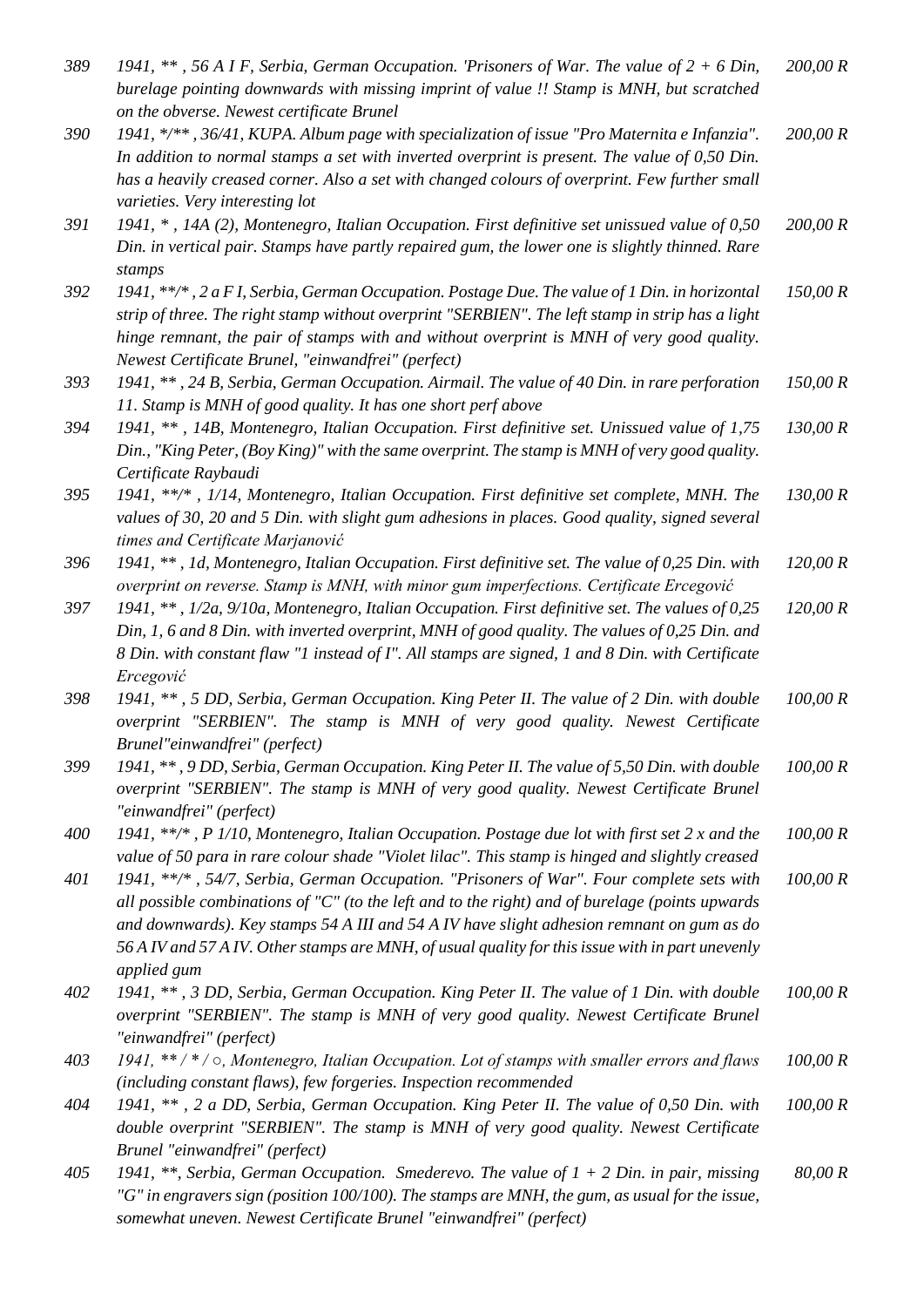| 389 | 1941, **, 56 A I F, Serbia, German Occupation. 'Prisoners of War. The value of $2 + 6$ Din,<br>burelage pointing downwards with missing imprint of value !! Stamp is MNH, but scratched<br>on the obverse. Newest certificate Brunel                                                                                                                                                                        | 200,00 R |
|-----|-------------------------------------------------------------------------------------------------------------------------------------------------------------------------------------------------------------------------------------------------------------------------------------------------------------------------------------------------------------------------------------------------------------|----------|
| 390 | 1941, */**, 36/41, KUPA. Album page with specialization of issue "Pro Maternita e Infanzia".<br>In addition to normal stamps a set with inverted overprint is present. The value of $0,50$ Din.<br>has a heavily creased corner. Also a set with changed colours of overprint. Few further small<br>varieties. Very interesting lot                                                                         | 200,00 R |
| 391 | 1941, *, 14A (2), Montenegro, Italian Occupation. First definitive set unissued value of 0,50<br>Din. in vertical pair. Stamps have partly repaired gum, the lower one is slightly thinned. Rare<br>stamps                                                                                                                                                                                                  | 200,00 R |
| 392 | 1941, **/*, 2 a F I, Serbia, German Occupation. Postage Due. The value of 1 Din. in horizontal<br>strip of three. The right stamp without overprint "SERBIEN". The left stamp in strip has a light<br>hinge remnant, the pair of stamps with and without overprint is MNH of very good quality.<br>Newest Certificate Brunel, "einwandfrei" (perfect)                                                       | 150,00 R |
| 393 | 1941, **, 24 B, Serbia, German Occupation. Airmail. The value of 40 Din. in rare perforation<br>11. Stamp is MNH of good quality. It has one short perf above                                                                                                                                                                                                                                               | 150,00 R |
| 394 | 1941, **, 14B, Montenegro, Italian Occupation. First definitive set. Unissued value of 1,75<br>Din., "King Peter, (Boy King)" with the same overprint. The stamp is MNH of very good quality.<br>Certificate Raybaudi                                                                                                                                                                                       | 130,00 R |
| 395 | 1941, **/*, 1/14, Montenegro, Italian Occupation. First definitive set complete, MNH. The<br>values of 30, 20 and 5 Din. with slight gum adhesions in places. Good quality, signed several<br>times and Certificate Marjanović                                                                                                                                                                              | 130,00 R |
| 396 | 1941, **, 1d, Montenegro, Italian Occupation. First definitive set. The value of 0,25 Din. with<br>overprint on reverse. Stamp is MNH, with minor gum imperfections. Certificate Ercegović                                                                                                                                                                                                                  | 120,00 R |
| 397 | 1941, **, 1/2a, 9/10a, Montenegro, Italian Occupation. First definitive set. The values of 0,25<br>Din, 1, 6 and 8 Din. with inverted overprint, MNH of good quality. The values of 0,25 Din. and<br>8 Din. with constant flaw "1 instead of I". All stamps are signed, 1 and 8 Din. with Certificate<br>Ercegović                                                                                          | 120,00 R |
| 398 | 1941, **, 5 DD, Serbia, German Occupation. King Peter II. The value of 2 Din. with double<br>overprint "SERBIEN". The stamp is MNH of very good quality. Newest Certificate<br>Brunel"einwandfrei" (perfect)                                                                                                                                                                                                | 100,00 R |
| 399 | 1941, **, 9 DD, Serbia, German Occupation. King Peter II. The value of 5,50 Din. with double<br>overprint "SERBIEN". The stamp is MNH of very good quality. Newest Certificate Brunel<br>"einwandfrei" (perfect)                                                                                                                                                                                            | 100,00 R |
| 400 | 1941, **/*, P 1/10, Montenegro, Italian Occupation. Postage due lot with first set 2 x and the<br>value of 50 para in rare colour shade "Violet lilac". This stamp is hinged and slightly creased                                                                                                                                                                                                           | 100,00 R |
| 401 | 1941, **/*, 54/7, Serbia, German Occupation. "Prisoners of War". Four complete sets with<br>all possible combinations of "C" (to the left and to the right) and of burelage (points upwards<br>and downwards). Key stamps 54 A III and 54 A IV have slight adhesion remnant on gum as do<br>56 A IV and 57 A IV. Other stamps are MNH, of usual quality for this issue with in part unevenly<br>applied gum | 100,00 R |
| 402 | 1941, **, 3 DD, Serbia, German Occupation. King Peter II. The value of 1 Din. with double<br>overprint "SERBIEN". The stamp is MNH of very good quality. Newest Certificate Brunel<br>"einwandfrei" (perfect)                                                                                                                                                                                               | 100,00 R |
| 403 | 1941, **/*/o, Montenegro, Italian Occupation. Lot of stamps with smaller errors and flaws<br>(including constant flaws), few forgeries. Inspection recommended                                                                                                                                                                                                                                              | 100,00 R |
| 404 | 1941, **, 2 a DD, Serbia, German Occupation. King Peter II. The value of 0,50 Din. with<br>double overprint "SERBIEN". The stamp is MNH of very good quality. Newest Certificate<br>Brunel "einwandfrei" (perfect)                                                                                                                                                                                          | 100,00 R |
| 405 | 1941, **, Serbia, German Occupation. Smederevo. The value of $1 + 2$ Din. in pair, missing<br>"G" in engravers sign (position 100/100). The stamps are MNH, the gum, as usual for the issue,                                                                                                                                                                                                                | 80,00 R  |

*somewhat uneven. Newest Certificate Brunel "einwandfrei" (perfect)*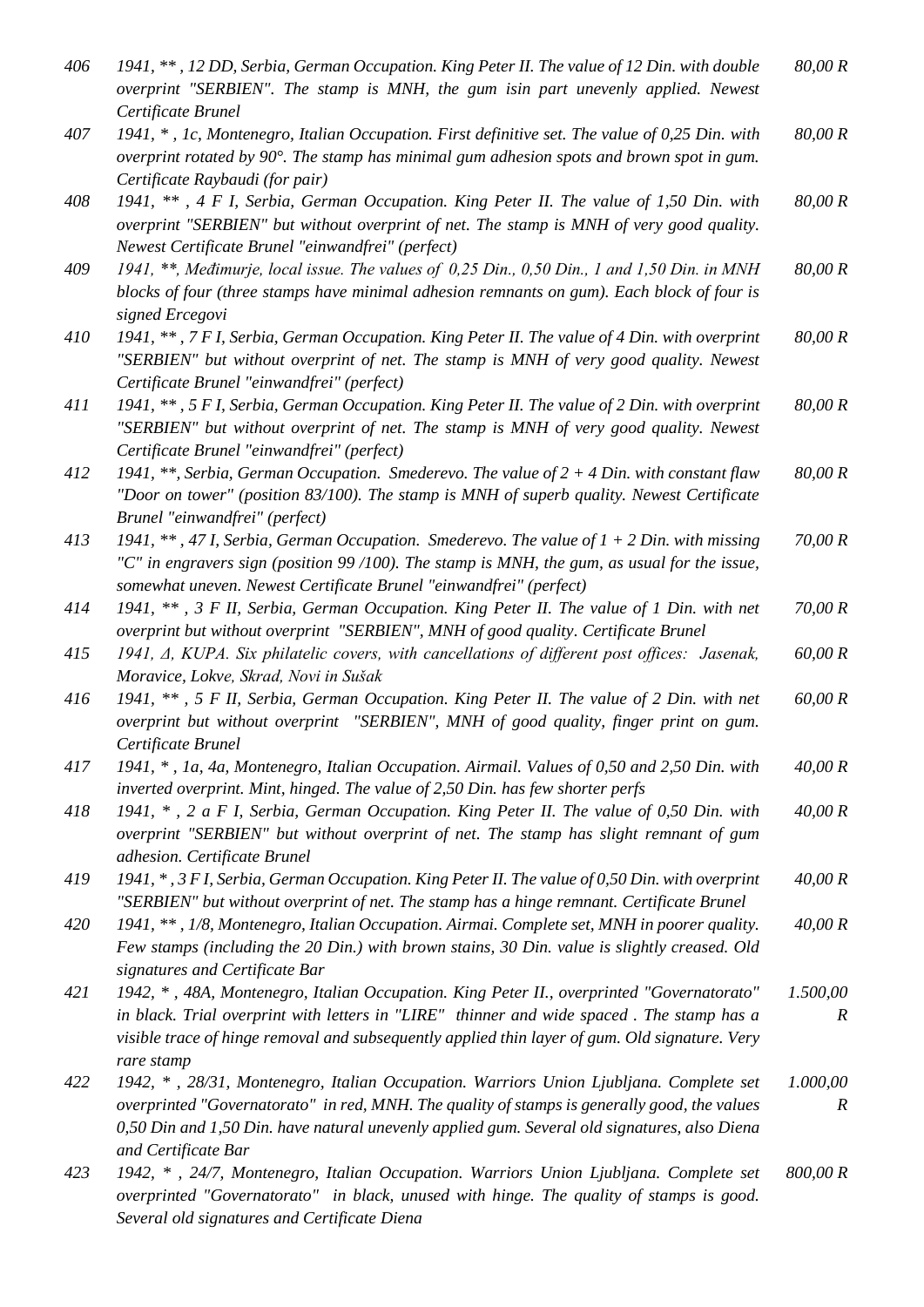| 406 | 1941, **, 12 DD, Serbia, German Occupation. King Peter II. The value of 12 Din. with double<br>overprint "SERBIEN". The stamp is MNH, the gum isin part unevenly applied. Newest<br>Certificate Brunel                                                                                                        | 80,00 R                      |
|-----|---------------------------------------------------------------------------------------------------------------------------------------------------------------------------------------------------------------------------------------------------------------------------------------------------------------|------------------------------|
| 407 | 1941, *, 1c, Montenegro, Italian Occupation. First definitive set. The value of 0,25 Din. with<br>overprint rotated by 90°. The stamp has minimal gum adhesion spots and brown spot in gum.<br>Certificate Raybaudi (for pair)                                                                                | 80,00 R                      |
| 408 | 1941, **, 4 F I, Serbia, German Occupation. King Peter II. The value of 1,50 Din. with<br>overprint "SERBIEN" but without overprint of net. The stamp is MNH of very good quality.<br>Newest Certificate Brunel "einwandfrei" (perfect)                                                                       | 80,00 R                      |
| 409 | 1941, **, Međimurje, local issue. The values of 0,25 Din., 0,50 Din., 1 and 1,50 Din. in MNH<br>blocks of four (three stamps have minimal adhesion remnants on gum). Each block of four is<br>signed Ercegovi                                                                                                 | 80,00 R                      |
| 410 | 1941, **, 7 F I, Serbia, German Occupation. King Peter II. The value of 4 Din. with overprint<br>"SERBIEN" but without overprint of net. The stamp is MNH of very good quality. Newest<br>Certificate Brunel "einwandfrei" (perfect)                                                                          | 80,00 R                      |
| 411 | 1941, **, 5 F I, Serbia, German Occupation. King Peter II. The value of 2 Din. with overprint<br>"SERBIEN" but without overprint of net. The stamp is MNH of very good quality. Newest<br>Certificate Brunel "einwandfrei" (perfect)                                                                          | 80,00 R                      |
| 412 | 1941, **, Serbia, German Occupation. Smederevo. The value of $2 + 4$ Din. with constant flaw<br>"Door on tower" (position 83/100). The stamp is MNH of superb quality. Newest Certificate<br>Brunel "einwandfrei" (perfect)                                                                                   | 80,00 R                      |
| 413 | 1941, **, 47 I, Serbia, German Occupation. Smederevo. The value of $1 + 2$ Din. with missing<br>"C" in engravers sign (position 99/100). The stamp is MNH, the gum, as usual for the issue,<br>somewhat uneven. Newest Certificate Brunel "einwandfrei" (perfect)                                             | 70,00 R                      |
| 414 | 1941, **, 3 F II, Serbia, German Occupation. King Peter II. The value of 1 Din. with net<br>overprint but without overprint "SERBIEN", MNH of good quality. Certificate Brunel                                                                                                                                | 70,00 R                      |
| 415 | 1941, Δ, KUPA. Six philatelic covers, with cancellations of different post offices: Jasenak,<br>Moravice, Lokve, Skrad, Novi in Sušak                                                                                                                                                                         | 60,00 R                      |
| 416 | 1941, **, 5 F II, Serbia, German Occupation. King Peter II. The value of 2 Din. with net<br>overprint but without overprint "SERBIEN", MNH of good quality, finger print on gum.<br>Certificate Brunel                                                                                                        | 60,00 R                      |
| 417 | 1941, *, 1a, 4a, Montenegro, Italian Occupation. Airmail. Values of 0,50 and 2,50 Din. with<br>inverted overprint. Mint, hinged. The value of 2,50 Din. has few shorter perfs                                                                                                                                 | 40,00 R                      |
| 418 | 1941, *, 2 a F I, Serbia, German Occupation. King Peter II. The value of 0,50 Din. with<br>overprint "SERBIEN" but without overprint of net. The stamp has slight remnant of gum<br>adhesion. Certificate Brunel                                                                                              | 40,00 R                      |
| 419 | 1941, *, 3 F I, Serbia, German Occupation. King Peter II. The value of 0,50 Din. with overprint<br>"SERBIEN" but without overprint of net. The stamp has a hinge remnant. Certificate Brunel                                                                                                                  | 40,00 R                      |
| 420 | 1941, **, 1/8, Montenegro, Italian Occupation. Airmai. Complete set, MNH in poorer quality.<br>Few stamps (including the 20 Din.) with brown stains, 30 Din. value is slightly creased. Old<br>signatures and Certificate Bar                                                                                 | 40,00 R                      |
| 421 | 1942, *, 48A, Montenegro, Italian Occupation. King Peter II., overprinted "Governatorato"<br>in black. Trial overprint with letters in "LIRE" thinner and wide spaced. The stamp has a<br>visible trace of hinge removal and subsequently applied thin layer of gum. Old signature. Very<br>rare stamp        | 1.500,00<br>$\boldsymbol{R}$ |
| 422 | 1942, *, 28/31, Montenegro, Italian Occupation. Warriors Union Ljubljana. Complete set<br>overprinted "Governatorato" in red, MNH. The quality of stamps is generally good, the values<br>0,50 Din and 1,50 Din. have natural unevenly applied gum. Several old signatures, also Diena<br>and Certificate Bar | 1.000,00<br>$\boldsymbol{R}$ |
| 423 | 1942, *, 24/7, Montenegro, Italian Occupation. Warriors Union Ljubljana. Complete set<br>overprinted "Governatorato" in black, unused with hinge. The quality of stamps is good.<br>Several old signatures and Certificate Diena                                                                              | 800,00 R                     |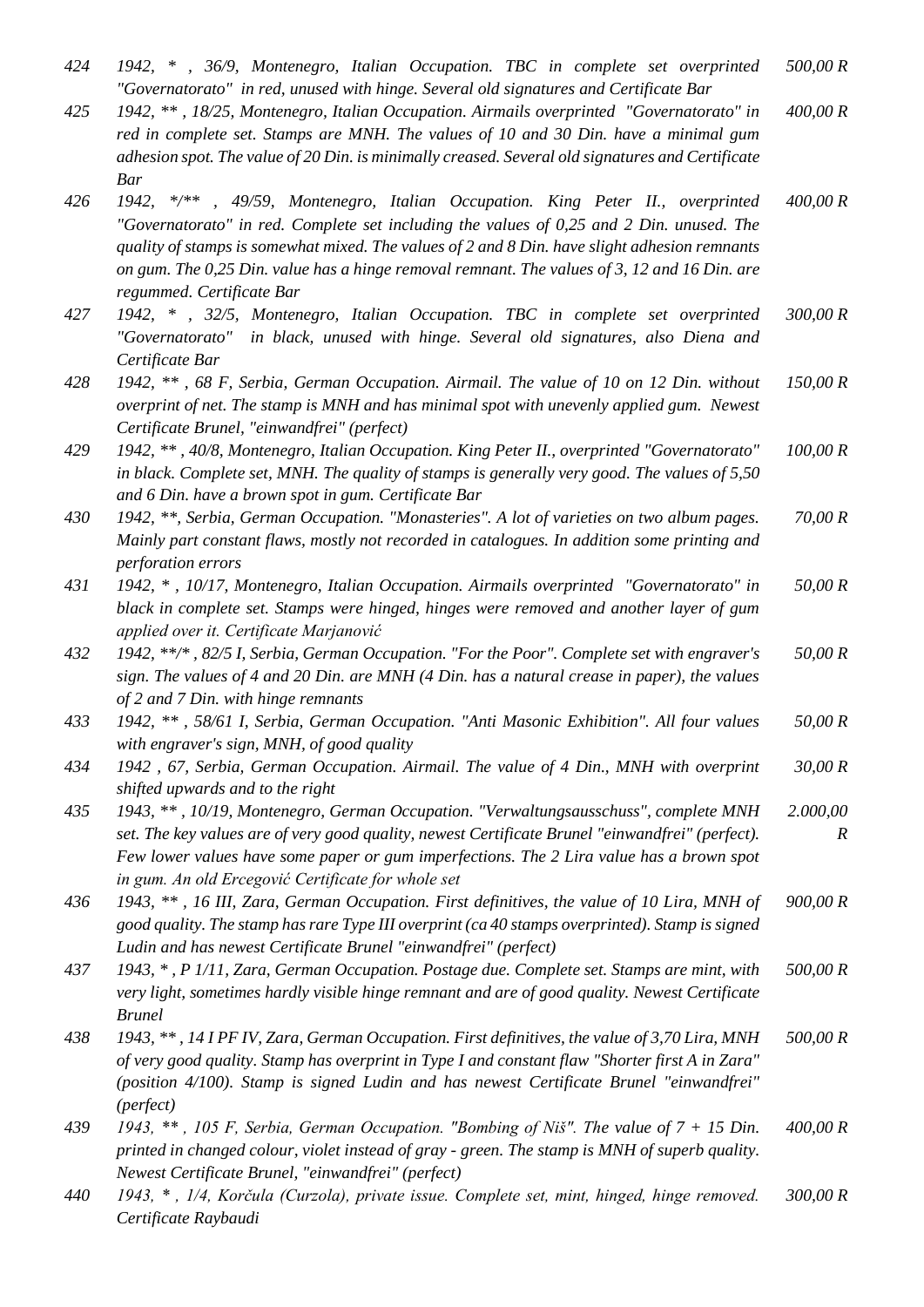- *424 1942, \* , 36/9, Montenegro, Italian Occupation. TBC in complete set overprinted "Governatorato" in red, unused with hinge. Several old signatures and Certificate Bar 500,00 R*
- *425 1942, \*\* , 18/25, Montenegro, Italian Occupation. Airmails overprinted "Governatorato" in red in complete set. Stamps are MNH. The values of 10 and 30 Din. have a minimal gum adhesion spot. The value of 20 Din. is minimally creased. Several old signatures and Certificate Bar 400,00 R*
- *426 1942, \*/\*\* , 49/59, Montenegro, Italian Occupation. King Peter II., overprinted "Governatorato" in red. Complete set including the values of 0,25 and 2 Din. unused. The quality of stamps is somewhat mixed. The values of 2 and 8 Din. have slight adhesion remnants on gum. The 0,25 Din. value has a hinge removal remnant. The values of 3, 12 and 16 Din. are regummed. Certificate Bar 400,00 R*
- *427 1942, \* , 32/5, Montenegro, Italian Occupation. TBC in complete set overprinted "Governatorato" in black, unused with hinge. Several old signatures, also Diena and Certificate Bar 300,00 R*
- *428 1942, \*\* , 68 F, Serbia, German Occupation. Airmail. The value of 10 on 12 Din. without overprint of net. The stamp is MNH and has minimal spot with unevenly applied gum. Newest Certificate Brunel, "einwandfrei" (perfect) 150,00 R*
- *429 1942, \*\* , 40/8, Montenegro, Italian Occupation. King Peter II., overprinted "Governatorato" in black. Complete set, MNH. The quality of stamps is generally very good. The values of 5,50 and 6 Din. have a brown spot in gum. Certificate Bar 100,00 R*

*430 1942, \*\*, Serbia, German Occupation. "Monasteries". A lot of varieties on two album pages. Mainly part constant flaws, mostly not recorded in catalogues. In addition some printing and perforation errors 70,00 R*

- *431 1942, \* , 10/17, Montenegro, Italian Occupation. Airmails overprinted "Governatorato" in black in complete set. Stamps were hinged, hinges were removed and another layer of gum applied over it. Certificate Marjanović 50,00 R*
- *432 1942, \*\*/\* , 82/5 I, Serbia, German Occupation. "For the Poor". Complete set with engraver's sign. The values of 4 and 20 Din. are MNH (4 Din. has a natural crease in paper), the values of 2 and 7 Din. with hinge remnants 50,00 R*
- *433 1942, \*\* , 58/61 I, Serbia, German Occupation. "Anti Masonic Exhibition". All four values with engraver's sign, MNH, of good quality 50,00 R*
- *434 1942 , 67, Serbia, German Occupation. Airmail. The value of 4 Din., MNH with overprint shifted upwards and to the right 30,00 R*
- *435 1943, \*\* , 10/19, Montenegro, German Occupation. "Verwaltungsausschuss", complete MNH set. The key values are of very good quality, newest Certificate Brunel "einwandfrei" (perfect). Few lower values have some paper or gum imperfections. The 2 Lira value has a brown spot in gum. An old Ercegović Certificate for whole set 2.000,00 R*
- *436 1943, \*\* , 16 III, Zara, German Occupation. First definitives, the value of 10 Lira, MNH of good quality. The stamp has rare Type III overprint (ca 40 stamps overprinted). Stamp is signed Ludin and has newest Certificate Brunel "einwandfrei" (perfect) 900,00 R*
- *437 1943, \* , P 1/11, Zara, German Occupation. Postage due. Complete set. Stamps are mint, with very light, sometimes hardly visible hinge remnant and are of good quality. Newest Certificate Brunel 500,00 R*
- *438 1943, \*\* , 14 I PF IV, Zara, German Occupation. First definitives, the value of 3,70 Lira, MNH of very good quality. Stamp has overprint in Type I and constant flaw "Shorter first A in Zara" (position 4/100). Stamp is signed Ludin and has newest Certificate Brunel "einwandfrei" (perfect) 500,00 R*
- *439 1943, \*\* , 105 F, Serbia, German Occupation. "Bombing of Niš". The value of 7 + 15 Din. printed in changed colour, violet instead of gray - green. The stamp is MNH of superb quality. Newest Certificate Brunel, "einwandfrei" (perfect) 400,00 R*
- *440 1943, \* , 1/4, Korčula (Curzola), private issue. Complete set, mint, hinged, hinge removed. Certificate Raybaudi 300,00 R*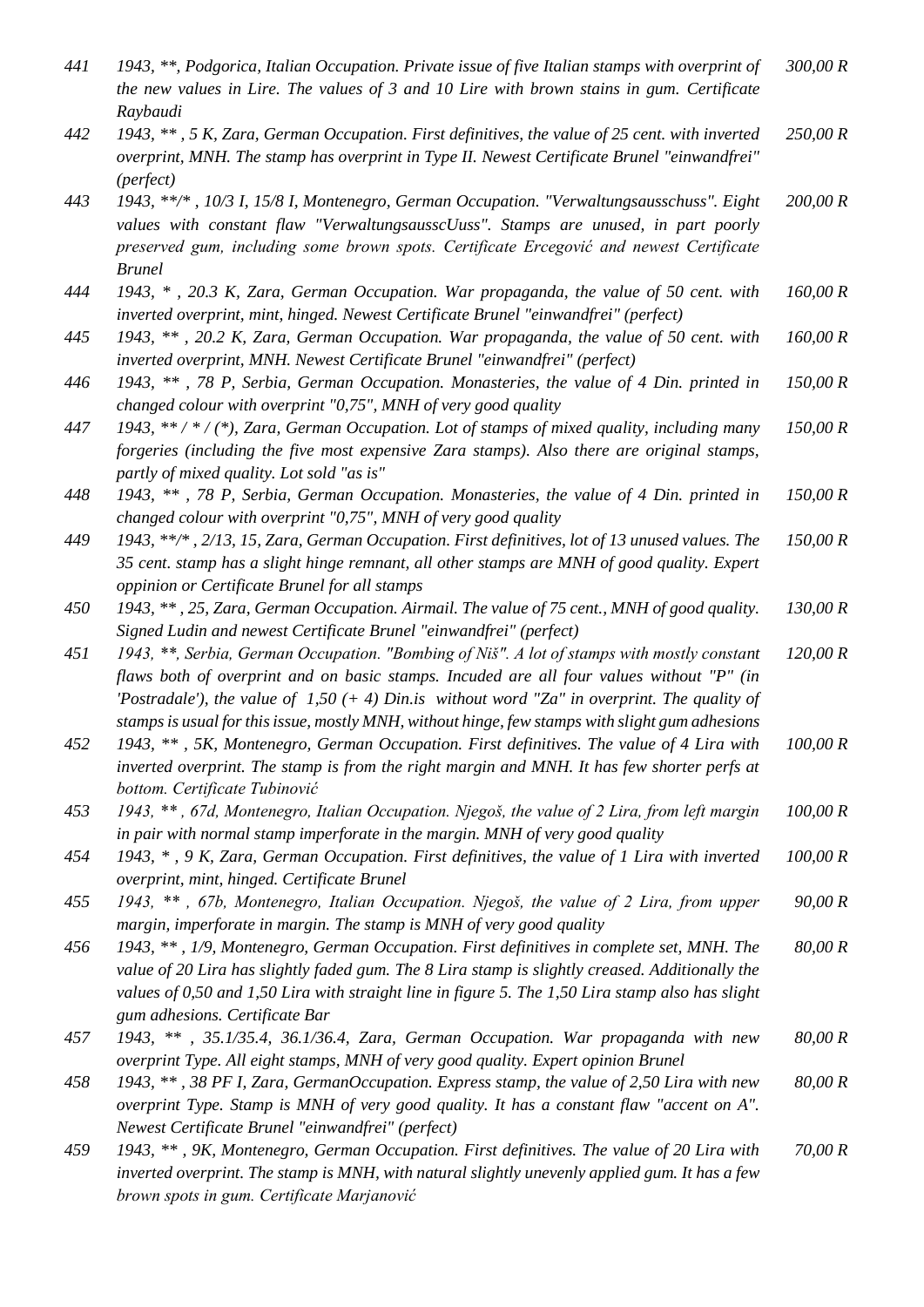| 441 | 1943, **, Podgorica, Italian Occupation. Private issue of five Italian stamps with overprint of<br>the new values in Lire. The values of 3 and 10 Lire with brown stains in gum. Certificate<br>Raybaudi                                                                                                                                                                                    | 300,00 R |
|-----|---------------------------------------------------------------------------------------------------------------------------------------------------------------------------------------------------------------------------------------------------------------------------------------------------------------------------------------------------------------------------------------------|----------|
| 442 | 1943, **, 5 K, Zara, German Occupation. First definitives, the value of 25 cent. with inverted<br>overprint, MNH. The stamp has overprint in Type II. Newest Certificate Brunel "einwandfrei"<br>(perfect)                                                                                                                                                                                  | 250,00 R |
| 443 | 1943, **/*, 10/3 I, 15/8 I, Montenegro, German Occupation. "Verwaltungsausschuss". Eight<br>values with constant flaw "VerwaltungsausscUuss". Stamps are unused, in part poorly<br>preserved gum, including some brown spots. Certificate Ercegović and newest Certificate<br><b>Brunel</b>                                                                                                 | 200,00 R |
| 444 | 1943, *, 20.3 K, Zara, German Occupation. War propaganda, the value of 50 cent. with<br>inverted overprint, mint, hinged. Newest Certificate Brunel "einwandfrei" (perfect)                                                                                                                                                                                                                 | 160,00 R |
| 445 | 1943, **, 20.2 K, Zara, German Occupation. War propaganda, the value of 50 cent. with<br>inverted overprint, MNH. Newest Certificate Brunel "einwandfrei" (perfect)                                                                                                                                                                                                                         | 160,00 R |
| 446 | 1943, **, 78 P, Serbia, German Occupation. Monasteries, the value of 4 Din. printed in<br>changed colour with overprint "0,75", MNH of very good quality                                                                                                                                                                                                                                    | 150,00 R |
| 447 | 1943, **/*/(*), Zara, German Occupation. Lot of stamps of mixed quality, including many<br>forgeries (including the five most expensive Zara stamps). Also there are original stamps,<br>partly of mixed quality. Lot sold "as is"                                                                                                                                                          | 150,00 R |
| 448 | 1943, **, 78 P, Serbia, German Occupation. Monasteries, the value of 4 Din. printed in<br>changed colour with overprint "0,75", MNH of very good quality                                                                                                                                                                                                                                    | 150,00 R |
| 449 | 1943, **/*, 2/13, 15, Zara, German Occupation. First definitives, lot of 13 unused values. The<br>35 cent. stamp has a slight hinge remnant, all other stamps are MNH of good quality. Expert<br>oppinion or Certificate Brunel for all stamps                                                                                                                                              | 150,00 R |
| 450 | 1943, **, 25, Zara, German Occupation. Airmail. The value of 75 cent., MNH of good quality.<br>Signed Ludin and newest Certificate Brunel "einwandfrei" (perfect)                                                                                                                                                                                                                           | 130,00 R |
| 451 | 1943, **, Serbia, German Occupation. "Bombing of Niš". A lot of stamps with mostly constant<br>flaws both of overprint and on basic stamps. Incuded are all four values without "P" (in<br>'Postradale'), the value of $1,50$ (+4) Din.is without word "Za" in overprint. The quality of<br>stamps is usual for this issue, mostly MNH, without hinge, few stamps with slight gum adhesions | 120,00 R |
| 452 | 1943, **, 5K, Montenegro, German Occupation. First definitives. The value of 4 Lira with<br>inverted overprint. The stamp is from the right margin and MNH. It has few shorter perfs at<br>bottom. Certificate Tubinović                                                                                                                                                                    | 100,00 R |
| 453 | 1943, **, 67d, Montenegro, Italian Occupation. Njegoš, the value of 2 Lira, from left margin<br>in pair with normal stamp imperforate in the margin. MNH of very good quality                                                                                                                                                                                                               | 100,00 R |
| 454 | 1943, *, 9 K, Zara, German Occupation. First definitives, the value of 1 Lira with inverted<br>overprint, mint, hinged. Certificate Brunel                                                                                                                                                                                                                                                  | 100,00 R |
| 455 | 1943, **, 67b, Montenegro, Italian Occupation. Njegoš, the value of 2 Lira, from upper<br>margin, imperforate in margin. The stamp is MNH of very good quality                                                                                                                                                                                                                              | 90,00 R  |
| 456 | 1943, **, 1/9, Montenegro, German Occupation. First definitives in complete set, MNH. The<br>value of 20 Lira has slightly faded gum. The 8 Lira stamp is slightly creased. Additionally the<br>values of 0,50 and 1,50 Lira with straight line in figure 5. The 1,50 Lira stamp also has slight<br>gum adhesions. Certificate Bar                                                          | 80,00 R  |
| 457 | $1943, **$ , 35.1/35.4, 36.1/36.4, Zara, German Occupation. War propaganda with new<br>overprint Type. All eight stamps, MNH of very good quality. Expert opinion Brunel                                                                                                                                                                                                                    | 80,00 R  |
| 458 | 1943, **, 38 PF I, Zara, GermanOccupation. Express stamp, the value of 2,50 Lira with new<br>overprint Type. Stamp is MNH of very good quality. It has a constant flaw "accent on A".<br>Newest Certificate Brunel "einwandfrei" (perfect)                                                                                                                                                  | 80,00 R  |
| 459 | 1943, **, 9K, Montenegro, German Occupation. First definitives. The value of 20 Lira with<br>inverted overprint. The stamp is MNH, with natural slightly unevenly applied gum. It has a few<br>brown spots in gum. Certificate Marjanović                                                                                                                                                   | 70,00 R  |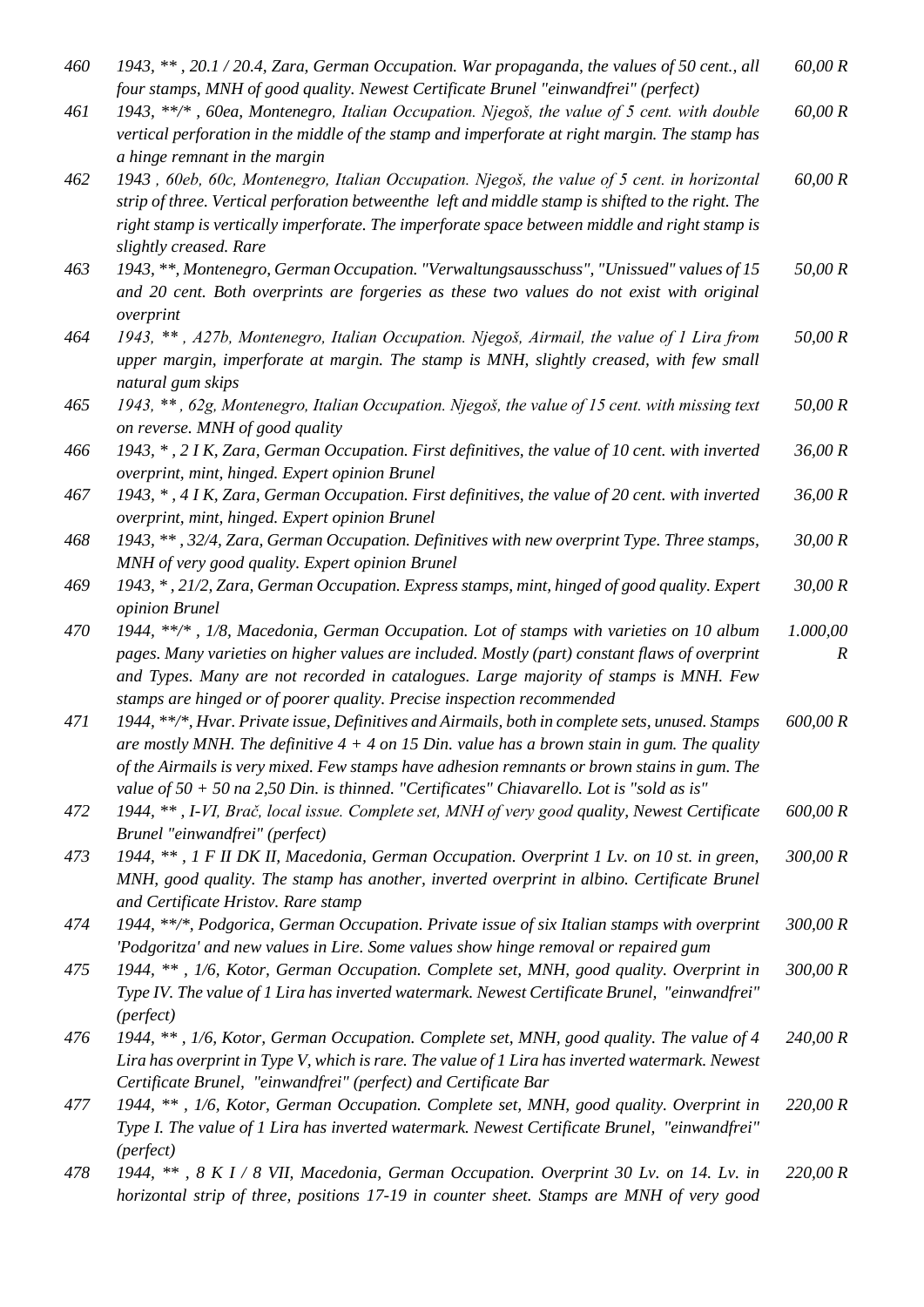- *460 1943, \*\* , 20.1 / 20.4, Zara, German Occupation. War propaganda, the values of 50 cent., all four stamps, MNH of good quality. Newest Certificate Brunel "einwandfrei" (perfect) 60,00 R*
- *461 1943, \*\*/\* , 60ea, Montenegro, Italian Occupation. Njegoš, the value of 5 cent. with double vertical perforation in the middle of the stamp and imperforate at right margin. The stamp has a hinge remnant in the margin 60,00 R*
- *462 1943 , 60eb, 60c, Montenegro, Italian Occupation. Njegoš, the value of 5 cent. in horizontal strip of three. Vertical perforation betweenthe left and middle stamp is shifted to the right. The right stamp is vertically imperforate. The imperforate space between middle and right stamp is slightly creased. Rare 60,00 R*
- *463 1943, \*\*, Montenegro, German Occupation. "Verwaltungsausschuss", "Unissued" values of 15 and 20 cent. Both overprints are forgeries as these two values do not exist with original overprint 50,00 R*
- *464 1943, \*\* , A27b, Montenegro, Italian Occupation. Njegoš, Airmail, the value of 1 Lira from upper margin, imperforate at margin. The stamp is MNH, slightly creased, with few small natural gum skips 50,00 R*
- *465 1943, \*\* , 62g, Montenegro, Italian Occupation. Njegoš, the value of 15 cent. with missing text on reverse. MNH of good quality 50,00 R*
- *466 1943, \* , 2 I K, Zara, German Occupation. First definitives, the value of 10 cent. with inverted overprint, mint, hinged. Expert opinion Brunel 36,00 R*
- *467 1943, \* , 4 I K, Zara, German Occupation. First definitives, the value of 20 cent. with inverted overprint, mint, hinged. Expert opinion Brunel 36,00 R*
- *468 1943, \*\* , 32/4, Zara, German Occupation. Definitives with new overprint Type. Three stamps, MNH of very good quality. Expert opinion Brunel 30,00 R*
- *469 1943, \* , 21/2, Zara, German Occupation. Express stamps, mint, hinged of good quality. Expert opinion Brunel 30,00 R*
- *470 1944, \*\*/\* , 1/8, Macedonia, German Occupation. Lot of stamps with varieties on 10 album pages. Many varieties on higher values are included. Mostly (part) constant flaws of overprint and Types. Many are not recorded in catalogues. Large majority of stamps is MNH. Few stamps are hinged or of poorer quality. Precise inspection recommended 1.000,00 R*
- *471 1944, \*\*/\*, Hvar. Private issue, Definitives and Airmails, both in complete sets, unused. Stamps are mostly MNH. The definitive 4 + 4 on 15 Din. value has a brown stain in gum. The quality of the Airmails is very mixed. Few stamps have adhesion remnants or brown stains in gum. The value of 50 + 50 na 2,50 Din. is thinned. "Certificates" Chiavarello. Lot is "sold as is" 600,00 R*
- *472 1944, \*\* , I-VI, Brač, local issue. Complete set, MNH of very good quality, Newest Certificate Brunel "einwandfrei" (perfect) 600,00 R*
- *473 1944, \*\* , 1 F II DK II, Macedonia, German Occupation. Overprint 1 Lv. on 10 st. in green, MNH, good quality. The stamp has another, inverted overprint in albino. Certificate Brunel and Certificate Hristov. Rare stamp 300,00 R*
- *474 1944, \*\*/\*, Podgorica, German Occupation. Private issue of six Italian stamps with overprint 'Podgoritza' and new values in Lire. Some values show hinge removal or repaired gum 300,00 R*
- *475 1944, \*\* , 1/6, Kotor, German Occupation. Complete set, MNH, good quality. Overprint in Type IV. The value of 1 Lira has inverted watermark. Newest Certificate Brunel, "einwandfrei" (perfect) 300,00 R*
- *476 1944, \*\* , 1/6, Kotor, German Occupation. Complete set, MNH, good quality. The value of 4 Lira has overprint in Type V, which is rare. The value of 1 Lira has inverted watermark. Newest Certificate Brunel, "einwandfrei" (perfect) and Certificate Bar 240,00 R*
- *477 1944, \*\* , 1/6, Kotor, German Occupation. Complete set, MNH, good quality. Overprint in Type I. The value of 1 Lira has inverted watermark. Newest Certificate Brunel, "einwandfrei" (perfect) 220,00 R*
- *478 1944, \*\* , 8 K I / 8 VII, Macedonia, German Occupation. Overprint 30 Lv. on 14. Lv. in horizontal strip of three, positions 17-19 in counter sheet. Stamps are MNH of very good 220,00 R*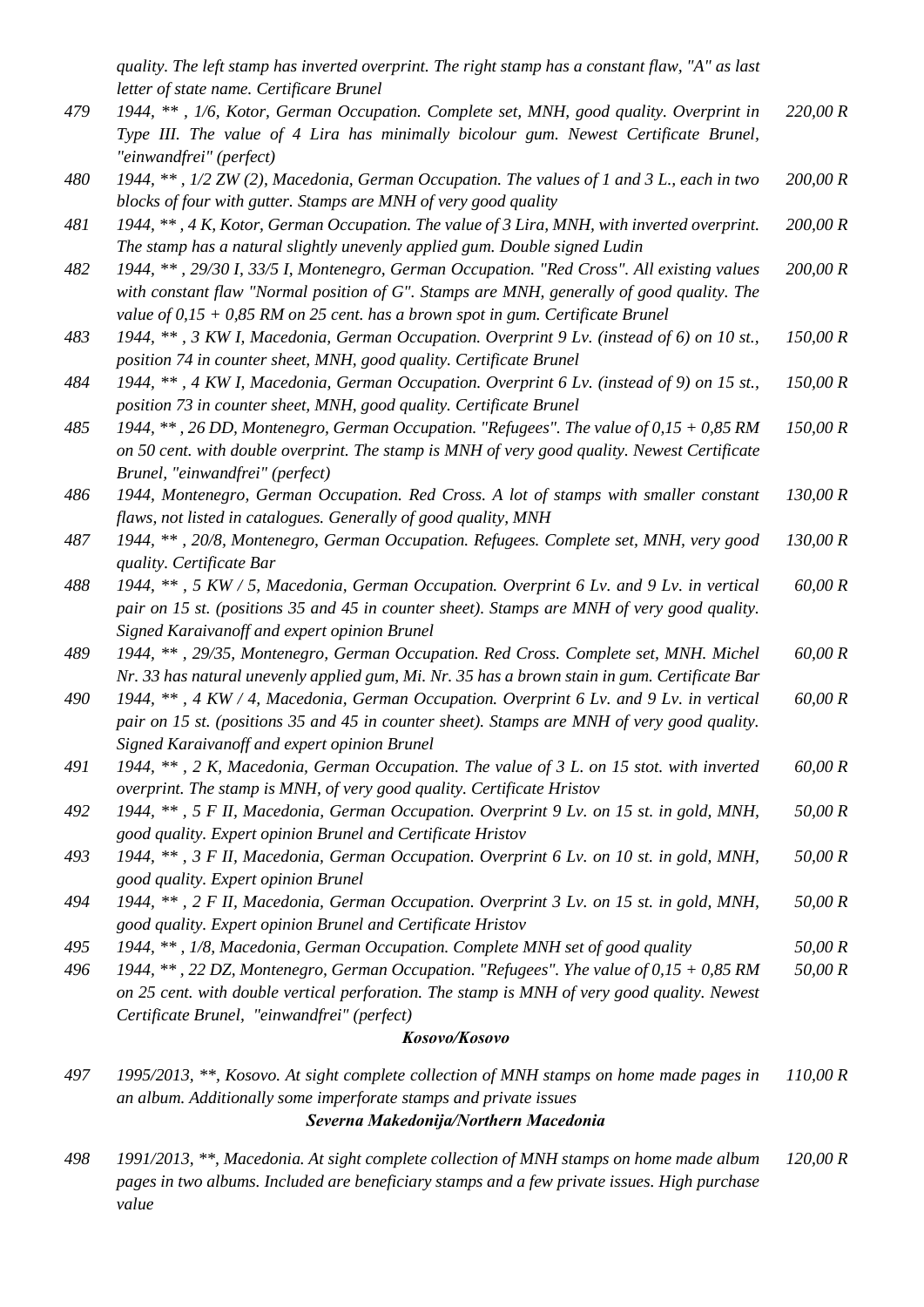*quality. The left stamp has inverted overprint. The right stamp has a constant flaw, "A" as last letter of state name. Certificare Brunel*

|     | letter of state name. Certificare Brunel                                                                                                                                                 |          |
|-----|------------------------------------------------------------------------------------------------------------------------------------------------------------------------------------------|----------|
| 479 | 1944, **, 1/6, Kotor, German Occupation. Complete set, MNH, good quality. Overprint in<br>Type III. The value of 4 Lira has minimally bicolour gum. Newest Certificate Brunel,           | 220,00 R |
|     | "einwandfrei" (perfect)                                                                                                                                                                  |          |
| 480 | 1944, **, 1/2 ZW (2), Macedonia, German Occupation. The values of 1 and 3 L., each in two                                                                                                | 200,00 R |
|     | blocks of four with gutter. Stamps are MNH of very good quality                                                                                                                          |          |
| 481 | 1944, **, 4 K, Kotor, German Occupation. The value of 3 Lira, MNH, with inverted overprint.                                                                                              | 200,00 R |
|     | The stamp has a natural slightly unevenly applied gum. Double signed Ludin                                                                                                               |          |
| 482 | 1944, **, 29/30 I, 33/5 I, Montenegro, German Occupation. "Red Cross". All existing values                                                                                               | 200,00 R |
|     | with constant flaw "Normal position of $G$ ". Stamps are MNH, generally of good quality. The                                                                                             |          |
|     | value of $0.15 + 0.85$ RM on 25 cent. has a brown spot in gum. Certificate Brunel                                                                                                        |          |
| 483 | 1944, **, 3 KW I, Macedonia, German Occupation. Overprint 9 Lv. (instead of 6) on 10 st.,                                                                                                | 150,00 R |
|     | position 74 in counter sheet, MNH, good quality. Certificate Brunel                                                                                                                      |          |
| 484 | 1944, **, 4 KW I, Macedonia, German Occupation. Overprint 6 Lv. (instead of 9) on 15 st.,                                                                                                | 150,00 R |
|     | position 73 in counter sheet, MNH, good quality. Certificate Brunel                                                                                                                      |          |
| 485 | 1944, **, 26 DD, Montenegro, German Occupation. "Refugees". The value of $0.15 + 0.85$ RM                                                                                                | 150,00 R |
|     | on 50 cent. with double overprint. The stamp is MNH of very good quality. Newest Certificate                                                                                             |          |
|     | Brunel, "einwandfrei" (perfect)                                                                                                                                                          |          |
| 486 | 1944, Montenegro, German Occupation. Red Cross. A lot of stamps with smaller constant                                                                                                    | 130,00 R |
|     | flaws, not listed in catalogues. Generally of good quality, MNH                                                                                                                          |          |
| 487 | 1944, **, 20/8, Montenegro, German Occupation. Refugees. Complete set, MNH, very good                                                                                                    | 130,00 R |
|     | quality. Certificate Bar                                                                                                                                                                 |          |
| 488 | 1944, **, 5 KW / 5, Macedonia, German Occupation. Overprint 6 Lv. and 9 Lv. in vertical                                                                                                  | 60,00 R  |
|     | pair on 15 st. (positions 35 and 45 in counter sheet). Stamps are MNH of very good quality.                                                                                              |          |
|     | Signed Karaivanoff and expert opinion Brunel                                                                                                                                             |          |
| 489 | 1944, **, 29/35, Montenegro, German Occupation. Red Cross. Complete set, MNH. Michel                                                                                                     | 60,00 R  |
| 490 | Nr. 33 has natural unevenly applied gum, Mi. Nr. 35 has a brown stain in gum. Certificate Bar<br>1944, **, 4 KW / 4, Macedonia, German Occupation. Overprint 6 Lv. and 9 Lv. in vertical | 60,00 R  |
|     | pair on 15 st. (positions 35 and 45 in counter sheet). Stamps are MNH of very good quality.                                                                                              |          |
|     | Signed Karaivanoff and expert opinion Brunel                                                                                                                                             |          |
| 491 | 1944, **, 2 K, Macedonia, German Occupation. The value of 3 L. on 15 stot. with inverted                                                                                                 | 60,00 R  |
|     | overprint. The stamp is MNH, of very good quality. Certificate Hristov                                                                                                                   |          |
| 492 | 1944, **, 5 F II, Macedonia, German Occupation. Overprint 9 Lv. on 15 st. in gold, MNH,                                                                                                  | 50,00 R  |
|     | good quality. Expert opinion Brunel and Certificate Hristov                                                                                                                              |          |
| 493 | 1944, **, 3 F II, Macedonia, German Occupation. Overprint 6 Lv. on 10 st. in gold, MNH,                                                                                                  | 50,00 R  |
|     | good quality. Expert opinion Brunel                                                                                                                                                      |          |
| 494 | 1944, **, 2 F II, Macedonia, German Occupation. Overprint 3 Lv. on 15 st. in gold, MNH,                                                                                                  | 50,00 R  |
|     | good quality. Expert opinion Brunel and Certificate Hristov                                                                                                                              |          |
| 495 | 1944, **, 1/8, Macedonia, German Occupation. Complete MNH set of good quality                                                                                                            | 50,00 R  |
| 496 | 1944, $**$ , 22 DZ, Montenegro, German Occupation. "Refugees". Yhe value of $0.15 + 0.85$ RM                                                                                             | 50,00 R  |
|     | on 25 cent. with double vertical perforation. The stamp is MNH of very good quality. Newest                                                                                              |          |
|     | Certificate Brunel, "einwandfrei" (perfect)                                                                                                                                              |          |
|     | Kosovo/Kosovo                                                                                                                                                                            |          |

*497 1995/2013, \*\*, Kosovo. At sight complete collection of MNH stamps on home made pages in an album. Additionally some imperforate stamps and private issues 110,00 R*

#### *Severna Makedonija/Northern Macedonia*

*498 1991/2013, \*\*, Macedonia. At sight complete collection of MNH stamps on home made album pages in two albums. Included are beneficiary stamps and a few private issues. High purchase value 120,00 R*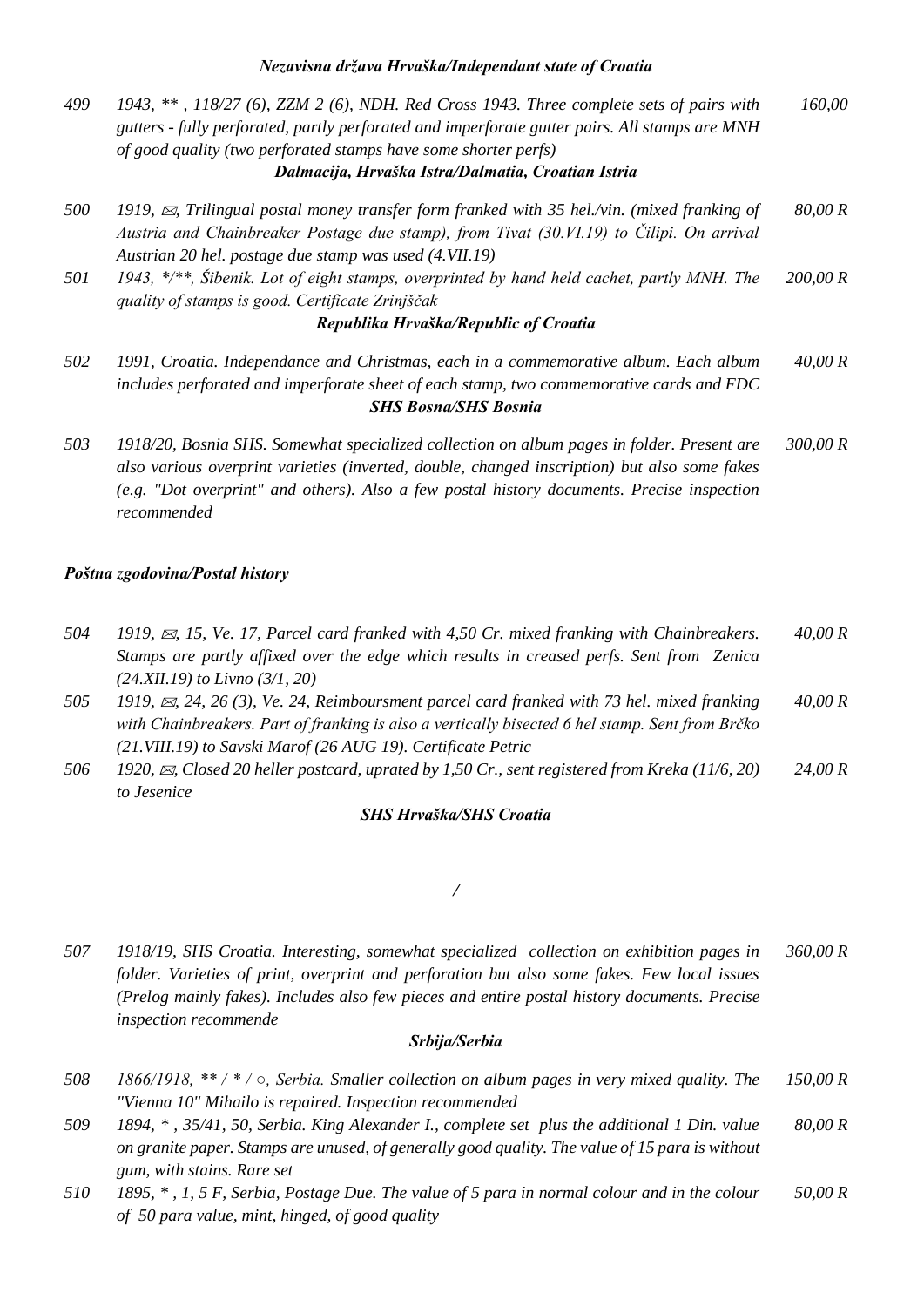- *499 1943, \*\* , 118/27 (6), ZZM 2 (6), NDH. Red Cross 1943. Three complete sets of pairs with gutters - fully perforated, partly perforated and imperforate gutter pairs. All stamps are MNH of good quality (two perforated stamps have some shorter perfs) 160,00 Dalmacija, Hrvaška Istra/Dalmatia, Croatian Istria*
- *500 1919, , Trilingual postal money transfer form franked with 35 hel./vin. (mixed franking of Austria and Chainbreaker Postage due stamp), from Tivat (30.VI.19) to Čilipi. On arrival Austrian 20 hel. postage due stamp was used (4.VII.19) 80,00 R*
- *501 1943, \*/\*\*, Šibenik. Lot of eight stamps, overprinted by hand held cachet, partly MNH. The quality of stamps is good. Certificate Zrinjščak 200,00 R*

#### *Republika Hrvaška/Republic of Croatia*

- *502 1991, Croatia. Independance and Christmas, each in a commemorative album. Each album includes perforated and imperforate sheet of each stamp, two commemorative cards and FDC 40,00 R SHS Bosna/SHS Bosnia*
- *503 1918/20, Bosnia SHS. Somewhat specialized collection on album pages in folder. Present are also various overprint varieties (inverted, double, changed inscription) but also some fakes (e.g. "Dot overprint" and others). Also a few postal history documents. Precise inspection recommended 300,00 R*

#### *Poštna zgodovina/Postal history*

- *504 1919, , 15, Ve. 17, Parcel card franked with 4,50 Cr. mixed franking with Chainbreakers. Stamps are partly affixed over the edge which results in creased perfs. Sent from Zenica (24.XII.19) to Livno (3/1, 20) 40,00 R*
- *505 1919, , 24, 26 (3), Ve. 24, Reimboursment parcel card franked with 73 hel. mixed franking with Chainbreakers. Part of franking is also a vertically bisected 6 hel stamp. Sent from Brčko (21.VIII.19) to Savski Marof (26 AUG 19). Certificate Petric 40,00 R*
- *506 1920, , Closed 20 heller postcard, uprated by 1,50 Cr., sent registered from Kreka (11/6, 20) to Jesenice 24,00 R*

#### *SHS Hrvaška/SHS Croatia*

#### */*

*507 1918/19, SHS Croatia. Interesting, somewhat specialized collection on exhibition pages in folder. Varieties of print, overprint and perforation but also some fakes. Few local issues (Prelog mainly fakes). Includes also few pieces and entire postal history documents. Precise inspection recommende 360,00 R*

#### *Srbija/Serbia*

- *508 1866/1918, \*\* / \* / ○, Serbia. Smaller collection on album pages in very mixed quality. The "Vienna 10" Mihailo is repaired. Inspection recommended 150,00 R*
- *509 1894, \* , 35/41, 50, Serbia. King Alexander I., complete set plus the additional 1 Din. value on granite paper. Stamps are unused, of generally good quality. The value of 15 para is without gum, with stains. Rare set 80,00 R*
- *510 1895, \* , 1, 5 F, Serbia, Postage Due. The value of 5 para in normal colour and in the colour of 50 para value, mint, hinged, of good quality 50,00 R*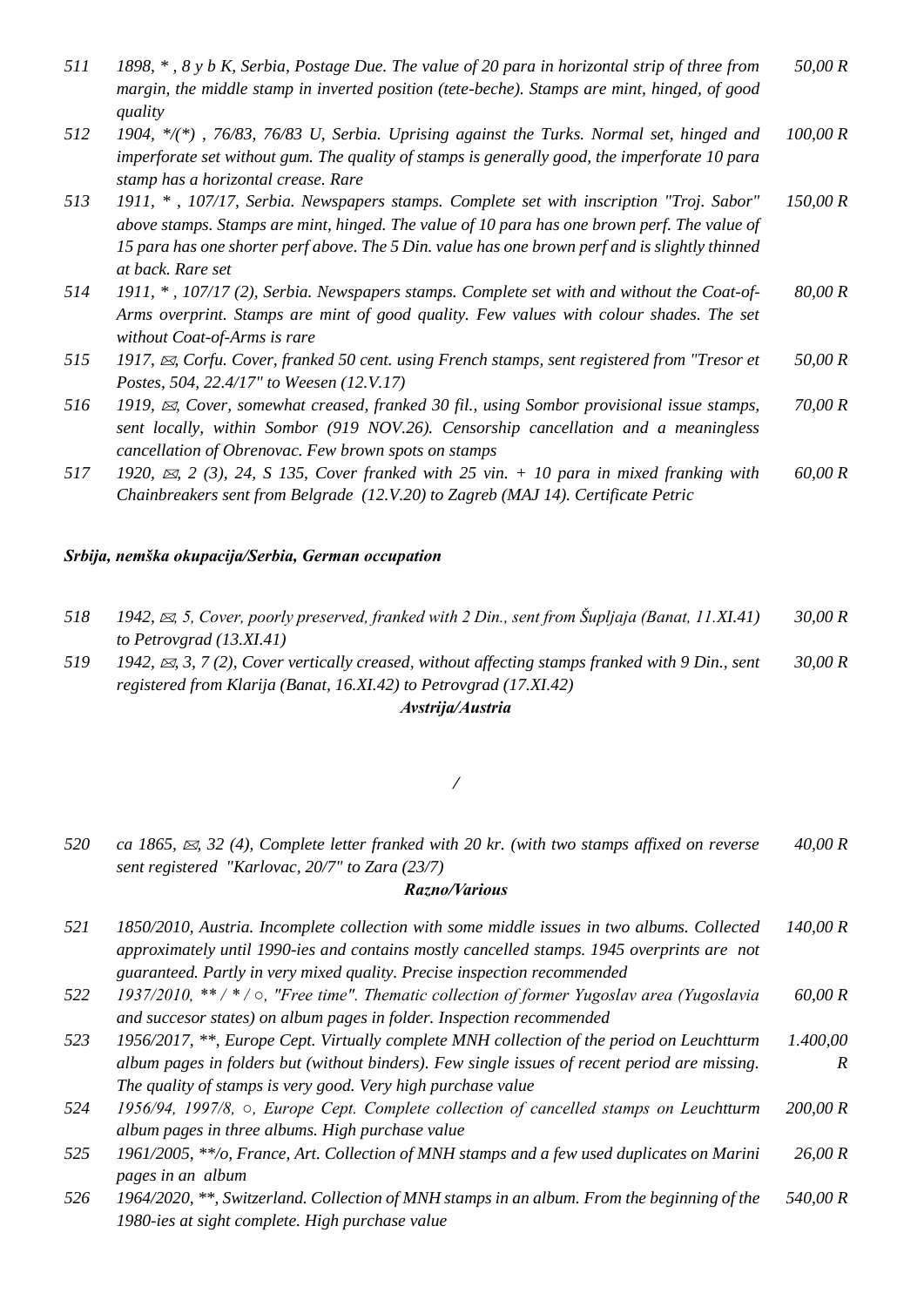| 511 | 1898, $\ast$ , $\delta$ y b K, Serbia, Postage Due. The value of 20 para in horizontal strip of three from | 50,00 R |
|-----|------------------------------------------------------------------------------------------------------------|---------|
|     | margin, the middle stamp in inverted position (tete-beche). Stamps are mint, hinged, of good               |         |
|     | quality                                                                                                    |         |

- *512 1904, \*/(\*) , 76/83, 76/83 U, Serbia. Uprising against the Turks. Normal set, hinged and imperforate set without gum. The quality of stamps is generally good, the imperforate 10 para stamp has a horizontal crease. Rare 100,00 R*
- *513 1911, \* , 107/17, Serbia. Newspapers stamps. Complete set with inscription "Troj. Sabor" above stamps. Stamps are mint, hinged. The value of 10 para has one brown perf. The value of 15 para has one shorter perf above. The 5 Din. value has one brown perf and is slightly thinned at back. Rare set 150,00 R*
- *514 1911, \* , 107/17 (2), Serbia. Newspapers stamps. Complete set with and without the Coat-of-Arms overprint. Stamps are mint of good quality. Few values with colour shades. The set without Coat-of-Arms is rare 80,00 R*
- *515 1917, , Corfu. Cover, franked 50 cent. using French stamps, sent registered from "Tresor et Postes, 504, 22.4/17" to Weesen (12.V.17) 50,00 R*
- *516 1919, , Cover, somewhat creased, franked 30 fil., using Sombor provisional issue stamps, sent locally, within Sombor (919 NOV.26). Censorship cancellation and a meaningless cancellation of Obrenovac. Few brown spots on stamps 70,00 R*
- *517 1920, , 2 (3), 24, S 135, Cover franked with 25 vin. + 10 para in mixed franking with Chainbreakers sent from Belgrade (12.V.20) to Zagreb (MAJ 14). Certificate Petric 60,00 R*

#### *Srbija, nemška okupacija/Serbia, German occupation*

| 518 | 1942, $\approx$ , 5, Cover, poorly preserved, franked with 2 Din., sent from Supliaja (Banat, 11.XI.41)  | 30,00 R   |
|-----|----------------------------------------------------------------------------------------------------------|-----------|
|     | to Petrovgrad $(13. X1.41)$                                                                              |           |
| 519 | 1942, $\approx$ , 3, 7 (2), Cover vertically creased, without affecting stamps franked with 9 Din., sent | 30.00 $R$ |
|     | registered from Klarija (Banat, 16.XI.42) to Petrovgrad (17.XI.42)                                       |           |

#### *Avstrija/Austria*

#### */*

*520 ca 1865, , 32 (4), Complete letter franked with 20 kr. (with two stamps affixed on reverse sent registered "Karlovac, 20/7" to Zara (23/7) 40,00 R*

#### *Razno/Various*

| 521 | 1850/2010, Austria. Incomplete collection with some middle issues in two albums. Collected | 140,00 R |
|-----|--------------------------------------------------------------------------------------------|----------|
|     | approximately until 1990-ies and contains mostly cancelled stamps. 1945 overprints are not |          |
|     | guaranteed. Partly in very mixed quality. Precise inspection recommended                   |          |

- *522 1937/2010, \*\* / \* / ○, "Free time". Thematic collection of former Yugoslav area (Yugoslavia and succesor states) on album pages in folder. Inspection recommended 60,00 R*
- *523 1956/2017, \*\*, Europe Cept. Virtually complete MNH collection of the period on Leuchtturm album pages in folders but (without binders). Few single issues of recent period are missing. The quality of stamps is very good. Very high purchase value 1.400,00 R*
- *524 1956/94, 1997/8, ○, Europe Cept. Complete collection of cancelled stamps on Leuchtturm album pages in three albums. High purchase value 200,00 R*
- *525 1961/2005, \*\*/o, France, Art. Collection of MNH stamps and a few used duplicates on Marini pages in an album 26,00 R*
- *526 1964/2020, \*\*, Switzerland. Collection of MNH stamps in an album. From the beginning of the 1980-ies at sight complete. High purchase value 540,00 R*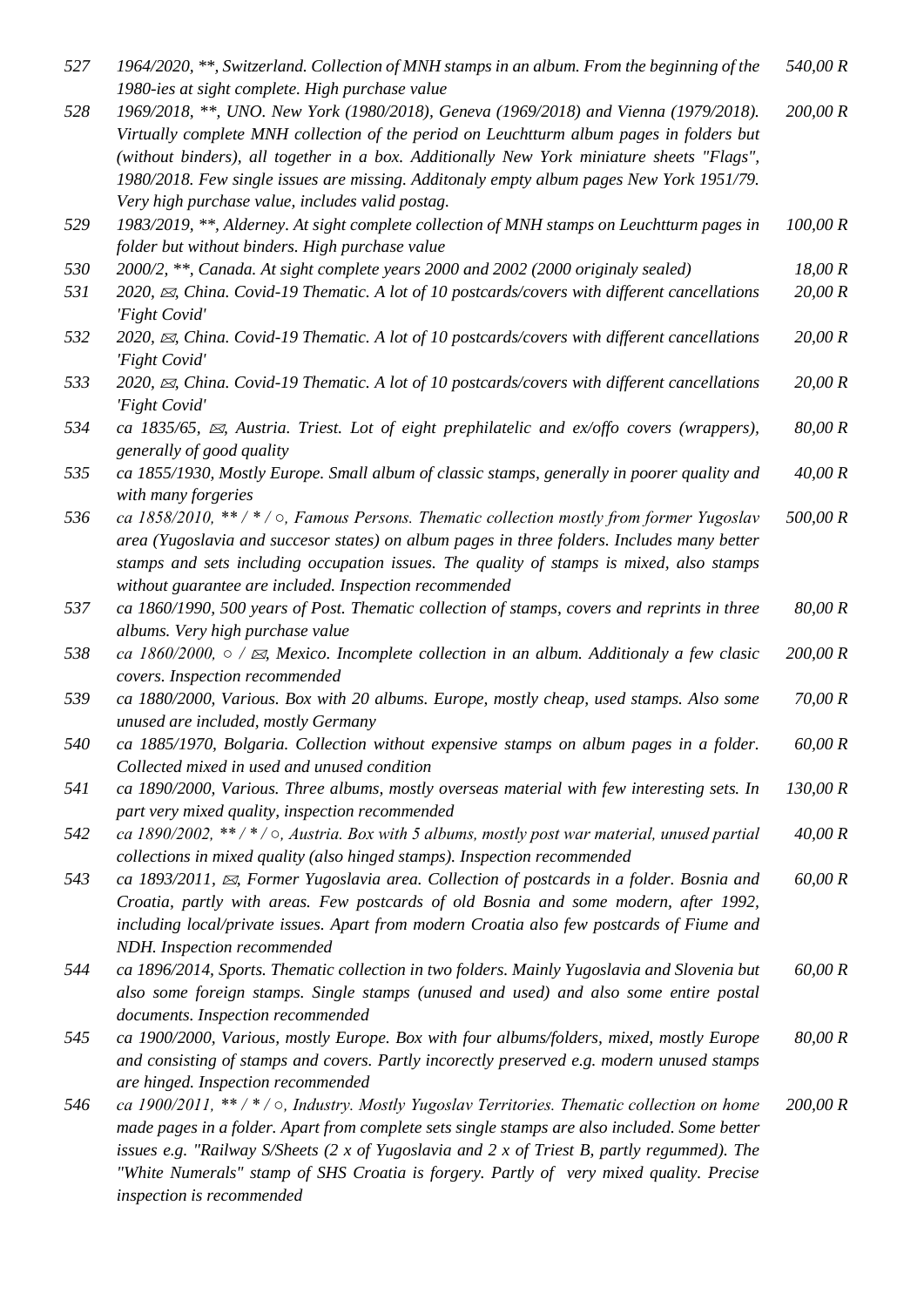| 527 | 1964/2020, **, Switzerland. Collection of MNH stamps in an album. From the beginning of the<br>1980-ies at sight complete. High purchase value                                                                                                                                                                                                                                                                                | 540,00 R |
|-----|-------------------------------------------------------------------------------------------------------------------------------------------------------------------------------------------------------------------------------------------------------------------------------------------------------------------------------------------------------------------------------------------------------------------------------|----------|
| 528 | 1969/2018, **, UNO. New York (1980/2018), Geneva (1969/2018) and Vienna (1979/2018).<br>Virtually complete MNH collection of the period on Leuchtturm album pages in folders but<br>(without binders), all together in a box. Additionally New York miniature sheets "Flags",<br>1980/2018. Few single issues are missing. Additonaly empty album pages New York 1951/79.<br>Very high purchase value, includes valid postag. | 200,00 R |
| 529 | 1983/2019, **, Alderney. At sight complete collection of MNH stamps on Leuchtturm pages in<br>folder but without binders. High purchase value                                                                                                                                                                                                                                                                                 | 100,00 R |
| 530 | 2000/2, **, Canada. At sight complete years 2000 and 2002 (2000 originaly sealed)                                                                                                                                                                                                                                                                                                                                             | 18,00 R  |
| 531 | 2020, $\approx$ , China. Covid-19 Thematic. A lot of 10 postcards/covers with different cancellations<br>'Fight Covid'                                                                                                                                                                                                                                                                                                        | 20,00 R  |
| 532 | 2020, $\boxtimes$ , China. Covid-19 Thematic. A lot of 10 postcards/covers with different cancellations<br>'Fight Covid'                                                                                                                                                                                                                                                                                                      | 20,00 R  |
| 533 | 2020, $\boxtimes$ , China. Covid-19 Thematic. A lot of 10 postcards/covers with different cancellations<br>'Fight Covid'                                                                                                                                                                                                                                                                                                      | 20,00 R  |
| 534 | ca 1835/65, $\approx$ , Austria. Triest. Lot of eight prephilatelic and ex/offo covers (wrappers),<br>generally of good quality                                                                                                                                                                                                                                                                                               | 80,00 R  |
| 535 | ca 1855/1930, Mostly Europe. Small album of classic stamps, generally in poorer quality and<br>with many forgeries                                                                                                                                                                                                                                                                                                            | 40,00 R  |
| 536 | ca 1858/2010, **/*/ $\circ$ , Famous Persons. Thematic collection mostly from former Yugoslav<br>area (Yugoslavia and succesor states) on album pages in three folders. Includes many better<br>stamps and sets including occupation issues. The quality of stamps is mixed, also stamps<br>without guarantee are included. Inspection recommended                                                                            | 500,00 R |
| 537 | ca 1860/1990, 500 years of Post. Thematic collection of stamps, covers and reprints in three<br>albums. Very high purchase value                                                                                                                                                                                                                                                                                              | 80,00 R  |
| 538 | ca 1860/2000, $\circ$ / $\mathfrak{A}$ , Mexico. Incomplete collection in an album. Additionaly a few clasic<br>covers. Inspection recommended                                                                                                                                                                                                                                                                                | 200,00 R |
| 539 | ca 1880/2000, Various. Box with 20 albums. Europe, mostly cheap, used stamps. Also some<br>unused are included, mostly Germany                                                                                                                                                                                                                                                                                                | 70,00 R  |
| 540 | ca 1885/1970, Bolgaria. Collection without expensive stamps on album pages in a folder.<br>Collected mixed in used and unused condition                                                                                                                                                                                                                                                                                       | 60,00 R  |
| 541 | ca 1890/2000, Various. Three albums, mostly overseas material with few interesting sets. In<br>part very mixed quality, inspection recommended                                                                                                                                                                                                                                                                                | 130,00 R |
| 542 | ca 1890/2002, **/*/ $\circ$ , Austria. Box with 5 albums, mostly post war material, unused partial<br>collections in mixed quality (also hinged stamps). Inspection recommended                                                                                                                                                                                                                                               | 40,00 R  |
| 543 | ca 1893/2011, $\approx$ , Former Yugoslavia area. Collection of postcards in a folder. Bosnia and<br>Croatia, partly with areas. Few postcards of old Bosnia and some modern, after 1992,<br>including local/private issues. Apart from modern Croatia also few postcards of Fiume and<br>NDH. Inspection recommended                                                                                                         | 60,00 R  |
| 544 | ca 1896/2014, Sports. Thematic collection in two folders. Mainly Yugoslavia and Slovenia but<br>also some foreign stamps. Single stamps (unused and used) and also some entire postal<br>documents. Inspection recommended                                                                                                                                                                                                    | 60,00 R  |
| 545 | ca 1900/2000, Various, mostly Europe. Box with four albums/folders, mixed, mostly Europe<br>and consisting of stamps and covers. Partly incorectly preserved e.g. modern unused stamps<br>are hinged. Inspection recommended                                                                                                                                                                                                  | 80,00 R  |
| 546 | ca 1900/2011, ** / * / $\circ$ , Industry. Mostly Yugoslav Territories. Thematic collection on home<br>made pages in a folder. Apart from complete sets single stamps are also included. Some better<br>issues e.g. "Railway S/Sheets (2 x of Yugoslavia and 2 x of Triest B, partly regummed). The<br>"White Numerals" stamp of SHS Croatia is forgery. Partly of very mixed quality. Precise<br>inspection is recommended   | 200,00 R |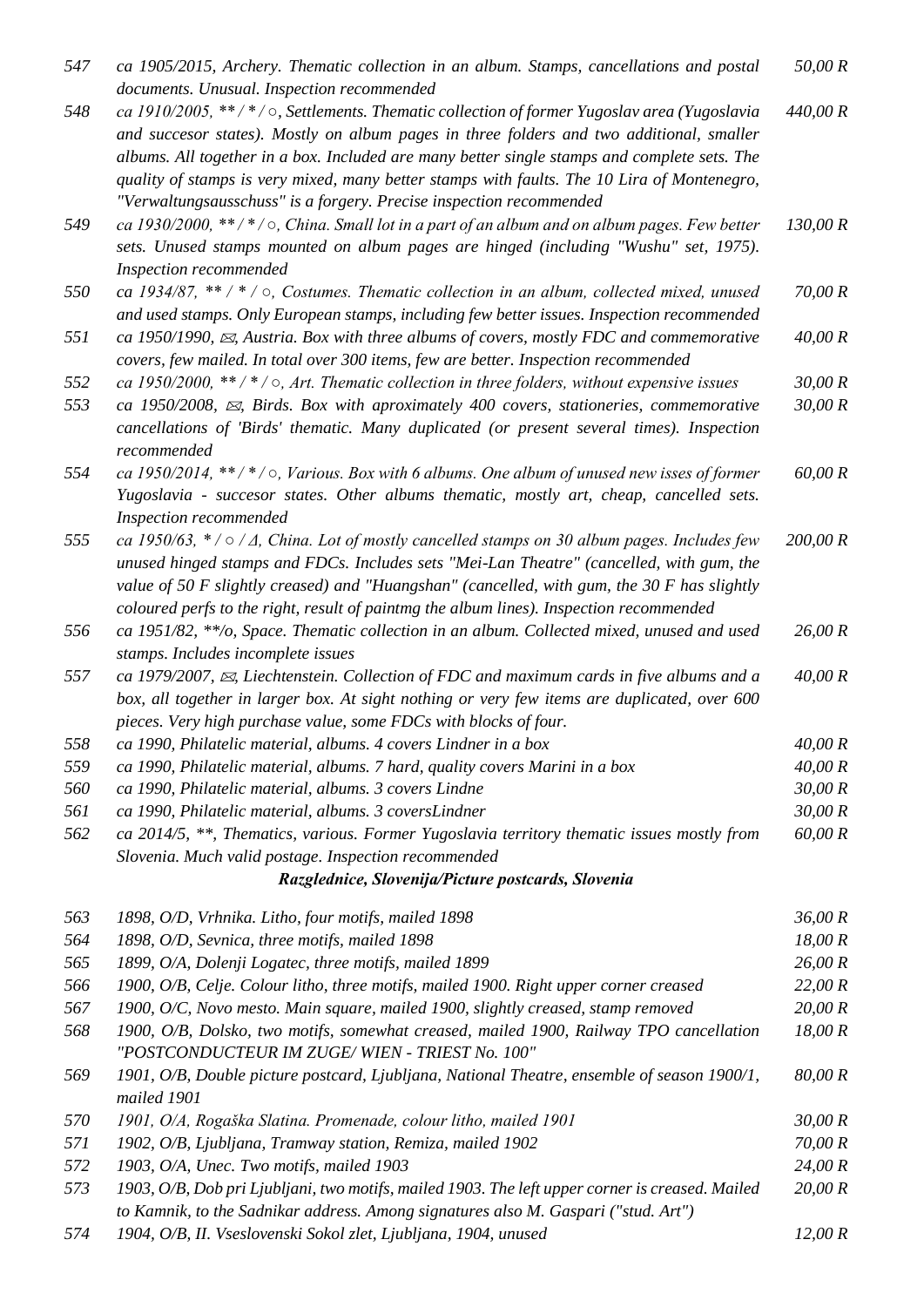| 547 | ca 1905/2015, Archery. Thematic collection in an album. Stamps, cancellations and postal<br>documents. Unusual. Inspection recommended                                                | 50,00 R  |
|-----|---------------------------------------------------------------------------------------------------------------------------------------------------------------------------------------|----------|
| 548 | ca 1910/2005, **/*/ $\circ$ , Settlements. Thematic collection of former Yugoslav area (Yugoslavia                                                                                    | 440,00 R |
|     | and succesor states). Mostly on album pages in three folders and two additional, smaller                                                                                              |          |
|     | albums. All together in a box. Included are many better single stamps and complete sets. The                                                                                          |          |
|     | quality of stamps is very mixed, many better stamps with faults. The 10 Lira of Montenegro,                                                                                           |          |
|     | "Verwaltungsausschuss" is a forgery. Precise inspection recommended                                                                                                                   |          |
| 549 | ca 1930/2000, **/*/ $\circ$ , China. Small lot in a part of an album and on album pages. Few better                                                                                   | 130,00 R |
|     | sets. Unused stamps mounted on album pages are hinged (including "Wushu" set, 1975).                                                                                                  |          |
|     | Inspection recommended                                                                                                                                                                |          |
| 550 | ca 1934/87, ** / * / $\circ$ , Costumes. Thematic collection in an album, collected mixed, unused                                                                                     | 70,00 R  |
|     | and used stamps. Only European stamps, including few better issues. Inspection recommended                                                                                            |          |
| 551 | ca 1950/1990, $\mathfrak{A}$ , Austria. Box with three albums of covers, mostly FDC and commemorative                                                                                 | 40,00 R  |
|     | covers, few mailed. In total over 300 items, few are better. Inspection recommended                                                                                                   |          |
| 552 | ca 1950/2000, **/*/ $\circ$ , Art. Thematic collection in three folders, without expensive issues                                                                                     | 30,00 R  |
| 553 | ca 1950/2008, $\boxtimes$ , Birds. Box with aproximately 400 covers, stationeries, commemorative                                                                                      | 30,00 R  |
|     | cancellations of 'Birds' thematic. Many duplicated (or present several times). Inspection<br>recommended                                                                              |          |
| 554 | ca 1950/2014, **/*/ $\circ$ , Various. Box with 6 albums. One album of unused new isses of former                                                                                     | 60,00 R  |
|     | Yugoslavia - succesor states. Other albums thematic, mostly art, cheap, cancelled sets.                                                                                               |          |
|     | Inspection recommended                                                                                                                                                                |          |
| 555 | ca 1950/63, $*/ \circ / \Delta$ , China. Lot of mostly cancelled stamps on 30 album pages. Includes few                                                                               | 200,00 R |
|     | unused hinged stamps and FDCs. Includes sets "Mei-Lan Theatre" (cancelled, with gum, the                                                                                              |          |
|     | value of 50 F slightly creased) and "Huangshan" (cancelled, with gum, the 30 F has slightly                                                                                           |          |
|     | coloured perfs to the right, result of paintmg the album lines). Inspection recommended                                                                                               |          |
| 556 | ca 1951/82, **/o, Space. Thematic collection in an album. Collected mixed, unused and used                                                                                            | 26,00 R  |
|     | stamps. Includes incomplete issues                                                                                                                                                    |          |
| 557 | ca 1979/2007, $\boxtimes$ , Liechtenstein. Collection of FDC and maximum cards in five albums and a                                                                                   | 40,00 R  |
|     | box, all together in larger box. At sight nothing or very few items are duplicated, over 600                                                                                          |          |
|     | pieces. Very high purchase value, some FDCs with blocks of four.                                                                                                                      |          |
| 558 | ca 1990, Philatelic material, albums. 4 covers Lindner in a box                                                                                                                       | 40,00 R  |
| 559 | ca 1990, Philatelic material, albums. 7 hard, quality covers Marini in a box                                                                                                          | 40,00 R  |
| 560 | ca 1990, Philatelic material, albums. 3 covers Lindne                                                                                                                                 | 30,00 R  |
| 561 | ca 1990, Philatelic material, albums. 3 coversLindner                                                                                                                                 | 30,00 R  |
| 562 | ca 2014/5, **, Thematics, various. Former Yugoslavia territory thematic issues mostly from                                                                                            | 60,00 R  |
|     | Slovenia. Much valid postage. Inspection recommended                                                                                                                                  |          |
|     | Razglednice, Slovenija/Picture postcards, Slovenia                                                                                                                                    |          |
| 563 | 1898, O/D, Vrhnika. Litho, four motifs, mailed 1898                                                                                                                                   | 36,00 R  |
| 564 | 1898, O/D, Sevnica, three motifs, mailed 1898                                                                                                                                         | 18,00 R  |
| 565 | 1899, O/A, Dolenji Logatec, three motifs, mailed 1899                                                                                                                                 | 26,00 R  |
| 566 | 1900, O/B, Celje. Colour litho, three motifs, mailed 1900. Right upper corner creased                                                                                                 | 22,00 R  |
| 567 | 1900, O/C, Novo mesto. Main square, mailed 1900, slightly creased, stamp removed                                                                                                      | 20,00 R  |
| 568 | 1900, O/B, Dolsko, two motifs, somewhat creased, mailed 1900, Railway TPO cancellation                                                                                                | 18,00 R  |
|     | "POSTCONDUCTEUR IM ZUGE/WIEN - TRIEST No. 100"                                                                                                                                        |          |
| 569 | 1901, O/B, Double picture postcard, Ljubljana, National Theatre, ensemble of season 1900/1,                                                                                           | 80,00 R  |
|     | mailed 1901                                                                                                                                                                           |          |
| 570 | 1901, O/A, Rogaška Slatina. Promenade, colour litho, mailed 1901                                                                                                                      | 30,00 R  |
| 571 | 1902, O/B, Ljubljana, Tramway station, Remiza, mailed 1902                                                                                                                            | 70,00 R  |
| 572 | 1903, O/A, Unec. Two motifs, mailed 1903                                                                                                                                              | 24,00 R  |
| 573 | 1903, O/B, Dob pri Ljubljani, two motifs, mailed 1903. The left upper corner is creased. Mailed<br>to Kamnik, to the Sadnikar address. Among signatures also M. Gaspari ("stud. Art") | 20,00 R  |

*574 1904, O/B, II. Vseslovenski Sokol zlet, Ljubljana, 1904, unused 12,00 R*